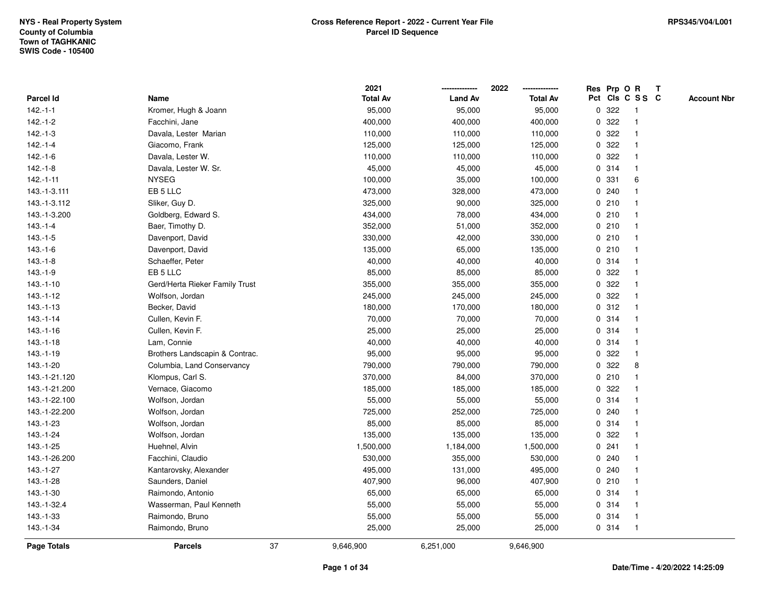|                  |                                |    | 2021            | -------------- | 2022<br>-------------- |             | Res Prp O R |                         | $\mathbf T$ |                    |
|------------------|--------------------------------|----|-----------------|----------------|------------------------|-------------|-------------|-------------------------|-------------|--------------------|
| <b>Parcel Id</b> | Name                           |    | <b>Total Av</b> | <b>Land Av</b> | <b>Total Av</b>        |             |             | Pct Cls C S S C         |             | <b>Account Nbr</b> |
| $142.-1-1$       | Kromer, Hugh & Joann           |    | 95,000          | 95,000         | 95,000                 | 0           | 322         | $\mathbf{1}$            |             |                    |
| 142.-1-2         | Facchini, Jane                 |    | 400,000         | 400,000        | 400,000                | 0           | 322         |                         |             |                    |
| $142.-1-3$       | Davala, Lester Marian          |    | 110,000         | 110,000        | 110,000                |             | 0 322       |                         |             |                    |
| $142 - 1 - 4$    | Giacomo, Frank                 |    | 125,000         | 125,000        | 125,000                | 0           | 322         | -1                      |             |                    |
| $142.-1-6$       | Davala, Lester W.              |    | 110,000         | 110,000        | 110,000                | 0           | 322         | $\overline{\mathbf{1}}$ |             |                    |
| $142.-1-8$       | Davala, Lester W. Sr.          |    | 45,000          | 45,000         | 45,000                 |             | 0.314       | $\mathbf{1}$            |             |                    |
| $142.-1-11$      | <b>NYSEG</b>                   |    | 100,000         | 35,000         | 100,000                |             | 0 331       | 6                       |             |                    |
| 143.-1-3.111     | EB 5 LLC                       |    | 473,000         | 328,000        | 473,000                |             | 0.240       |                         |             |                    |
| 143.-1-3.112     | Sliker, Guy D.                 |    | 325,000         | 90,000         | 325,000                |             | 0210        |                         |             |                    |
| 143.-1-3.200     | Goldberg, Edward S.            |    | 434,000         | 78,000         | 434,000                |             | 0210        |                         |             |                    |
| $143 - 1 - 4$    | Baer, Timothy D.               |    | 352,000         | 51,000         | 352,000                | 0           | 210         | $\mathbf{1}$            |             |                    |
| $143.-1-5$       | Davenport, David               |    | 330,000         | 42,000         | 330,000                | $\mathbf 0$ | 210         | $\mathbf{1}$            |             |                    |
| $143.-1-6$       | Davenport, David               |    | 135,000         | 65,000         | 135,000                |             | 0210        |                         |             |                    |
| $143.-1-8$       | Schaeffer, Peter               |    | 40,000          | 40,000         | 40,000                 |             | 0 314       |                         |             |                    |
| $143.-1-9$       | EB 5 LLC                       |    | 85,000          | 85,000         | 85,000                 | 0           | 322         |                         |             |                    |
| $143.-1-10$      | Gerd/Herta Rieker Family Trust |    | 355,000         | 355,000        | 355,000                |             | 0.322       |                         |             |                    |
| 143.-1-12        | Wolfson, Jordan                |    | 245,000         | 245,000        | 245,000                | 0           | 322         | -1                      |             |                    |
| $143.-1-13$      | Becker, David                  |    | 180,000         | 170,000        | 180,000                | 0           | 312         | $\overline{\mathbf{1}}$ |             |                    |
| $143 - 1 - 14$   | Cullen, Kevin F.               |    | 70,000          | 70,000         | 70,000                 |             | 0.314       | $\mathbf 1$             |             |                    |
| $143.-1-16$      | Cullen, Kevin F.               |    | 25,000          | 25,000         | 25,000                 |             | 0.314       |                         |             |                    |
| $143.-1-18$      | Lam, Connie                    |    | 40,000          | 40,000         | 40,000                 |             | 0.314       |                         |             |                    |
| 143.-1-19        | Brothers Landscapin & Contrac. |    | 95,000          | 95,000         | 95,000                 |             | 0.322       | $\overline{\mathbf{1}}$ |             |                    |
| 143.-1-20        | Columbia, Land Conservancy     |    | 790,000         | 790,000        | 790,000                | 0           | 322         | 8                       |             |                    |
| 143.-1-21.120    | Klompus, Carl S.               |    | 370,000         | 84,000         | 370,000                | 0           | 210         | $\mathbf{1}$            |             |                    |
| 143.-1-21.200    | Vernace, Giacomo               |    | 185,000         | 185,000        | 185,000                |             | 0 322       | -1                      |             |                    |
| 143.-1-22.100    | Wolfson, Jordan                |    | 55,000          | 55,000         | 55,000                 |             | 0.314       |                         |             |                    |
| 143.-1-22.200    | Wolfson, Jordan                |    | 725,000         | 252,000        | 725,000                |             | 0.240       |                         |             |                    |
| 143.-1-23        | Wolfson, Jordan                |    | 85,000          | 85,000         | 85,000                 |             | 0.314       |                         |             |                    |
| 143.-1-24        | Wolfson, Jordan                |    | 135,000         | 135,000        | 135,000                | 0           | 322         |                         |             |                    |
| 143.-1-25        | Huehnel, Alvin                 |    | 1,500,000       | 1,184,000      | 1,500,000              | 0           | 241         | $\mathbf{1}$            |             |                    |
| 143.-1-26.200    | Facchini, Claudio              |    | 530,000         | 355,000        | 530,000                | $\mathbf 0$ | 240         | $\mathbf{1}$            |             |                    |
| 143.-1-27        | Kantarovsky, Alexander         |    | 495,000         | 131,000        | 495,000                |             | 0.240       |                         |             |                    |
| 143.-1-28        | Saunders, Daniel               |    | 407,900         | 96,000         | 407,900                |             | 0210        |                         |             |                    |
| 143.-1-30        | Raimondo, Antonio              |    | 65,000          | 65,000         | 65,000                 |             | 0 314       |                         |             |                    |
| 143.-1-32.4      | Wasserman, Paul Kenneth        |    | 55,000          | 55,000         | 55,000                 |             | 0 314       | $\mathbf{1}$            |             |                    |
| 143.-1-33        | Raimondo, Bruno                |    | 55,000          | 55,000         | 55,000                 | 0           | 314         | $\mathbf{1}$            |             |                    |
| 143.-1-34        | Raimondo, Bruno                |    | 25,000          | 25,000         | 25,000                 |             | 0 314       | $\mathbf{1}$            |             |                    |
| Page Totals      | <b>Parcels</b>                 | 37 | 9,646,900       | 6,251,000      | 9,646,900              |             |             |                         |             |                    |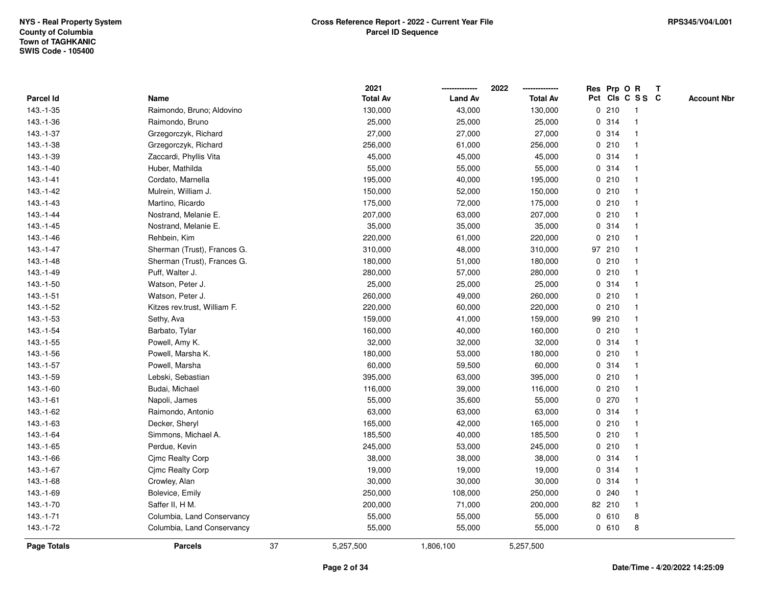|                  |                              |    | 2021            |                | 2022            | Res Prp O |        | $\mathbf R$             | $\mathbf{T}$ |                    |
|------------------|------------------------------|----|-----------------|----------------|-----------------|-----------|--------|-------------------------|--------------|--------------------|
| <b>Parcel Id</b> | Name                         |    | <b>Total Av</b> | <b>Land Av</b> | <b>Total Av</b> |           |        | Pct Cls C S S C         |              | <b>Account Nbr</b> |
| 143.-1-35        | Raimondo, Bruno; Aldovino    |    | 130,000         | 43,000         | 130,000         |           | 0210   |                         |              |                    |
| 143.-1-36        | Raimondo, Bruno              |    | 25,000          | 25,000         | 25,000          | 0         | 314    |                         |              |                    |
| 143.-1-37        | Grzegorczyk, Richard         |    | 27,000          | 27,000         | 27,000          | 0         | 314    |                         |              |                    |
| 143.-1-38        | Grzegorczyk, Richard         |    | 256,000         | 61,000         | 256,000         | 0         | 210    |                         |              |                    |
| 143.-1-39        | Zaccardi, Phyllis Vita       |    | 45,000          | 45,000         | 45,000          |           | 0 314  |                         |              |                    |
| 143.-1-40        | Huber, Mathilda              |    | 55,000          | 55,000         | 55,000          |           | 0.314  |                         |              |                    |
| 143.-1-41        | Cordato, Marnella            |    | 195,000         | 40,000         | 195,000         |           | 0210   |                         |              |                    |
| $143.-1-42$      | Mulrein, William J.          |    | 150,000         | 52,000         | 150,000         |           | 0210   |                         |              |                    |
| 143.-1-43        | Martino, Ricardo             |    | 175,000         | 72,000         | 175,000         |           | 0210   |                         |              |                    |
| 143.-1-44        | Nostrand, Melanie E.         |    | 207,000         | 63,000         | 207,000         |           | 0210   |                         |              |                    |
| $143.-1-45$      | Nostrand, Melanie E.         |    | 35,000          | 35,000         | 35,000          | 0         | 314    | -1                      |              |                    |
| 143.-1-46        | Rehbein, Kim                 |    | 220,000         | 61,000         | 220,000         |           | 0210   | -1                      |              |                    |
| 143.-1-47        | Sherman (Trust), Frances G.  |    | 310,000         | 48,000         | 310,000         |           | 97 210 |                         |              |                    |
| 143.-1-48        | Sherman (Trust), Frances G.  |    | 180,000         | 51,000         | 180,000         |           | 0210   |                         |              |                    |
| 143.-1-49        | Puff, Walter J.              |    | 280,000         | 57,000         | 280,000         |           | 0210   |                         |              |                    |
| 143.-1-50        | Watson, Peter J.             |    | 25,000          | 25,000         | 25,000          |           | 0.314  |                         |              |                    |
| $143.-1-51$      | Watson, Peter J.             |    | 260,000         | 49,000         | 260,000         | 0         | 210    |                         |              |                    |
| 143.-1-52        | Kitzes rev.trust, William F. |    | 220,000         | 60,000         | 220,000         | 0         | 210    |                         |              |                    |
| 143.-1-53        | Sethy, Ava                   |    | 159,000         | 41,000         | 159,000         |           | 99 210 |                         |              |                    |
| $143.-1-54$      | Barbato, Tylar               |    | 160,000         | 40,000         | 160,000         |           | 0210   |                         |              |                    |
| $143.-1-55$      | Powell, Amy K.               |    | 32,000          | 32,000         | 32,000          |           | 0.314  |                         |              |                    |
| 143.-1-56        | Powell, Marsha K.            |    | 180,000         | 53,000         | 180,000         |           | 0210   |                         |              |                    |
| 143.-1-57        | Powell, Marsha               |    | 60,000          | 59,500         | 60,000          |           | 0.314  |                         |              |                    |
| 143.-1-59        | Lebski, Sebastian            |    | 395,000         | 63,000         | 395,000         | 0         | 210    | $\overline{\mathbf{1}}$ |              |                    |
| 143.-1-60        | Budai, Michael               |    | 116,000         | 39,000         | 116,000         |           | 0210   |                         |              |                    |
| 143.-1-61        | Napoli, James                |    | 55,000          | 35,600         | 55,000          |           | 0270   |                         |              |                    |
| 143.-1-62        | Raimondo, Antonio            |    | 63,000          | 63,000         | 63,000          |           | 0.314  |                         |              |                    |
| 143.-1-63        | Decker, Sheryl               |    | 165,000         | 42,000         | 165,000         |           | 0210   |                         |              |                    |
| 143.-1-64        | Simmons, Michael A.          |    | 185,500         | 40,000         | 185,500         |           | 0210   |                         |              |                    |
| 143.-1-65        | Perdue, Kevin                |    | 245,000         | 53,000         | 245,000         | 0         | 210    |                         |              |                    |
| 143.-1-66        | Cjmc Realty Corp             |    | 38,000          | 38,000         | 38,000          | 0         | 314    | -1                      |              |                    |
| 143.-1-67        | Cjmc Realty Corp             |    | 19,000          | 19,000         | 19,000          |           | 0 314  |                         |              |                    |
| 143.-1-68        | Crowley, Alan                |    | 30,000          | 30,000         | 30,000          |           | 0 314  |                         |              |                    |
| 143.-1-69        | Bolevice, Emily              |    | 250,000         | 108,000        | 250,000         |           | 0.240  |                         |              |                    |
| 143.-1-70        | Saffer II, H M.              |    | 200,000         | 71,000         | 200,000         |           | 82 210 |                         |              |                    |
| 143.-1-71        | Columbia, Land Conservancy   |    | 55,000          | 55,000         | 55,000          |           | 0 610  | 8                       |              |                    |
| 143.-1-72        | Columbia, Land Conservancy   |    | 55,000          | 55,000         | 55,000          |           | 0 610  | 8                       |              |                    |
| Page Totals      | <b>Parcels</b>               | 37 | 5,257,500       | 1,806,100      | 5,257,500       |           |        |                         |              |                    |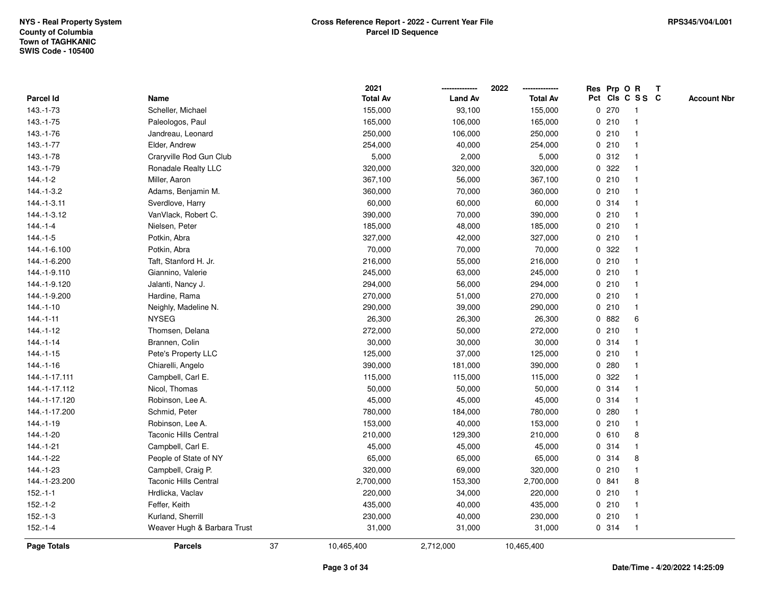|                 |                              |    | 2021            |                | 2022<br>-------------- |             |       | Res Prp O R     | $\mathbf{T}$ |                    |
|-----------------|------------------------------|----|-----------------|----------------|------------------------|-------------|-------|-----------------|--------------|--------------------|
| Parcel Id       | Name                         |    | <b>Total Av</b> | <b>Land Av</b> | <b>Total Av</b>        |             |       | Pct Cls C S S C |              | <b>Account Nbr</b> |
| 143.-1-73       | Scheller, Michael            |    | 155,000         | 93,100         | 155,000                |             | 0270  | -1              |              |                    |
| 143.-1-75       | Paleologos, Paul             |    | 165,000         | 106,000        | 165,000                | $\mathbf 0$ | 210   |                 |              |                    |
| 143.-1-76       | Jandreau, Leonard            |    | 250,000         | 106,000        | 250,000                |             | 0210  | -1              |              |                    |
| 143.-1-77       | Elder, Andrew                |    | 254,000         | 40,000         | 254,000                | $\mathbf 0$ | 210   | $\overline{1}$  |              |                    |
| 143.-1-78       | Craryville Rod Gun Club      |    | 5,000           | 2,000          | 5,000                  |             | 0.312 | -1              |              |                    |
| 143.-1-79       | Ronadale Realty LLC          |    | 320,000         | 320,000        | 320,000                |             | 0.322 | -1              |              |                    |
| $144 - 1 - 2$   | Miller, Aaron                |    | 367,100         | 56,000         | 367,100                |             | 0210  |                 |              |                    |
| 144.-1-3.2      | Adams, Benjamin M.           |    | 360,000         | 70,000         | 360,000                |             | 0210  |                 |              |                    |
| 144.-1-3.11     | Sverdlove, Harry             |    | 60,000          | 60,000         | 60,000                 |             | 0 314 |                 |              |                    |
| 144.-1-3.12     | VanVlack, Robert C.          |    | 390,000         | 70,000         | 390,000                |             | 0210  |                 |              |                    |
| $144 - 1 - 4$   | Nielsen, Peter               |    | 185,000         | 48,000         | 185,000                |             | 0210  | $\overline{1}$  |              |                    |
| $144.-1-5$      | Potkin, Abra                 |    | 327,000         | 42,000         | 327,000                |             | 0210  | $\overline{1}$  |              |                    |
| 144.-1-6.100    | Potkin, Abra                 |    | 70,000          | 70,000         | 70,000                 |             | 0.322 |                 |              |                    |
| 144.-1-6.200    | Taft, Stanford H. Jr.        |    | 216,000         | 55,000         | 216,000                |             | 0210  |                 |              |                    |
| 144.-1-9.110    | Giannino, Valerie            |    | 245,000         | 63,000         | 245,000                |             | 0210  |                 |              |                    |
| 144.-1-9.120    | Jalanti, Nancy J.            |    | 294,000         | 56,000         | 294,000                |             | 0210  |                 |              |                    |
| 144.-1-9.200    | Hardine, Rama                |    | 270,000         | 51,000         | 270,000                | 0           | 210   | -1              |              |                    |
| $144.-1-10$     | Neighly, Madeline N.         |    | 290,000         | 39,000         | 290,000                | 0           | 210   | $\overline{1}$  |              |                    |
| $144 - 1 - 11$  | <b>NYSEG</b>                 |    | 26,300          | 26,300         | 26,300                 |             | 0 882 | 6               |              |                    |
| $144. - 1 - 12$ | Thomsen, Delana              |    | 272,000         | 50,000         | 272,000                |             | 0210  |                 |              |                    |
| $144.-1-14$     | Brannen, Colin               |    | 30,000          | 30,000         | 30,000                 |             | 0 314 |                 |              |                    |
| $144.-1-15$     | Pete's Property LLC          |    | 125,000         | 37,000         | 125,000                |             | 0210  |                 |              |                    |
| $144.-1-16$     | Chiarelli, Angelo            |    | 390,000         | 181,000        | 390,000                | 0           | 280   |                 |              |                    |
| 144.-1-17.111   | Campbell, Carl E.            |    | 115,000         | 115,000        | 115,000                | 0           | 322   | -1              |              |                    |
| 144.-1-17.112   | Nicol, Thomas                |    | 50,000          | 50,000         | 50,000                 |             | 0.314 | $\overline{1}$  |              |                    |
| 144.-1-17.120   | Robinson, Lee A.             |    | 45,000          | 45,000         | 45,000                 |             | 0.314 |                 |              |                    |
| 144.-1-17.200   | Schmid, Peter                |    | 780,000         | 184,000        | 780,000                |             | 0.280 |                 |              |                    |
| 144.-1-19       | Robinson, Lee A.             |    | 153,000         | 40,000         | 153,000                |             | 0210  |                 |              |                    |
| 144.-1-20       | <b>Taconic Hills Central</b> |    | 210,000         | 129,300        | 210,000                |             | 0610  | 8               |              |                    |
| 144.-1-21       | Campbell, Carl E.            |    | 45,000          | 45,000         | 45,000                 | 0           | 314   | $\overline{1}$  |              |                    |
| 144.-1-22       | People of State of NY        |    | 65,000          | 65,000         | 65,000                 | 0           | 314   | 8               |              |                    |
| 144.-1-23       | Campbell, Craig P.           |    | 320,000         | 69,000         | 320,000                |             | 0210  | $\mathbf{1}$    |              |                    |
| 144.-1-23.200   | <b>Taconic Hills Central</b> |    | 2,700,000       | 153,300        | 2,700,000              |             | 0841  | 8               |              |                    |
| $152.-1-1$      | Hrdlicka, Vaclav             |    | 220,000         | 34,000         | 220,000                |             | 0210  |                 |              |                    |
| $152.-1-2$      | Feffer, Keith                |    | 435,000         | 40,000         | 435,000                |             | 0210  |                 |              |                    |
| $152.-1-3$      | Kurland, Sherrill            |    | 230,000         | 40,000         | 230,000                |             | 0210  | $\overline{1}$  |              |                    |
| $152.-1-4$      | Weaver Hugh & Barbara Trust  |    | 31,000          | 31,000         | 31,000                 |             | 0 314 | $\overline{1}$  |              |                    |
| Page Totals     | <b>Parcels</b>               | 37 | 10,465,400      | 2,712,000      | 10,465,400             |             |       |                 |              |                    |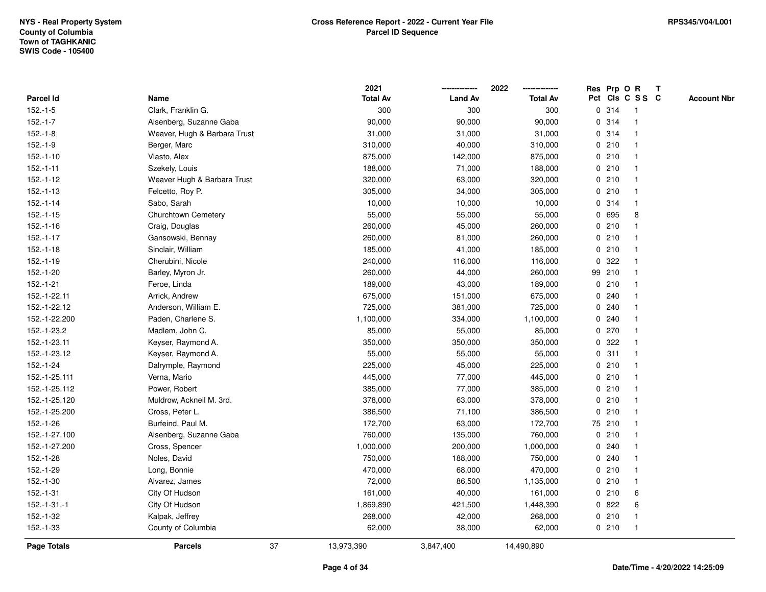|                    |                              |    | 2021            |                | 2022            | Res Prp O R  |                 |                |              | T |                    |
|--------------------|------------------------------|----|-----------------|----------------|-----------------|--------------|-----------------|----------------|--------------|---|--------------------|
| Parcel Id          | Name                         |    | <b>Total Av</b> | <b>Land Av</b> | <b>Total Av</b> |              | Pct Cls C S S C |                |              |   | <b>Account Nbr</b> |
| $152.-1-5$         | Clark, Franklin G.           |    | 300             | 300            | 300             |              | 0.314           |                | $\mathbf{1}$ |   |                    |
| $152.-1-7$         | Aisenberg, Suzanne Gaba      |    | 90,000          | 90,000         | 90,000          | $\mathbf{0}$ | 314             | $\overline{1}$ |              |   |                    |
| $152.-1-8$         | Weaver, Hugh & Barbara Trust |    | 31,000          | 31,000         | 31,000          |              | 0.314           | $\mathbf{1}$   |              |   |                    |
| $152.-1-9$         | Berger, Marc                 |    | 310,000         | 40,000         | 310,000         |              | 0210            | -1             |              |   |                    |
| $152.-1-10$        | Vlasto, Alex                 |    | 875,000         | 142,000        | 875,000         |              | 0210            |                |              |   |                    |
| $152.-1-11$        | Szekely, Louis               |    | 188,000         | 71,000         | 188,000         |              | 0210            |                |              |   |                    |
| $152.-1-12$        | Weaver Hugh & Barbara Trust  |    | 320,000         | 63,000         | 320,000         |              | 0210            |                |              |   |                    |
| $152.-1-13$        | Felcetto, Roy P.             |    | 305,000         | 34,000         | 305,000         |              | 0210            | $\overline{1}$ |              |   |                    |
| $152.-1-14$        | Sabo, Sarah                  |    | 10,000          | 10,000         | 10,000          |              | 0.314           |                | $\mathbf{1}$ |   |                    |
| $152.-1-15$        | Churchtown Cemetery          |    | 55,000          | 55,000         | 55,000          |              | 0 695           |                | 8            |   |                    |
| $152.-1-16$        | Craig, Douglas               |    | 260,000         | 45,000         | 260,000         |              | 0210            |                |              |   |                    |
| $152.-1-17$        | Gansowski, Bennay            |    | 260,000         | 81,000         | 260,000         |              | 0210            |                |              |   |                    |
| $152.-1-18$        | Sinclair, William            |    | 185,000         | 41,000         | 185,000         |              | 0210            |                |              |   |                    |
| $152.-1-19$        | Cherubini, Nicole            |    | 240,000         | 116,000        | 116,000         | $\mathbf 0$  | 322             |                |              |   |                    |
| 152.-1-20          | Barley, Myron Jr.            |    | 260,000         | 44,000         | 260,000         |              | 99 210          | $\overline{1}$ |              |   |                    |
| 152.-1-21          | Feroe, Linda                 |    | 189,000         | 43,000         | 189,000         | 0            | 210             | 1              |              |   |                    |
| 152.-1-22.11       | Arrick, Andrew               |    | 675,000         | 151,000        | 675,000         |              | 0.240           | 1              |              |   |                    |
| 152.-1-22.12       | Anderson, William E.         |    | 725,000         | 381,000        | 725,000         |              | 0.240           |                |              |   |                    |
| 152.-1-22.200      | Paden, Charlene S.           |    | 1,100,000       | 334,000        | 1,100,000       |              | 0.240           |                |              |   |                    |
| 152.-1-23.2        | Madlem, John C.              |    | 85,000          | 55,000         | 85,000          |              | 0270            |                |              |   |                    |
| 152.-1-23.11       | Keyser, Raymond A.           |    | 350,000         | 350,000        | 350,000         | 0            | 322             |                |              |   |                    |
| 152.-1-23.12       | Keyser, Raymond A.           |    | 55,000          | 55,000         | 55,000          | $\mathbf 0$  | 311             | -1             |              |   |                    |
| 152.-1-24          | Dalrymple, Raymond           |    | 225,000         | 45,000         | 225,000         |              | 0210            | -1             |              |   |                    |
| 152.-1-25.111      | Verna, Mario                 |    | 445,000         | 77,000         | 445,000         |              | 0210            | $\overline{1}$ |              |   |                    |
| 152.-1-25.112      | Power, Robert                |    | 385,000         | 77,000         | 385,000         |              | 0210            |                |              |   |                    |
| 152.-1-25.120      | Muldrow, Ackneil M. 3rd.     |    | 378,000         | 63,000         | 378,000         |              | 0210            |                |              |   |                    |
| 152.-1-25.200      | Cross, Peter L.              |    | 386,500         | 71,100         | 386,500         | $\mathbf 0$  | 210             |                |              |   |                    |
| 152.-1-26          | Burfeind, Paul M.            |    | 172,700         | 63,000         | 172,700         |              | 75 210          | $\mathbf{1}$   |              |   |                    |
| 152.-1-27.100      | Aisenberg, Suzanne Gaba      |    | 760,000         | 135,000        | 760,000         | 0            | 210             |                |              |   |                    |
| 152.-1-27.200      | Cross, Spencer               |    | 1,000,000       | 200,000        | 1,000,000       | 0            | 240             | 1              |              |   |                    |
| 152.-1-28          | Noles, David                 |    | 750,000         | 188,000        | 750,000         |              | 0.240           | $\mathbf 1$    |              |   |                    |
| 152.-1-29          | Long, Bonnie                 |    | 470,000         | 68,000         | 470,000         |              | 0210            |                |              |   |                    |
| $152.-1-30$        | Alvarez, James               |    | 72,000          | 86,500         | 1,135,000       |              | 0210            |                |              |   |                    |
| $152.-1-31$        | City Of Hudson               |    | 161,000         | 40,000         | 161,000         |              | 0210            |                | 6            |   |                    |
| $152.-1-31.-1$     | City Of Hudson               |    | 1,869,890       | 421,500        | 1,448,390       |              | 0822            |                | 6            |   |                    |
| 152.-1-32          | Kalpak, Jeffrey              |    | 268,000         | 42,000         | 268,000         | 0            | 210             | -1             |              |   |                    |
| 152.-1-33          | County of Columbia           |    | 62,000          | 38,000         | 62,000          |              | 0210            |                | $\mathbf{1}$ |   |                    |
| <b>Page Totals</b> | <b>Parcels</b>               | 37 | 13,973,390      | 3,847,400      | 14,490,890      |              |                 |                |              |   |                    |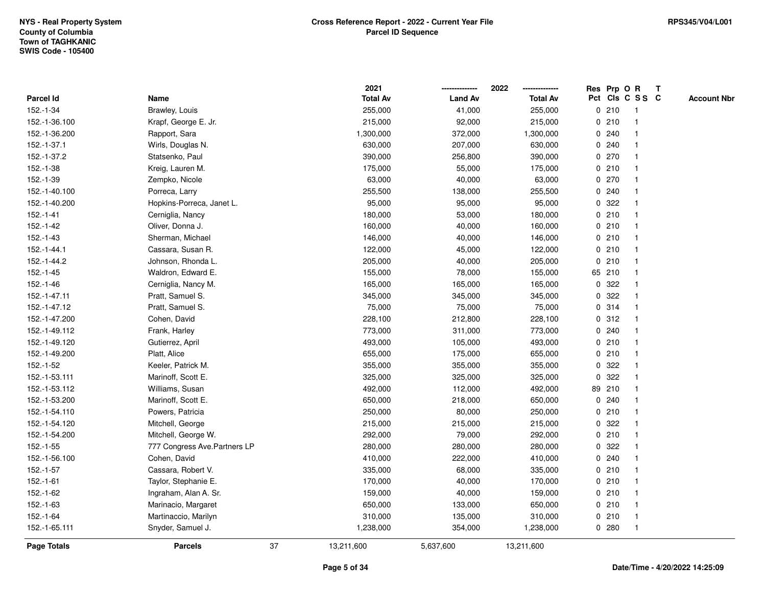|                    |                               |    | 2021            |                | 2022            |             |         | Res Prp O R     | T |                    |
|--------------------|-------------------------------|----|-----------------|----------------|-----------------|-------------|---------|-----------------|---|--------------------|
| Parcel Id          | Name                          |    | <b>Total Av</b> | <b>Land Av</b> | <b>Total Av</b> |             |         | Pct Cls C S S C |   | <b>Account Nbr</b> |
| 152.-1-34          | Brawley, Louis                |    | 255,000         | 41,000         | 255,000         |             | 0210    | -1              |   |                    |
| 152.-1-36.100      | Krapf, George E. Jr.          |    | 215,000         | 92,000         | 215,000         | 0           | 210     | $\mathbf 1$     |   |                    |
| 152.-1-36.200      | Rapport, Sara                 |    | 1,300,000       | 372,000        | 1,300,000       |             | 0.240   | $\mathbf{1}$    |   |                    |
| 152.-1-37.1        | Wirls, Douglas N.             |    | 630,000         | 207,000        | 630,000         |             | 0.240   |                 |   |                    |
| 152.-1-37.2        | Statsenko, Paul               |    | 390,000         | 256,800        | 390,000         |             | 0270    |                 |   |                    |
| 152.-1-38          | Kreig, Lauren M.              |    | 175,000         | 55,000         | 175,000         |             | 0210    |                 |   |                    |
| 152.-1-39          | Zempko, Nicole                |    | 63,000          | 40,000         | 63,000          |             | $0$ 270 |                 |   |                    |
| 152.-1-40.100      | Porreca, Larry                |    | 255,500         | 138,000        | 255,500         | $\mathbf 0$ | 240     |                 |   |                    |
| 152.-1-40.200      | Hopkins-Porreca, Janet L.     |    | 95,000          | 95,000         | 95,000          | 0           | 322     |                 |   |                    |
| 152.-1-41          | Cerniglia, Nancy              |    | 180,000         | 53,000         | 180,000         |             | 0210    | $\mathbf 1$     |   |                    |
| 152.-1-42          | Oliver, Donna J.              |    | 160,000         | 40,000         | 160,000         |             | 0210    |                 |   |                    |
| $152.-1-43$        | Sherman, Michael              |    | 146,000         | 40,000         | 146,000         |             | 0210    |                 |   |                    |
| 152.-1-44.1        | Cassara, Susan R.             |    | 122,000         | 45,000         | 122,000         |             | 0210    |                 |   |                    |
| 152.-1-44.2        | Johnson, Rhonda L.            |    | 205,000         | 40,000         | 205,000         |             | 0210    |                 |   |                    |
| $152.-1-45$        | Waldron, Edward E.            |    | 155,000         | 78,000         | 155,000         |             | 65 210  |                 |   |                    |
| $152.-1-46$        | Cerniglia, Nancy M.           |    | 165,000         | 165,000        | 165,000         | $\mathbf 0$ | 322     |                 |   |                    |
| 152.-1-47.11       | Pratt, Samuel S.              |    | 345,000         | 345,000        | 345,000         | $\mathbf 0$ | 322     |                 |   |                    |
| 152.-1-47.12       | Pratt, Samuel S.              |    | 75,000          | 75,000         | 75,000          |             | 0.314   |                 |   |                    |
| 152.-1-47.200      | Cohen, David                  |    | 228,100         | 212,800        | 228,100         |             | 0.312   |                 |   |                    |
| 152.-1-49.112      | Frank, Harley                 |    | 773,000         | 311,000        | 773,000         |             | 0.240   |                 |   |                    |
| 152.-1-49.120      | Gutierrez, April              |    | 493,000         | 105,000        | 493,000         |             | 0210    |                 |   |                    |
| 152.-1-49.200      | Platt, Alice                  |    | 655,000         | 175,000        | 655,000         |             | 0210    |                 |   |                    |
| 152.-1-52          | Keeler, Patrick M.            |    | 355,000         | 355,000        | 355,000         | 0           | 322     | -1              |   |                    |
| 152.-1-53.111      | Marinoff, Scott E.            |    | 325,000         | 325,000        | 325,000         | $\mathbf 0$ | 322     |                 |   |                    |
| 152.-1-53.112      | Williams, Susan               |    | 492,000         | 112,000        | 492,000         |             | 89 210  |                 |   |                    |
| 152.-1-53.200      | Marinoff, Scott E.            |    | 650,000         | 218,000        | 650,000         |             | 0.240   |                 |   |                    |
| 152.-1-54.110      | Powers, Patricia              |    | 250,000         | 80,000         | 250,000         |             | 0210    |                 |   |                    |
| 152.-1-54.120      | Mitchell, George              |    | 215,000         | 215,000        | 215,000         | 0           | 322     |                 |   |                    |
| 152.-1-54.200      | Mitchell, George W.           |    | 292,000         | 79,000         | 292,000         |             | 0210    |                 |   |                    |
| $152.-1-55$        | 777 Congress Ave. Partners LP |    | 280,000         | 280,000        | 280,000         | $\mathbf 0$ | 322     |                 |   |                    |
| 152.-1-56.100      | Cohen, David                  |    | 410,000         | 222,000        | 410,000         | 0           | 240     | $\mathbf 1$     |   |                    |
| $152.-1-57$        | Cassara, Robert V.            |    | 335,000         | 68,000         | 335,000         |             | 0210    | $\mathbf 1$     |   |                    |
| $152.-1-61$        | Taylor, Stephanie E.          |    | 170,000         | 40,000         | 170,000         |             | 0210    |                 |   |                    |
| 152.-1-62          | Ingraham, Alan A. Sr.         |    | 159,000         | 40,000         | 159,000         |             | 0210    |                 |   |                    |
| 152.-1-63          | Marinacio, Margaret           |    | 650,000         | 133,000        | 650,000         |             | 0210    |                 |   |                    |
| 152.-1-64          | Martinaccio, Marilyn          |    | 310,000         | 135,000        | 310,000         |             | 0210    | -1              |   |                    |
| 152.-1-65.111      | Snyder, Samuel J.             |    | 1,238,000       | 354,000        | 1,238,000       |             | 0.280   | $\overline{1}$  |   |                    |
| <b>Page Totals</b> | <b>Parcels</b>                | 37 | 13,211,600      | 5,637,600      | 13,211,600      |             |         |                 |   |                    |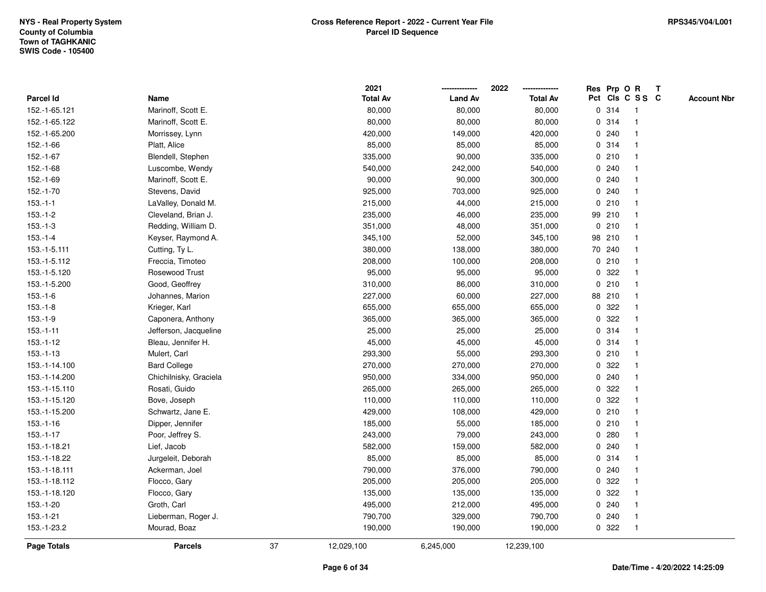|                    |                        |    | 2021            |                | 2022            |   | Res Prp O R |                 | Т |                    |
|--------------------|------------------------|----|-----------------|----------------|-----------------|---|-------------|-----------------|---|--------------------|
| Parcel Id          | Name                   |    | <b>Total Av</b> | <b>Land Av</b> | <b>Total Av</b> |   |             | Pct Cls C S S C |   | <b>Account Nbr</b> |
| 152.-1-65.121      | Marinoff, Scott E.     |    | 80,000          | 80,000         | 80,000          |   | 0 314       | $\mathbf{1}$    |   |                    |
| 152.-1-65.122      | Marinoff, Scott E.     |    | 80,000          | 80,000         | 80,000          |   | 0.314       | $\mathbf{1}$    |   |                    |
| 152.-1-65.200      | Morrissey, Lynn        |    | 420,000         | 149,000        | 420,000         |   | 0.240       | $\mathbf{1}$    |   |                    |
| 152.-1-66          | Platt, Alice           |    | 85,000          | 85,000         | 85,000          |   | 0.314       | -1              |   |                    |
| 152.-1-67          | Blendell, Stephen      |    | 335,000         | 90,000         | 335,000         |   | 0210        |                 |   |                    |
| 152.-1-68          | Luscombe, Wendy        |    | 540,000         | 242,000        | 540,000         |   | 0.240       |                 |   |                    |
| 152.-1-69          | Marinoff, Scott E.     |    | 90,000          | 90,000         | 300,000         |   | 0.240       | $\mathbf{1}$    |   |                    |
| 152.-1-70          | Stevens, David         |    | 925,000         | 703,000        | 925,000         |   | 0.240       | $\mathbf{1}$    |   |                    |
| $153.-1-1$         | LaValley, Donald M.    |    | 215,000         | 44,000         | 215,000         |   | 0210        | $\mathbf{1}$    |   |                    |
| $153.-1-2$         | Cleveland, Brian J.    |    | 235,000         | 46,000         | 235,000         |   | 99 210      | $\mathbf{1}$    |   |                    |
| $153.-1-3$         | Redding, William D.    |    | 351,000         | 48,000         | 351,000         |   | 0210        | $\mathbf{1}$    |   |                    |
| $153.-1-4$         | Keyser, Raymond A.     |    | 345,100         | 52,000         | 345,100         |   | 98 210      | $\mathbf 1$     |   |                    |
| 153.-1-5.111       | Cutting, Ty L.         |    | 380,000         | 138,000        | 380,000         |   | 70 240      |                 |   |                    |
| 153.-1-5.112       | Freccia, Timoteo       |    | 208,000         | 100,000        | 208,000         |   | 0210        | $\mathbf{1}$    |   |                    |
| 153.-1-5.120       | Rosewood Trust         |    | 95,000          | 95,000         | 95,000          | 0 | 322         | $\mathbf{1}$    |   |                    |
| 153.-1-5.200       | Good, Geoffrey         |    | 310,000         | 86,000         | 310,000         |   | 0210        | $\mathbf{1}$    |   |                    |
| $153.-1-6$         | Johannes, Marion       |    | 227,000         | 60,000         | 227,000         |   | 88 210      | $\mathbf{1}$    |   |                    |
| $153.-1-8$         | Krieger, Karl          |    | 655,000         | 655,000        | 655,000         |   | 0.322       | $\mathbf{1}$    |   |                    |
| $153.-1-9$         | Caponera, Anthony      |    | 365,000         | 365,000        | 365,000         |   | 0.322       |                 |   |                    |
| $153.-1-11$        | Jefferson, Jacqueline  |    | 25,000          | 25,000         | 25,000          |   | 0.314       |                 |   |                    |
| $153.-1-12$        | Bleau, Jennifer H.     |    | 45,000          | 45,000         | 45,000          |   | 0.314       | $\mathbf{1}$    |   |                    |
| $153.-1-13$        | Mulert, Carl           |    | 293,300         | 55,000         | 293,300         |   | 0210        | $\mathbf{1}$    |   |                    |
| 153.-1-14.100      | <b>Bard College</b>    |    | 270,000         | 270,000        | 270,000         | 0 | 322         | $\mathbf{1}$    |   |                    |
| 153.-1-14.200      | Chichilnisky, Graciela |    | 950,000         | 334,000        | 950,000         |   | 0.240       | $\mathbf{1}$    |   |                    |
| 153.-1-15.110      | Rosati, Guido          |    | 265,000         | 265,000        | 265,000         |   | 0.322       | $\mathbf{1}$    |   |                    |
| 153.-1-15.120      | Bove, Joseph           |    | 110,000         | 110,000        | 110,000         |   | 0.322       | $\mathbf 1$     |   |                    |
| 153.-1-15.200      | Schwartz, Jane E.      |    | 429,000         | 108,000        | 429,000         |   | 0210        | $\mathbf 1$     |   |                    |
| 153.-1-16          | Dipper, Jennifer       |    | 185,000         | 55,000         | 185,000         |   | 0210        | $\mathbf{1}$    |   |                    |
| $153.-1-17$        | Poor, Jeffrey S.       |    | 243,000         | 79,000         | 243,000         |   | 0.280       | $\mathbf{1}$    |   |                    |
| 153.-1-18.21       | Lief, Jacob            |    | 582,000         | 159,000        | 582,000         |   | 0.240       | $\mathbf{1}$    |   |                    |
| 153.-1-18.22       | Jurgeleit, Deborah     |    | 85,000          | 85,000         | 85,000          |   | 0.314       | $\mathbf{1}$    |   |                    |
| 153.-1-18.111      | Ackerman, Joel         |    | 790,000         | 376,000        | 790,000         |   | 0.240       | $\mathbf 1$     |   |                    |
| 153.-1-18.112      | Flocco, Gary           |    | 205,000         | 205,000        | 205,000         |   | 0.322       |                 |   |                    |
| 153.-1-18.120      | Flocco, Gary           |    | 135,000         | 135,000        | 135,000         |   | 0.322       |                 |   |                    |
| 153.-1-20          | Groth, Carl            |    | 495,000         | 212,000        | 495,000         |   | 0.240       | $\mathbf{1}$    |   |                    |
| $153.-1-21$        | Lieberman, Roger J.    |    | 790,700         | 329,000        | 790,700         |   | 0.240       | $\mathbf{1}$    |   |                    |
| 153.-1-23.2        | Mourad, Boaz           |    | 190,000         | 190,000        | 190,000         |   | 0.322       | $\mathbf{1}$    |   |                    |
| <b>Page Totals</b> | <b>Parcels</b>         | 37 | 12,029,100      | 6,245,000      | 12,239,100      |   |             |                 |   |                    |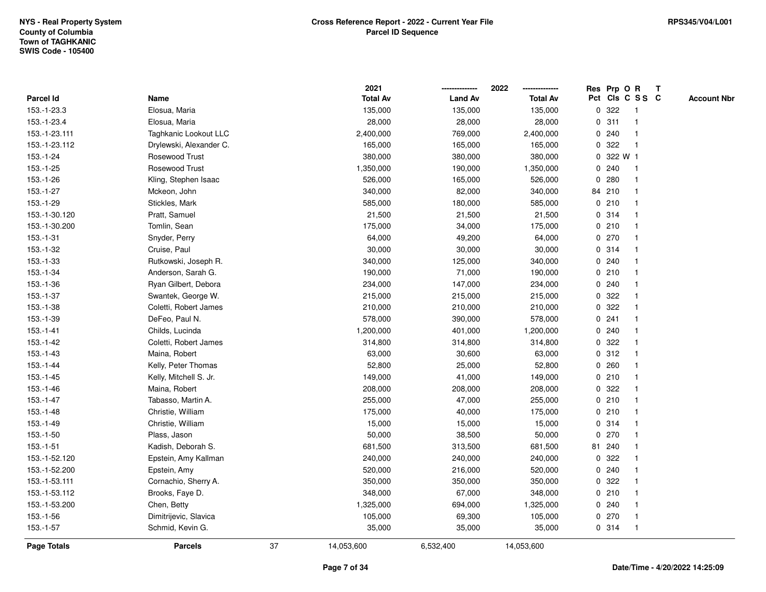|                    |                         |    | 2021            |                | 2022<br>-------------- |             |         | Res Prp O R     | $\mathbf{T}$       |
|--------------------|-------------------------|----|-----------------|----------------|------------------------|-------------|---------|-----------------|--------------------|
| Parcel Id          | Name                    |    | <b>Total Av</b> | <b>Land Av</b> | <b>Total Av</b>        |             |         | Pct Cls C S S C | <b>Account Nbr</b> |
| 153.-1-23.3        | Elosua, Maria           |    | 135,000         | 135,000        | 135,000                | 0           | 322     |                 |                    |
| 153.-1-23.4        | Elosua, Maria           |    | 28,000          | 28,000         | 28,000                 | 0           | 311     |                 |                    |
| 153.-1-23.111      | Taghkanic Lookout LLC   |    | 2,400,000       | 769,000        | 2,400,000              | 0           | 240     | -1              |                    |
| 153.-1-23.112      | Drylewski, Alexander C. |    | 165,000         | 165,000        | 165,000                | $\mathbf 0$ | 322     | $\overline{1}$  |                    |
| 153.-1-24          | Rosewood Trust          |    | 380,000         | 380,000        | 380,000                | 0           | 322 W 1 |                 |                    |
| 153.-1-25          | Rosewood Trust          |    | 1,350,000       | 190,000        | 1,350,000              |             | 0.240   | -1              |                    |
| 153.-1-26          | Kling, Stephen Isaac    |    | 526,000         | 165,000        | 526,000                | $\mathbf 0$ | 280     |                 |                    |
| $153.-1-27$        | Mckeon, John            |    | 340,000         | 82,000         | 340,000                |             | 84 210  |                 |                    |
| 153.-1-29          | Stickles, Mark          |    | 585,000         | 180,000        | 585,000                |             | 0210    |                 |                    |
| 153.-1-30.120      | Pratt, Samuel           |    | 21,500          | 21,500         | 21,500                 | 0           | 314     |                 |                    |
| 153.-1-30.200      | Tomlin, Sean            |    | 175,000         | 34,000         | 175,000                |             | 0210    | -1              |                    |
| $153.-1-31$        | Snyder, Perry           |    | 64,000          | 49,200         | 64,000                 |             | 0 270   | $\overline{1}$  |                    |
| 153.-1-32          | Cruise, Paul            |    | 30,000          | 30,000         | 30,000                 |             | 0 314   |                 |                    |
| 153.-1-33          | Rutkowski, Joseph R.    |    | 340,000         | 125,000        | 340,000                |             | 0.240   |                 |                    |
| 153.-1-34          | Anderson, Sarah G.      |    | 190,000         | 71,000         | 190,000                |             | 0210    |                 |                    |
| 153.-1-36          | Ryan Gilbert, Debora    |    | 234,000         | 147,000        | 234,000                |             | 0.240   |                 |                    |
| 153.-1-37          | Swantek, George W.      |    | 215,000         | 215,000        | 215,000                | 0           | 322     |                 |                    |
| 153.-1-38          | Coletti, Robert James   |    | 210,000         | 210,000        | 210,000                | 0           | 322     |                 |                    |
| 153.-1-39          | DeFeo, Paul N.          |    | 578,000         | 390,000        | 578,000                |             | 0.241   | -1              |                    |
| $153.-1-41$        | Childs, Lucinda         |    | 1,200,000       | 401,000        | 1,200,000              |             | 0.240   |                 |                    |
| 153.-1-42          | Coletti, Robert James   |    | 314,800         | 314,800        | 314,800                |             | 0 322   |                 |                    |
| $153.-1-43$        | Maina, Robert           |    | 63,000          | 30,600         | 63,000                 |             | 0.312   |                 |                    |
| 153.-1-44          | Kelly, Peter Thomas     |    | 52,800          | 25,000         | 52,800                 | 0           | 260     |                 |                    |
| $153.-1-45$        | Kelly, Mitchell S. Jr.  |    | 149,000         | 41,000         | 149,000                | 0           | 210     | $\mathbf{1}$    |                    |
| $153.-1-46$        | Maina, Robert           |    | 208,000         | 208,000        | 208,000                | 0           | 322     | -1              |                    |
| 153.-1-47          | Tabasso, Martin A.      |    | 255,000         | 47,000         | 255,000                |             | 0210    | -1              |                    |
| $153.-1-48$        | Christie, William       |    | 175,000         | 40,000         | 175,000                |             | 0210    |                 |                    |
| 153.-1-49          | Christie, William       |    | 15,000          | 15,000         | 15,000                 |             | 0 314   |                 |                    |
| 153.-1-50          | Plass, Jason            |    | 50,000          | 38,500         | 50,000                 | 0           | 270     |                 |                    |
| $153.-1-51$        | Kadish, Deborah S.      |    | 681,500         | 313,500        | 681,500                | 81          | 240     |                 |                    |
| 153.-1-52.120      | Epstein, Amy Kallman    |    | 240,000         | 240,000        | 240,000                | 0           | 322     |                 |                    |
| 153.-1-52.200      | Epstein, Amy            |    | 520,000         | 216,000        | 520,000                | 0           | 240     | -1              |                    |
| 153.-1-53.111      | Cornachio, Sherry A.    |    | 350,000         | 350,000        | 350,000                |             | 0.322   |                 |                    |
| 153.-1-53.112      | Brooks, Faye D.         |    | 348,000         | 67,000         | 348,000                |             | 0210    |                 |                    |
| 153.-1-53.200      | Chen, Betty             |    | 1,325,000       | 694,000        | 1,325,000              |             | 0.240   |                 |                    |
| 153.-1-56          | Dimitrijevic, Slavica   |    | 105,000         | 69,300         | 105,000                |             | 0270    | $\overline{1}$  |                    |
| 153.-1-57          | Schmid, Kevin G.        |    | 35,000          | 35,000         | 35,000                 |             | 0 314   | $\overline{1}$  |                    |
| <b>Page Totals</b> | <b>Parcels</b>          | 37 | 14,053,600      | 6,532,400      | 14,053,600             |             |         |                 |                    |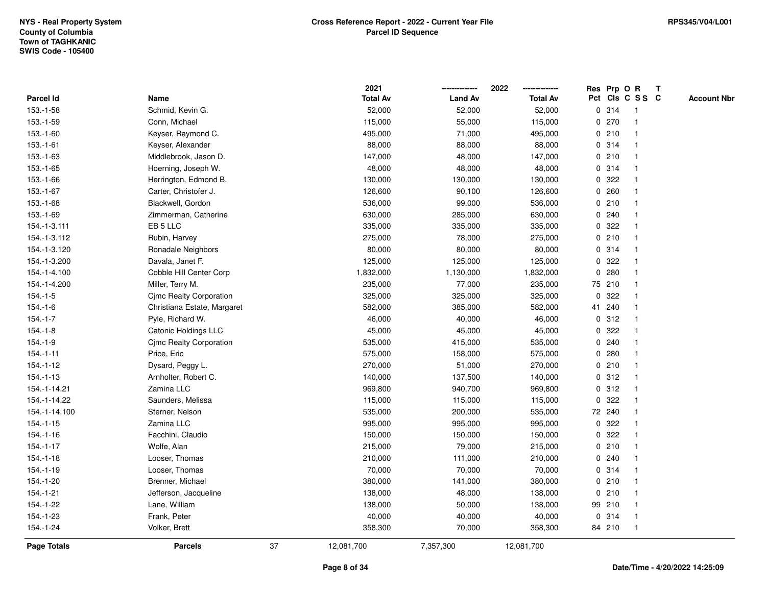|                  |                             |    | 2021            |                | 2022            |             |        | Res Prp O R             | $\mathbf{T}$ |                    |
|------------------|-----------------------------|----|-----------------|----------------|-----------------|-------------|--------|-------------------------|--------------|--------------------|
| <b>Parcel Id</b> | Name                        |    | <b>Total Av</b> | <b>Land Av</b> | <b>Total Av</b> |             |        | Pct Cls C S S C         |              | <b>Account Nbr</b> |
| 153.-1-58        | Schmid, Kevin G.            |    | 52,000          | 52,000         | 52,000          |             | 0 314  |                         |              |                    |
| 153.-1-59        | Conn, Michael               |    | 115,000         | 55,000         | 115,000         |             | 0270   |                         |              |                    |
| 153.-1-60        | Keyser, Raymond C.          |    | 495,000         | 71,000         | 495,000         | $\mathbf 0$ | 210    |                         |              |                    |
| 153.-1-61        | Keyser, Alexander           |    | 88,000          | 88,000         | 88,000          |             | 0 314  | -1                      |              |                    |
| 153.-1-63        | Middlebrook, Jason D.       |    | 147,000         | 48,000         | 147,000         |             | 0210   | -1                      |              |                    |
| 153.-1-65        | Hoerning, Joseph W.         |    | 48,000          | 48,000         | 48,000          |             | 0.314  |                         |              |                    |
| 153.-1-66        | Herrington, Edmond B.       |    | 130,000         | 130,000        | 130,000         |             | 0 322  |                         |              |                    |
| 153.-1-67        | Carter, Christofer J.       |    | 126,600         | 90,100         | 126,600         |             | 0.260  |                         |              |                    |
| 153.-1-68        | Blackwell, Gordon           |    | 536,000         | 99,000         | 536,000         |             | 0210   |                         |              |                    |
| 153.-1-69        | Zimmerman, Catherine        |    | 630,000         | 285,000        | 630,000         | 0           | 240    | -1                      |              |                    |
| 154.-1-3.111     | EB <sub>5</sub> LLC         |    | 335,000         | 335,000        | 335,000         | 0           | 322    |                         |              |                    |
| 154.-1-3.112     | Rubin, Harvey               |    | 275,000         | 78,000         | 275,000         |             | 0210   | $\mathbf 1$             |              |                    |
| 154.-1-3.120     | Ronadale Neighbors          |    | 80,000          | 80,000         | 80,000          |             | 0.314  |                         |              |                    |
| 154.-1-3.200     | Davala, Janet F.            |    | 125,000         | 125,000        | 125,000         | 0           | 322    |                         |              |                    |
| 154.-1-4.100     | Cobble Hill Center Corp     |    | 1,832,000       | 1,130,000      | 1,832,000       | 0           | 280    |                         |              |                    |
| 154.-1-4.200     | Miller, Terry M.            |    | 235,000         | 77,000         | 235,000         |             | 75 210 |                         |              |                    |
| $154.-1-5$       | Cjmc Realty Corporation     |    | 325,000         | 325,000        | 325,000         | 0           | 322    |                         |              |                    |
| 154.-1-6         | Christiana Estate, Margaret |    | 582,000         | 385,000        | 582,000         |             | 41 240 | -1                      |              |                    |
| $154.-1-7$       | Pyle, Richard W.            |    | 46,000          | 40,000         | 46,000          |             | 0.312  |                         |              |                    |
| $154.-1-8$       | Catonic Holdings LLC        |    | 45,000          | 45,000         | 45,000          |             | 0 322  |                         |              |                    |
| $154.-1-9$       | Cimc Realty Corporation     |    | 535,000         | 415,000        | 535,000         |             | 0.240  |                         |              |                    |
| $154.-1-11$      | Price, Eric                 |    | 575,000         | 158,000        | 575,000         |             | 0.280  |                         |              |                    |
| $154.-1-12$      | Dysard, Peggy L.            |    | 270,000         | 51,000         | 270,000         |             | 0210   |                         |              |                    |
| $154 - 1 - 13$   | Arnholter, Robert C.        |    | 140,000         | 137,500        | 140,000         | 0           | 312    | $\mathbf{1}$            |              |                    |
| 154.-1-14.21     | Zamina LLC                  |    | 969,800         | 940,700        | 969,800         |             | 0.312  | $\overline{\mathbf{1}}$ |              |                    |
| 154.-1-14.22     | Saunders, Melissa           |    | 115,000         | 115,000        | 115,000         |             | 0 322  |                         |              |                    |
| 154.-1-14.100    | Sterner, Nelson             |    | 535,000         | 200,000        | 535,000         |             | 72 240 |                         |              |                    |
| $154.-1-15$      | Zamina LLC                  |    | 995,000         | 995,000        | 995,000         |             | 0 322  |                         |              |                    |
| $154.-1-16$      | Facchini, Claudio           |    | 150,000         | 150,000        | 150,000         | 0           | 322    |                         |              |                    |
| $154. - 1 - 17$  | Wolfe, Alan                 |    | 215,000         | 79,000         | 215,000         |             | 0210   |                         |              |                    |
| $154.-1-18$      | Looser, Thomas              |    | 210,000         | 111,000        | 210,000         | 0           | 240    |                         |              |                    |
| 154.-1-19        | Looser, Thomas              |    | 70,000          | 70,000         | 70,000          |             | 0.314  | $\mathbf 1$             |              |                    |
| 154.-1-20        | Brenner, Michael            |    | 380,000         | 141,000        | 380,000         |             | 0210   |                         |              |                    |
| 154.-1-21        | Jefferson, Jacqueline       |    | 138,000         | 48,000         | 138,000         |             | 0210   |                         |              |                    |
| 154.-1-22        | Lane, William               |    | 138,000         | 50,000         | 138,000         |             | 99 210 |                         |              |                    |
| 154.-1-23        | Frank, Peter                |    | 40,000          | 40,000         | 40,000          |             | 0.314  | -1                      |              |                    |
| 154.-1-24        | Volker, Brett               |    | 358,300         | 70,000         | 358,300         |             | 84 210 | -1                      |              |                    |
| Page Totals      | <b>Parcels</b>              | 37 | 12,081,700      | 7,357,300      | 12,081,700      |             |        |                         |              |                    |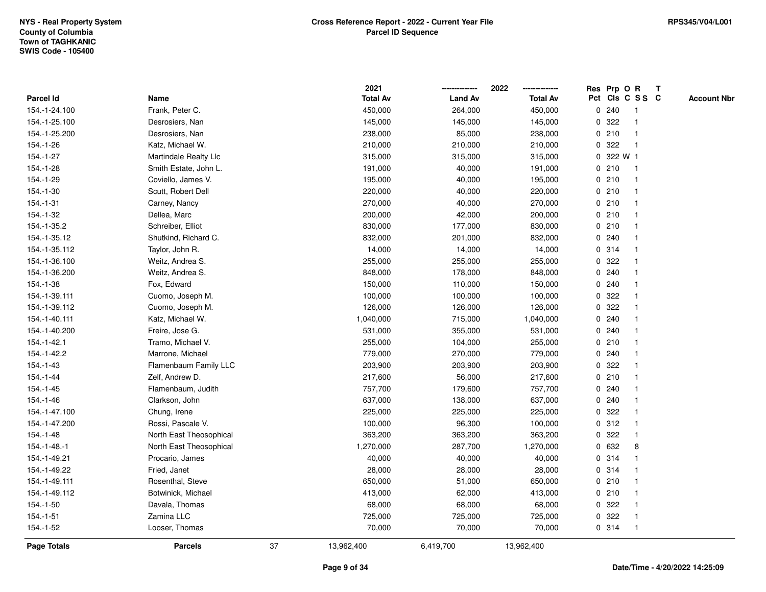|               |                         |    | 2021            |                | 2022            |   | Res Prp O R |                 | Т |                    |
|---------------|-------------------------|----|-----------------|----------------|-----------------|---|-------------|-----------------|---|--------------------|
| Parcel Id     | Name                    |    | <b>Total Av</b> | <b>Land Av</b> | <b>Total Av</b> |   |             | Pct Cls C S S C |   | <b>Account Nbr</b> |
| 154.-1-24.100 | Frank, Peter C.         |    | 450,000         | 264,000        | 450,000         |   | 0.240       | $\mathbf{1}$    |   |                    |
| 154.-1-25.100 | Desrosiers, Nan         |    | 145,000         | 145,000        | 145,000         | 0 | 322         | 1               |   |                    |
| 154.-1-25.200 | Desrosiers, Nan         |    | 238,000         | 85,000         | 238,000         |   | 0210        | $\mathbf{1}$    |   |                    |
| 154.-1-26     | Katz, Michael W.        |    | 210,000         | 210,000        | 210,000         |   | 0.322       | $\mathbf{1}$    |   |                    |
| 154.-1-27     | Martindale Realty Llc   |    | 315,000         | 315,000        | 315,000         |   | 0 322 W 1   |                 |   |                    |
| 154.-1-28     | Smith Estate, John L.   |    | 191,000         | 40,000         | 191,000         |   | 0210        |                 |   |                    |
| 154.-1-29     | Coviello, James V.      |    | 195,000         | 40,000         | 195,000         |   | 0210        | $\mathbf{1}$    |   |                    |
| 154.-1-30     | Scutt, Robert Dell      |    | 220,000         | 40,000         | 220,000         |   | 0210        | $\mathbf{1}$    |   |                    |
| 154.-1-31     | Carney, Nancy           |    | 270,000         | 40,000         | 270,000         |   | 0210        | 1               |   |                    |
| 154.-1-32     | Dellea, Marc            |    | 200,000         | 42,000         | 200,000         |   | 0210        | $\mathbf{1}$    |   |                    |
| 154.-1-35.2   | Schreiber, Elliot       |    | 830,000         | 177,000        | 830,000         |   | 0210        | $\mathbf 1$     |   |                    |
| 154.-1-35.12  | Shutkind, Richard C.    |    | 832,000         | 201,000        | 832,000         |   | 0.240       |                 |   |                    |
| 154.-1-35.112 | Taylor, John R.         |    | 14,000          | 14,000         | 14,000          |   | 0.314       |                 |   |                    |
| 154.-1-36.100 | Weitz, Andrea S.        |    | 255,000         | 255,000        | 255,000         |   | 0.322       |                 |   |                    |
| 154.-1-36.200 | Weitz, Andrea S.        |    | 848,000         | 178,000        | 848,000         |   | 0.240       |                 |   |                    |
| 154.-1-38     | Fox, Edward             |    | 150,000         | 110,000        | 150,000         |   | 0.240       | $\mathbf{1}$    |   |                    |
| 154.-1-39.111 | Cuomo, Joseph M.        |    | 100,000         | 100,000        | 100,000         | 0 | 322         | -1              |   |                    |
| 154.-1-39.112 | Cuomo, Joseph M.        |    | 126,000         | 126,000        | 126,000         |   | 0.322       |                 |   |                    |
| 154.-1-40.111 | Katz, Michael W.        |    | 1,040,000       | 715,000        | 1,040,000       |   | 0.240       |                 |   |                    |
| 154.-1-40.200 | Freire, Jose G.         |    | 531,000         | 355,000        | 531,000         |   | 0.240       |                 |   |                    |
| 154.-1-42.1   | Tramo, Michael V.       |    | 255,000         | 104,000        | 255,000         |   | 0210        |                 |   |                    |
| 154.-1-42.2   | Marrone, Michael        |    | 779,000         | 270,000        | 779,000         |   | 0.240       |                 |   |                    |
| 154.-1-43     | Flamenbaum Family LLC   |    | 203,900         | 203,900        | 203,900         | 0 | 322         | 1               |   |                    |
| 154.-1-44     | Zelf, Andrew D.         |    | 217,600         | 56,000         | 217,600         |   | 0210        | $\mathbf{1}$    |   |                    |
| $154.-1-45$   | Flamenbaum, Judith      |    | 757,700         | 179,600        | 757,700         |   | 0.240       | $\mathbf 1$     |   |                    |
| 154.-1-46     | Clarkson, John          |    | 637,000         | 138,000        | 637,000         |   | 0.240       |                 |   |                    |
| 154.-1-47.100 | Chung, Irene            |    | 225,000         | 225,000        | 225,000         |   | 0.322       |                 |   |                    |
| 154.-1-47.200 | Rossi, Pascale V.       |    | 100,000         | 96,300         | 100,000         |   | 0.312       | $\mathbf{1}$    |   |                    |
| 154.-1-48     | North East Theosophical |    | 363,200         | 363,200        | 363,200         | 0 | 322         | $\mathbf{1}$    |   |                    |
| 154.-1-48.-1  | North East Theosophical |    | 1,270,000       | 287,700        | 1,270,000       |   | 0 632       | 8               |   |                    |
| 154.-1-49.21  | Procario, James         |    | 40,000          | 40,000         | 40,000          |   | 0.314       | 1               |   |                    |
| 154.-1-49.22  | Fried, Janet            |    | 28,000          | 28,000         | 28,000          |   | 0.314       | 1               |   |                    |
| 154.-1-49.111 | Rosenthal, Steve        |    | 650,000         | 51,000         | 650,000         |   | 0210        |                 |   |                    |
| 154.-1-49.112 | Botwinick, Michael      |    | 413,000         | 62,000         | 413,000         |   | 0210        |                 |   |                    |
| 154.-1-50     | Davala, Thomas          |    | 68,000          | 68,000         | 68,000          |   | 0.322       | $\mathbf 1$     |   |                    |
| $154.-1-51$   | Zamina LLC              |    | 725,000         | 725,000        | 725,000         | 0 | 322         | $\mathbf{1}$    |   |                    |
| 154.-1-52     | Looser, Thomas          |    | 70,000          | 70,000         | 70,000          |   | 0.314       | $\mathbf{1}$    |   |                    |
| Page Totals   | <b>Parcels</b>          | 37 | 13,962,400      | 6,419,700      | 13,962,400      |   |             |                 |   |                    |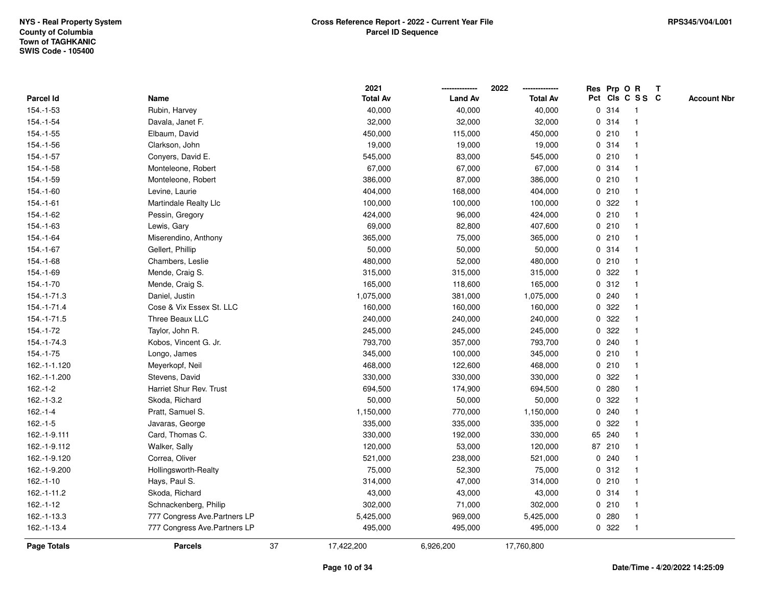|              |                               |    | 2021            |                | 2022            |   | Res Prp O R |                         | T |                    |
|--------------|-------------------------------|----|-----------------|----------------|-----------------|---|-------------|-------------------------|---|--------------------|
| Parcel Id    | Name                          |    | <b>Total Av</b> | <b>Land Av</b> | <b>Total Av</b> |   |             | Pct Cls C S S C         |   | <b>Account Nbr</b> |
| 154.-1-53    | Rubin, Harvey                 |    | 40,000          | 40,000         | 40,000          |   | 0.314       | $\overline{\mathbf{1}}$ |   |                    |
| 154.-1-54    | Davala, Janet F.              |    | 32,000          | 32,000         | 32,000          |   | 0.314       | $\overline{1}$          |   |                    |
| 154.-1-55    | Elbaum, David                 |    | 450,000         | 115,000        | 450,000         |   | 0210        | -1                      |   |                    |
| 154.-1-56    | Clarkson, John                |    | 19,000          | 19,000         | 19,000          |   | 0.314       |                         |   |                    |
| 154.-1-57    | Conyers, David E.             |    | 545,000         | 83,000         | 545,000         |   | 0210        |                         |   |                    |
| 154.-1-58    | Monteleone, Robert            |    | 67,000          | 67,000         | 67,000          |   | 0.314       |                         |   |                    |
| 154.-1-59    | Monteleone, Robert            |    | 386,000         | 87,000         | 386,000         |   | 0210        |                         |   |                    |
| 154.-1-60    | Levine, Laurie                |    | 404,000         | 168,000        | 404,000         |   | 0210        | $\overline{\mathbf{1}}$ |   |                    |
| 154.-1-61    | Martindale Realty Llc         |    | 100,000         | 100,000        | 100,000         |   | 0 322       | -1                      |   |                    |
| 154.-1-62    | Pessin, Gregory               |    | 424,000         | 96,000         | 424,000         |   | 0210        | -1                      |   |                    |
| 154.-1-63    | Lewis, Gary                   |    | 69,000          | 82,800         | 407,600         |   | 0210        |                         |   |                    |
| 154.-1-64    | Miserendino, Anthony          |    | 365,000         | 75,000         | 365,000         |   | 0210        |                         |   |                    |
| 154.-1-67    | Gellert, Phillip              |    | 50,000          | 50,000         | 50,000          |   | 0.314       |                         |   |                    |
| 154.-1-68    | Chambers, Leslie              |    | 480,000         | 52,000         | 480,000         |   | 0210        |                         |   |                    |
| 154.-1-69    | Mende, Craig S.               |    | 315,000         | 315,000        | 315,000         | 0 | 322         | -1                      |   |                    |
| 154.-1-70    | Mende, Craig S.               |    | 165,000         | 118,600        | 165,000         |   | 0.312       | $\overline{\mathbf{1}}$ |   |                    |
| 154.-1-71.3  | Daniel, Justin                |    | 1,075,000       | 381,000        | 1,075,000       |   | 0.240       | -1                      |   |                    |
| 154.-1-71.4  | Cose & Vix Essex St. LLC      |    | 160,000         | 160,000        | 160,000         |   | 0 322       |                         |   |                    |
| 154.-1-71.5  | Three Beaux LLC               |    | 240,000         | 240,000        | 240,000         |   | 0.322       |                         |   |                    |
| 154.-1-72    | Taylor, John R.               |    | 245,000         | 245,000        | 245,000         |   | 0.322       |                         |   |                    |
| 154.-1-74.3  | Kobos, Vincent G. Jr.         |    | 793,700         | 357,000        | 793,700         |   | 0.240       |                         |   |                    |
| $154.-1-75$  | Longo, James                  |    | 345,000         | 100,000        | 345,000         |   | 0210        | -1                      |   |                    |
| 162.-1-1.120 | Meyerkopf, Neil               |    | 468,000         | 122,600        | 468,000         |   | 0210        | -1                      |   |                    |
| 162.-1-1.200 | Stevens, David                |    | 330,000         | 330,000        | 330,000         | 0 | 322         | -1                      |   |                    |
| $162.-1-2$   | Harriet Shur Rev. Trust       |    | 694,500         | 174,900        | 694,500         |   | 0.280       |                         |   |                    |
| 162.-1-3.2   | Skoda, Richard                |    | 50,000          | 50,000         | 50,000          |   | 0.322       |                         |   |                    |
| $162.-1-4$   | Pratt, Samuel S.              |    | 1,150,000       | 770,000        | 1,150,000       |   | 0240        |                         |   |                    |
| $162.-1-5$   | Javaras, George               |    | 335,000         | 335,000        | 335,000         | 0 | 322         |                         |   |                    |
| 162.-1-9.111 | Card, Thomas C.               |    | 330,000         | 192,000        | 330,000         |   | 65 240      | $\overline{1}$          |   |                    |
| 162.-1-9.112 | Walker, Sally                 |    | 120,000         | 53,000         | 120,000         |   | 87 210      | -1                      |   |                    |
| 162.-1-9.120 | Correa, Oliver                |    | 521,000         | 238,000        | 521,000         |   | 0.240       | -1                      |   |                    |
| 162.-1-9.200 | Hollingsworth-Realty          |    | 75,000          | 52,300         | 75,000          |   | 0.312       |                         |   |                    |
| $162.-1-10$  | Hays, Paul S.                 |    | 314,000         | 47,000         | 314,000         |   | 0210        |                         |   |                    |
| 162.-1-11.2  | Skoda, Richard                |    | 43,000          | 43,000         | 43,000          |   | 0.314       |                         |   |                    |
| 162.-1-12    | Schnackenberg, Philip         |    | 302,000         | 71,000         | 302,000         |   | 0210        | -1                      |   |                    |
| 162.-1-13.3  | 777 Congress Ave. Partners LP |    | 5,425,000       | 969,000        | 5,425,000       | 0 | 280         | $\overline{\mathbf{1}}$ |   |                    |
| 162.-1-13.4  | 777 Congress Ave. Partners LP |    | 495,000         | 495,000        | 495,000         |   | 0 322       | $\overline{1}$          |   |                    |
| Page Totals  | <b>Parcels</b>                | 37 | 17,422,200      | 6,926,200      | 17,760,800      |   |             |                         |   |                    |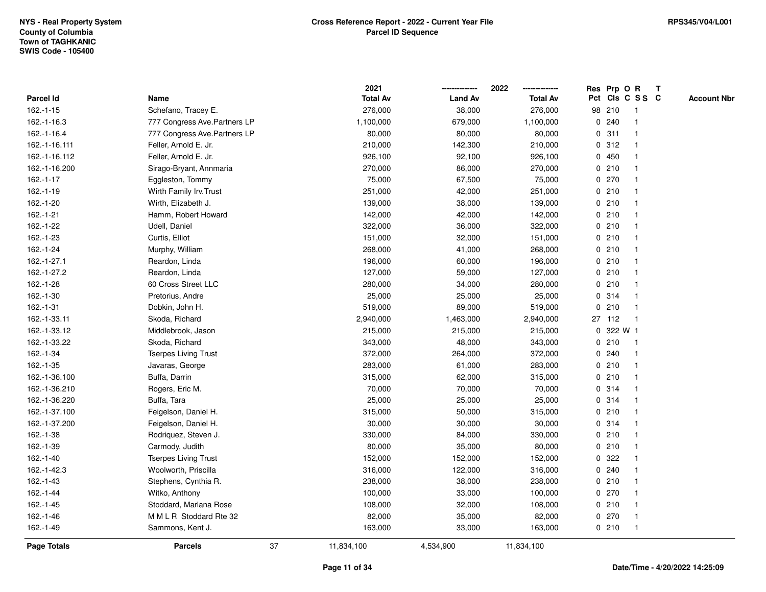|               |                               |    | 2021            |                | 2022            | Res Prp O R |         |           |                         | $\mathbf{T}$ |                    |
|---------------|-------------------------------|----|-----------------|----------------|-----------------|-------------|---------|-----------|-------------------------|--------------|--------------------|
| Parcel Id     | Name                          |    | <b>Total Av</b> | <b>Land Av</b> | <b>Total Av</b> |             |         |           | Pct Cls C S S C         |              | <b>Account Nbr</b> |
| $162.-1-15$   | Schefano, Tracey E.           |    | 276,000         | 38,000         | 276,000         |             | 98 210  |           |                         |              |                    |
| 162.-1-16.3   | 777 Congress Ave. Partners LP |    | 1,100,000       | 679,000        | 1,100,000       |             | 0.240   |           |                         |              |                    |
| 162.-1-16.4   | 777 Congress Ave. Partners LP |    | 80,000          | 80,000         | 80,000          | 0           | 311     |           |                         |              |                    |
| 162.-1-16.111 | Feller, Arnold E. Jr.         |    | 210,000         | 142,300        | 210,000         | 0           | 312     |           | -1                      |              |                    |
| 162.-1-16.112 | Feller, Arnold E. Jr.         |    | 926,100         | 92,100         | 926,100         |             | 0450    |           | $\mathbf 1$             |              |                    |
| 162.-1-16.200 | Sirago-Bryant, Annmaria       |    | 270,000         | 86,000         | 270,000         |             | 0210    |           |                         |              |                    |
| $162.-1-17$   | Eggleston, Tommy              |    | 75,000          | 67,500         | 75,000          |             | 0270    |           |                         |              |                    |
| 162.-1-19     | Wirth Family Irv. Trust       |    | 251,000         | 42,000         | 251,000         |             | 0210    |           |                         |              |                    |
| 162.-1-20     | Wirth, Elizabeth J.           |    | 139,000         | 38,000         | 139,000         |             | 0210    |           | -1                      |              |                    |
| 162.-1-21     | Hamm, Robert Howard           |    | 142,000         | 42,000         | 142,000         |             | 0210    |           | $\mathbf{1}$            |              |                    |
| 162.-1-22     | Udell, Daniel                 |    | 322,000         | 36,000         | 322,000         |             | 0210    |           | -1                      |              |                    |
| 162.-1-23     | Curtis, Elliot                |    | 151,000         | 32,000         | 151,000         |             | 0210    |           | $\mathbf 1$             |              |                    |
| 162.-1-24     | Murphy, William               |    | 268,000         | 41,000         | 268,000         |             | 0210    |           |                         |              |                    |
| 162.-1-27.1   | Reardon, Linda                |    | 196,000         | 60,000         | 196,000         |             | 0210    |           |                         |              |                    |
| 162.-1-27.2   | Reardon, Linda                |    | 127,000         | 59,000         | 127,000         |             | 0210    |           |                         |              |                    |
| 162.-1-28     | 60 Cross Street LLC           |    | 280,000         | 34,000         | 280,000         |             | 0210    |           | -1                      |              |                    |
| 162.-1-30     | Pretorius, Andre              |    | 25,000          | 25,000         | 25,000          | $\mathbf 0$ | 314     |           | $\mathbf{1}$            |              |                    |
| 162.-1-31     | Dobkin, John H.               |    | 519,000         | 89,000         | 519,000         | 0           | 210     |           | $\mathbf 1$             |              |                    |
| 162.-1-33.11  | Skoda, Richard                |    | 2,940,000       | 1,463,000      | 2,940,000       |             | 27 112  |           | $\mathbf{1}$            |              |                    |
| 162.-1-33.12  | Middlebrook, Jason            |    | 215,000         | 215,000        | 215,000         |             |         | 0 322 W 1 |                         |              |                    |
| 162.-1-33.22  | Skoda, Richard                |    | 343,000         | 48,000         | 343,000         |             | 0210    |           |                         |              |                    |
| 162.-1-34     | <b>Tserpes Living Trust</b>   |    | 372,000         | 264,000        | 372,000         |             | 0.240   |           | $\overline{\mathbf{1}}$ |              |                    |
| 162.-1-35     | Javaras, George               |    | 283,000         | 61,000         | 283,000         |             | 0210    |           |                         |              |                    |
| 162.-1-36.100 | Buffa, Darrin                 |    | 315,000         | 62,000         | 315,000         |             | 0210    |           | $\mathbf{1}$            |              |                    |
| 162.-1-36.210 | Rogers, Eric M.               |    | 70,000          | 70,000         | 70,000          |             | 0.314   |           | -1                      |              |                    |
| 162.-1-36.220 | Buffa, Tara                   |    | 25,000          | 25,000         | 25,000          |             | 0.314   |           | -1                      |              |                    |
| 162.-1-37.100 | Feigelson, Daniel H.          |    | 315,000         | 50,000         | 315,000         |             | 0210    |           |                         |              |                    |
| 162.-1-37.200 | Feigelson, Daniel H.          |    | 30,000          | 30,000         | 30,000          |             | 0.314   |           |                         |              |                    |
| 162.-1-38     | Rodriguez, Steven J.          |    | 330,000         | 84,000         | 330,000         |             | 0210    |           |                         |              |                    |
| 162.-1-39     | Carmody, Judith               |    | 80,000          | 35,000         | 80,000          |             | 0210    |           |                         |              |                    |
| 162.-1-40     | <b>Tserpes Living Trust</b>   |    | 152,000         | 152,000        | 152,000         | 0           | 322     |           |                         |              |                    |
| 162.-1-42.3   | Woolworth, Priscilla          |    | 316,000         | 122,000        | 316,000         |             | 0.240   |           | $\mathbf 1$             |              |                    |
| 162.-1-43     | Stephens, Cynthia R.          |    | 238,000         | 38,000         | 238,000         |             | 0210    |           |                         |              |                    |
| 162.-1-44     | Witko, Anthony                |    | 100,000         | 33,000         | 100,000         |             | 0270    |           |                         |              |                    |
| 162.-1-45     | Stoddard, Marlana Rose        |    | 108,000         | 32,000         | 108,000         |             | 0210    |           |                         |              |                    |
| 162.-1-46     | MMLR Stoddard Rte 32          |    | 82,000          | 35,000         | 82,000          |             | $0$ 270 |           | $\mathbf{1}$            |              |                    |
| 162.-1-49     | Sammons, Kent J.              |    | 163,000         | 33,000         | 163,000         |             | 0210    |           | $\mathbf{1}$            |              |                    |
| Page Totals   | <b>Parcels</b>                | 37 | 11,834,100      | 4,534,900      | 11,834,100      |             |         |           |                         |              |                    |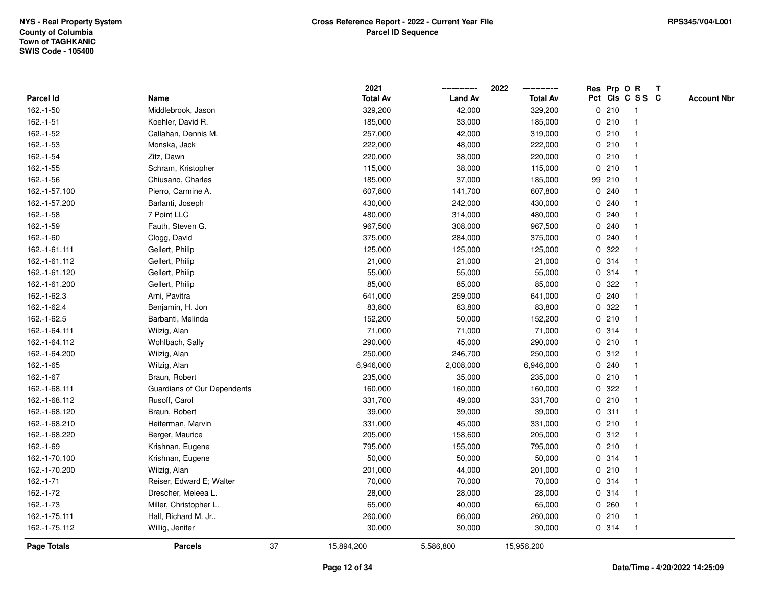|                    |                             |    | 2021            |                | 2022            |         | Res Prp O R     | T |                    |
|--------------------|-----------------------------|----|-----------------|----------------|-----------------|---------|-----------------|---|--------------------|
| <b>Parcel Id</b>   | Name                        |    | <b>Total Av</b> | <b>Land Av</b> | <b>Total Av</b> |         | Pct Cls C S S C |   | <b>Account Nbr</b> |
| $162.-1-50$        | Middlebrook, Jason          |    | 329,200         | 42,000         | 329,200         | 0210    | $\mathbf{1}$    |   |                    |
| 162.-1-51          | Koehler, David R.           |    | 185,000         | 33,000         | 185,000         | 0210    | $\mathbf{1}$    |   |                    |
| 162.-1-52          | Callahan, Dennis M.         |    | 257,000         | 42,000         | 319,000         | 0210    | $\mathbf{1}$    |   |                    |
| 162.-1-53          | Monska, Jack                |    | 222,000         | 48,000         | 222,000         | 0210    | $\mathbf{1}$    |   |                    |
| 162.-1-54          | Zitz, Dawn                  |    | 220,000         | 38,000         | 220,000         | 0210    | $\mathbf{1}$    |   |                    |
| $162.-1-55$        | Schram, Kristopher          |    | 115,000         | 38,000         | 115,000         | 0210    | $\mathbf{1}$    |   |                    |
| $162.-1-56$        | Chiusano, Charles           |    | 185,000         | 37,000         | 185,000         | 99 210  | $\mathbf{1}$    |   |                    |
| 162.-1-57.100      | Pierro, Carmine A.          |    | 607,800         | 141,700        | 607,800         | 0.240   | $\mathbf{1}$    |   |                    |
| 162.-1-57.200      | Barlanti, Joseph            |    | 430,000         | 242,000        | 430,000         | 0.240   | $\mathbf{1}$    |   |                    |
| 162.-1-58          | 7 Point LLC                 |    | 480,000         | 314,000        | 480,000         | 0.240   | $\mathbf{1}$    |   |                    |
| 162.-1-59          | Fauth, Steven G.            |    | 967,500         | 308,000        | 967,500         | 0.240   | $\mathbf{1}$    |   |                    |
| $162.-1-60$        | Clogg, David                |    | 375,000         | 284,000        | 375,000         | 0.240   | 1               |   |                    |
| 162.-1-61.111      | Gellert, Philip             |    | 125,000         | 125,000        | 125,000         | 0.322   | 1               |   |                    |
| 162.-1-61.112      | Gellert, Philip             |    | 21,000          | 21,000         | 21,000          | 0.314   | $\mathbf{1}$    |   |                    |
| 162.-1-61.120      | Gellert, Philip             |    | 55,000          | 55,000         | 55,000          | 0.314   | $\mathbf{1}$    |   |                    |
| 162.-1-61.200      | Gellert, Philip             |    | 85,000          | 85,000         | 85,000          | 0.322   | $\mathbf{1}$    |   |                    |
| 162.-1-62.3        | Arni, Pavitra               |    | 641,000         | 259,000        | 641,000         | $0$ 240 | $\mathbf{1}$    |   |                    |
| 162.-1-62.4        | Benjamin, H. Jon            |    | 83,800          | 83,800         | 83,800          | 0.322   | $\mathbf{1}$    |   |                    |
| 162.-1-62.5        | Barbanti, Melinda           |    | 152,200         | 50,000         | 152,200         | 0210    | 1               |   |                    |
| 162.-1-64.111      | Wilzig, Alan                |    | 71,000          | 71,000         | 71,000          | 0.314   | 1               |   |                    |
| 162.-1-64.112      | Wohlbach, Sally             |    | 290,000         | 45,000         | 290,000         | 0210    | $\mathbf{1}$    |   |                    |
| 162.-1-64.200      | Wilzig, Alan                |    | 250,000         | 246,700        | 250,000         | 0.312   | $\mathbf{1}$    |   |                    |
| $162.-1-65$        | Wilzig, Alan                |    | 6,946,000       | 2,008,000      | 6,946,000       | 0.240   | $\mathbf{1}$    |   |                    |
| 162.-1-67          | Braun, Robert               |    | 235,000         | 35,000         | 235,000         | 0210    | $\mathbf{1}$    |   |                    |
| 162.-1-68.111      | Guardians of Our Dependents |    | 160,000         | 160,000        | 160,000         | 0.322   | $\mathbf{1}$    |   |                    |
| 162.-1-68.112      | Rusoff, Carol               |    | 331,700         | 49,000         | 331,700         | 0210    | 1               |   |                    |
| 162.-1-68.120      | Braun, Robert               |    | 39,000          | 39,000         | 39,000          | 0.311   | 1               |   |                    |
| 162.-1-68.210      | Heiferman, Marvin           |    | 331,000         | 45,000         | 331,000         | 0210    | 1               |   |                    |
| 162.-1-68.220      | Berger, Maurice             |    | 205,000         | 158,600        | 205,000         | 0.312   | $\mathbf{1}$    |   |                    |
| 162.-1-69          | Krishnan, Eugene            |    | 795,000         | 155,000        | 795,000         | 0210    | $\mathbf{1}$    |   |                    |
| 162.-1-70.100      | Krishnan, Eugene            |    | 50,000          | 50,000         | 50,000          | 0.314   | $\mathbf{1}$    |   |                    |
| 162.-1-70.200      | Wilzig, Alan                |    | 201,000         | 44,000         | 201,000         | 0210    | $\mathbf{1}$    |   |                    |
| $162.-1-71$        | Reiser, Edward E; Walter    |    | 70,000          | 70,000         | 70,000          | 0.314   | 1               |   |                    |
| 162.-1-72          | Drescher, Meleea L.         |    | 28,000          | 28,000         | 28,000          | 0.314   | 1               |   |                    |
| 162.-1-73          | Miller, Christopher L.      |    | 65,000          | 40,000         | 65,000          | 0.260   | 1               |   |                    |
| 162.-1-75.111      | Hall, Richard M. Jr         |    | 260,000         | 66,000         | 260,000         | 0210    | $\mathbf{1}$    |   |                    |
| 162.-1-75.112      | Willig, Jenifer             |    | 30,000          | 30,000         | 30,000          | 0.314   | $\mathbf{1}$    |   |                    |
| <b>Page Totals</b> | <b>Parcels</b>              | 37 | 15,894,200      | 5,586,800      | 15,956,200      |         |                 |   |                    |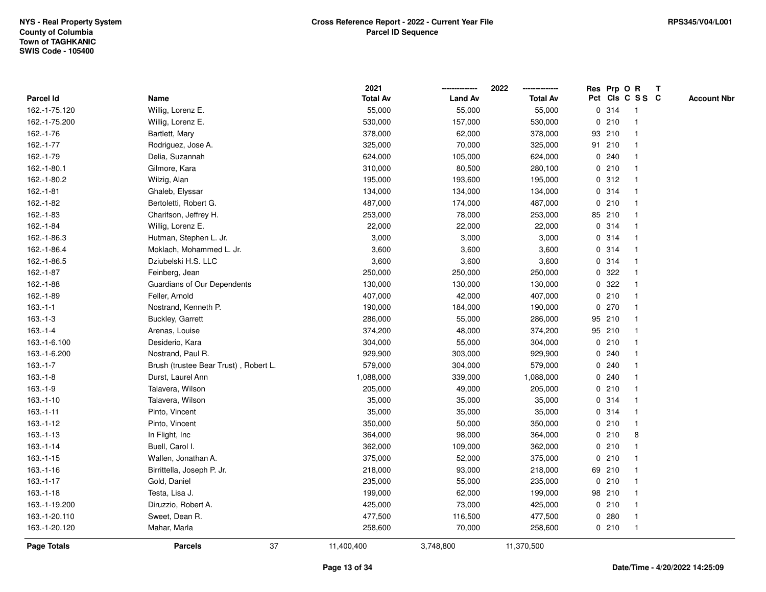|                    |                                       | 2021            |                | 2022            |             |        | Res Prp O R     | $\mathbf{T}$ |                    |
|--------------------|---------------------------------------|-----------------|----------------|-----------------|-------------|--------|-----------------|--------------|--------------------|
| Parcel Id          | Name                                  | <b>Total Av</b> | <b>Land Av</b> | <b>Total Av</b> |             |        | Pct Cls C S S C |              | <b>Account Nbr</b> |
| 162.-1-75.120      | Willig, Lorenz E.                     | 55,000          | 55,000         | 55,000          |             | 0 314  | -1              |              |                    |
| 162.-1-75.200      | Willig, Lorenz E.                     | 530,000         | 157,000        | 530,000         |             | 0210   |                 |              |                    |
| 162.-1-76          | Bartlett, Mary                        | 378,000         | 62,000         | 378,000         |             | 93 210 | -1              |              |                    |
| 162.-1-77          | Rodriguez, Jose A.                    | 325,000         | 70,000         | 325,000         |             | 91 210 | $\mathbf{1}$    |              |                    |
| 162.-1-79          | Delia, Suzannah                       | 624,000         | 105,000        | 624,000         |             | 0.240  | -1              |              |                    |
| 162.-1-80.1        | Gilmore, Kara                         | 310,000         | 80,500         | 280,100         |             | 0210   | -1              |              |                    |
| 162.-1-80.2        | Wilzig, Alan                          | 195,000         | 193,600        | 195,000         |             | 0.312  |                 |              |                    |
| 162.-1-81          | Ghaleb, Elyssar                       | 134,000         | 134,000        | 134,000         |             | 0.314  |                 |              |                    |
| 162.-1-82          | Bertoletti, Robert G.                 | 487,000         | 174,000        | 487,000         |             | 0210   | $\overline{1}$  |              |                    |
| 162.-1-83          | Charifson, Jeffrey H.                 | 253,000         | 78,000         | 253,000         |             | 85 210 |                 |              |                    |
| 162.-1-84          | Willig, Lorenz E.                     | 22,000          | 22,000         | 22,000          |             | 0.314  | $\mathbf{1}$    |              |                    |
| 162.-1-86.3        | Hutman, Stephen L. Jr.                | 3,000           | 3,000          | 3,000           |             | 0.314  | -1              |              |                    |
| 162.-1-86.4        | Moklach, Mohammed L. Jr.              | 3,600           | 3,600          | 3,600           |             | 0.314  |                 |              |                    |
| 162.-1-86.5        | Dziubelski H.S. LLC                   | 3,600           | 3,600          | 3,600           |             | 0.314  |                 |              |                    |
| 162.-1-87          | Feinberg, Jean                        | 250,000         | 250,000        | 250,000         |             | 0.322  |                 |              |                    |
| 162.-1-88          | Guardians of Our Dependents           | 130,000         | 130,000        | 130,000         |             | 0.322  |                 |              |                    |
| 162.-1-89          | Feller, Arnold                        | 407,000         | 42,000         | 407,000         | $\mathbf 0$ | 210    | $\mathbf{1}$    |              |                    |
| $163.-1-1$         | Nostrand, Kenneth P.                  | 190,000         | 184,000        | 190,000         | 0           | 270    | -1              |              |                    |
| $163.-1-3$         | Buckley, Garrett                      | 286,000         | 55,000         | 286,000         |             | 95 210 | $\mathbf{1}$    |              |                    |
| $163.-1-4$         | Arenas, Louise                        | 374,200         | 48,000         | 374,200         |             | 95 210 |                 |              |                    |
| 163.-1-6.100       | Desiderio, Kara                       | 304,000         | 55,000         | 304,000         |             | 0210   |                 |              |                    |
| 163.-1-6.200       | Nostrand, Paul R.                     | 929,900         | 303,000        | 929,900         |             | 0.240  |                 |              |                    |
| $163.-1-7$         | Brush (trustee Bear Trust), Robert L. | 579,000         | 304,000        | 579,000         |             | 0.240  |                 |              |                    |
| $163.-1-8$         | Durst, Laurel Ann                     | 1,088,000       | 339,000        | 1,088,000       |             | 0.240  | $\overline{1}$  |              |                    |
| $163.-1-9$         | Talavera, Wilson                      | 205,000         | 49,000         | 205,000         |             | 0210   | -1              |              |                    |
| $163.-1-10$        | Talavera, Wilson                      | 35,000          | 35,000         | 35,000          |             | 0.314  | -1              |              |                    |
| $163.-1-11$        | Pinto, Vincent                        | 35,000          | 35,000         | 35,000          |             | 0.314  |                 |              |                    |
| $163.-1-12$        | Pinto, Vincent                        | 350,000         | 50,000         | 350,000         |             | 0210   |                 |              |                    |
| $163.-1-13$        | In Flight, Inc.                       | 364,000         | 98,000         | 364,000         |             | 0210   | 8               |              |                    |
| $163.-1-14$        | Buell, Carol I.                       | 362,000         | 109,000        | 362,000         |             | 0210   |                 |              |                    |
| $163.-1-15$        | Wallen, Jonathan A.                   | 375,000         | 52,000         | 375,000         |             | 0210   | $\mathbf{1}$    |              |                    |
| 163.-1-16          | Birrittella, Joseph P. Jr.            | 218,000         | 93,000         | 218,000         |             | 69 210 | $\mathbf 1$     |              |                    |
| $163.-1-17$        | Gold, Daniel                          | 235,000         | 55,000         | 235,000         |             | 0210   | -1              |              |                    |
| $163.-1-18$        | Testa, Lisa J.                        | 199,000         | 62,000         | 199,000         |             | 98 210 |                 |              |                    |
| 163.-1-19.200      | Diruzzio, Robert A.                   | 425,000         | 73,000         | 425,000         |             | 0210   |                 |              |                    |
| 163.-1-20.110      | Sweet, Dean R.                        | 477,500         | 116,500        | 477,500         |             | 0.280  | $\mathbf{1}$    |              |                    |
| 163.-1-20.120      | Mahar, Marla                          | 258,600         | 70,000         | 258,600         |             | 0210   | $\mathbf{1}$    |              |                    |
| <b>Page Totals</b> | 37<br><b>Parcels</b>                  | 11,400,400      | 3,748,800      | 11,370,500      |             |        |                 |              |                    |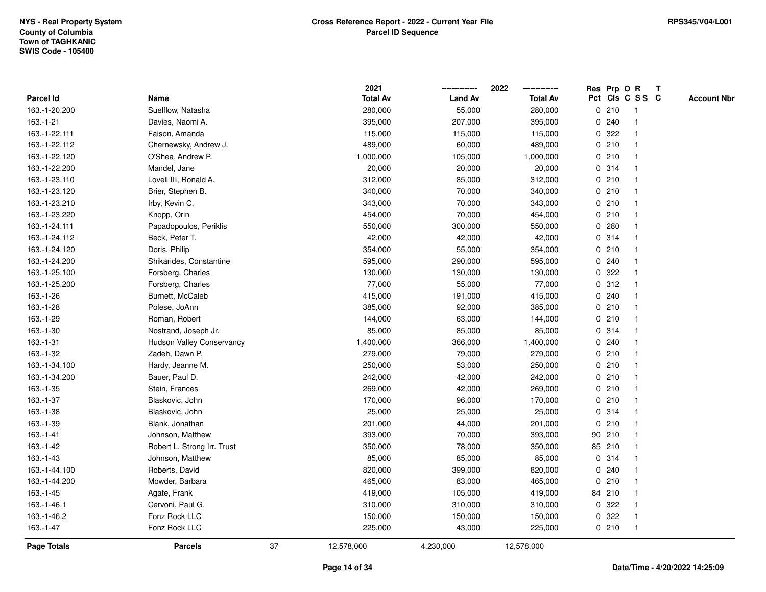|                    |                             |    | 2021            |                | 2022            |             |        | Res Prp O R     | $\mathbf{T}$ |                    |
|--------------------|-----------------------------|----|-----------------|----------------|-----------------|-------------|--------|-----------------|--------------|--------------------|
| <b>Parcel Id</b>   | Name                        |    | <b>Total Av</b> | <b>Land Av</b> | <b>Total Av</b> |             |        | Pct Cls C S S C |              | <b>Account Nbr</b> |
| 163.-1-20.200      | Suelflow, Natasha           |    | 280,000         | 55,000         | 280,000         |             | 0210   |                 |              |                    |
| 163.-1-21          | Davies, Naomi A.            |    | 395,000         | 207,000        | 395,000         | 0           | 240    |                 |              |                    |
| 163.-1-22.111      | Faison, Amanda              |    | 115,000         | 115,000        | 115,000         | $\mathbf 0$ | 322    |                 |              |                    |
| 163.-1-22.112      | Chernewsky, Andrew J.       |    | 489,000         | 60,000         | 489,000         | $\mathbf 0$ | 210    | $\mathbf{1}$    |              |                    |
| 163.-1-22.120      | O'Shea, Andrew P.           |    | 1,000,000       | 105,000        | 1,000,000       |             | 0210   | $\mathbf 1$     |              |                    |
| 163.-1-22.200      | Mandel, Jane                |    | 20,000          | 20,000         | 20,000          |             | 0.314  |                 |              |                    |
| 163.-1-23.110      | Lovell III, Ronald A.       |    | 312,000         | 85,000         | 312,000         |             | 0210   |                 |              |                    |
| 163.-1-23.120      | Brier, Stephen B.           |    | 340,000         | 70,000         | 340,000         |             | 0210   |                 |              |                    |
| 163.-1-23.210      | Irby, Kevin C.              |    | 343,000         | 70,000         | 343,000         |             | 0210   |                 |              |                    |
| 163.-1-23.220      | Knopp, Orin                 |    | 454,000         | 70,000         | 454,000         |             | 0210   |                 |              |                    |
| 163.-1-24.111      | Papadopoulos, Periklis      |    | 550,000         | 300,000        | 550,000         |             | 0.280  | -1              |              |                    |
| 163.-1-24.112      | Beck, Peter T.              |    | 42,000          | 42,000         | 42,000          |             | 0.314  |                 |              |                    |
| 163.-1-24.120      | Doris, Philip               |    | 354,000         | 55,000         | 354,000         |             | 0210   |                 |              |                    |
| 163.-1-24.200      | Shikarides, Constantine     |    | 595,000         | 290,000        | 595,000         |             | 0.240  |                 |              |                    |
| 163.-1-25.100      | Forsberg, Charles           |    | 130,000         | 130,000        | 130,000         | 0           | 322    |                 |              |                    |
| 163.-1-25.200      | Forsberg, Charles           |    | 77,000          | 55,000         | 77,000          |             | 0.312  |                 |              |                    |
| 163.-1-26          | Burnett, McCaleb            |    | 415,000         | 191,000        | 415,000         | 0           | 240    |                 |              |                    |
| 163.-1-28          | Polese, JoAnn               |    | 385,000         | 92,000         | 385,000         |             | 0210   | -1              |              |                    |
| 163.-1-29          | Roman, Robert               |    | 144,000         | 63,000         | 144,000         |             | 0210   |                 |              |                    |
| $163.-1-30$        | Nostrand, Joseph Jr.        |    | 85,000          | 85,000         | 85,000          |             | 0.314  |                 |              |                    |
| 163.-1-31          | Hudson Valley Conservancy   |    | 1,400,000       | 366,000        | 1,400,000       |             | 0.240  |                 |              |                    |
| 163.-1-32          | Zadeh, Dawn P.              |    | 279,000         | 79,000         | 279,000         |             | 0210   |                 |              |                    |
| 163.-1-34.100      | Hardy, Jeanne M.            |    | 250,000         | 53,000         | 250,000         |             | 0210   |                 |              |                    |
| 163.-1-34.200      | Bauer, Paul D.              |    | 242,000         | 42,000         | 242,000         | $\mathbf 0$ | 210    | $\mathbf{1}$    |              |                    |
| 163.-1-35          | Stein, Frances              |    | 269,000         | 42,000         | 269,000         |             | 0210   |                 |              |                    |
| 163.-1-37          | Blaskovic, John             |    | 170,000         | 96,000         | 170,000         |             | 0210   | $\mathbf 1$     |              |                    |
| 163.-1-38          | Blaskovic, John             |    | 25,000          | 25,000         | 25,000          |             | 0.314  |                 |              |                    |
| 163.-1-39          | Blank, Jonathan             |    | 201,000         | 44,000         | 201,000         |             | 0210   |                 |              |                    |
| 163.-1-41          | Johnson, Matthew            |    | 393,000         | 70,000         | 393,000         |             | 90 210 |                 |              |                    |
| 163.-1-42          | Robert L. Strong Irr. Trust |    | 350,000         | 78,000         | 350,000         |             | 85 210 |                 |              |                    |
| 163.-1-43          | Johnson, Matthew            |    | 85,000          | 85,000         | 85,000          |             | 0.314  | -1              |              |                    |
| 163.-1-44.100      | Roberts, David              |    | 820,000         | 399,000        | 820,000         |             | 0.240  |                 |              |                    |
| 163.-1-44.200      | Mowder, Barbara             |    | 465,000         | 83,000         | 465,000         |             | 0210   |                 |              |                    |
| 163.-1-45          | Agate, Frank                |    | 419,000         | 105,000        | 419,000         |             | 84 210 |                 |              |                    |
| 163.-1-46.1        | Cervoni, Paul G.            |    | 310,000         | 310,000        | 310,000         |             | 0 322  |                 |              |                    |
| 163.-1-46.2        | Fonz Rock LLC               |    | 150,000         | 150,000        | 150,000         |             | 0 322  | $\mathbf{1}$    |              |                    |
| 163.-1-47          | Fonz Rock LLC               |    | 225,000         | 43,000         | 225,000         |             | 0210   | $\mathbf{1}$    |              |                    |
| <b>Page Totals</b> | <b>Parcels</b>              | 37 | 12,578,000      | 4,230,000      | 12,578,000      |             |        |                 |              |                    |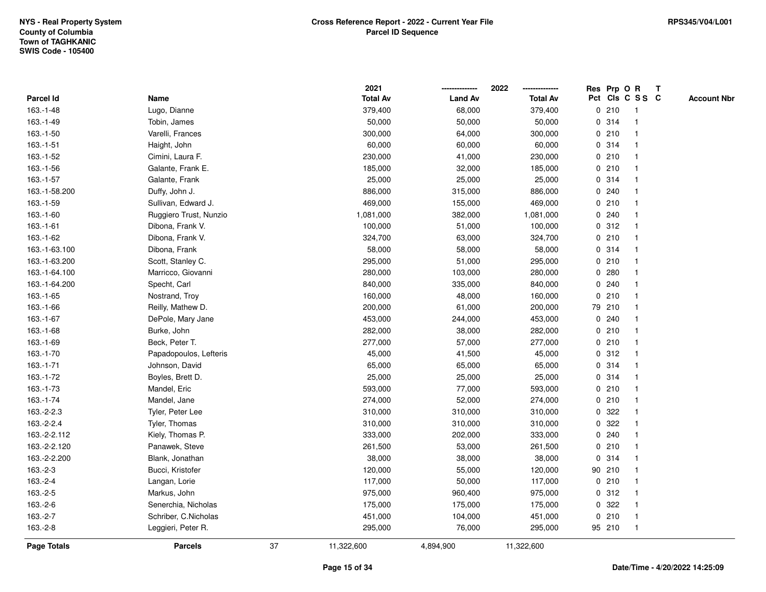|               |                        |    | 2021            |                | 2022            |              |        | Res Prp O R     | $\mathsf{T}$ |                    |
|---------------|------------------------|----|-----------------|----------------|-----------------|--------------|--------|-----------------|--------------|--------------------|
| Parcel Id     | Name                   |    | <b>Total Av</b> | <b>Land Av</b> | <b>Total Av</b> |              |        | Pct Cls C S S C |              | <b>Account Nbr</b> |
| 163.-1-48     | Lugo, Dianne           |    | 379,400         | 68,000         | 379,400         |              | 0210   | 1               |              |                    |
| 163.-1-49     | Tobin, James           |    | 50,000          | 50,000         | 50,000          |              | 0 314  |                 |              |                    |
| 163.-1-50     | Varelli, Frances       |    | 300,000         | 64,000         | 300,000         |              | 0210   |                 |              |                    |
| $163.-1-51$   | Haight, John           |    | 60,000          | 60,000         | 60,000          | $\mathbf 0$  | 314    | -1              |              |                    |
| 163.-1-52     | Cimini, Laura F.       |    | 230,000         | 41,000         | 230,000         | $\mathbf 0$  | 210    | $\mathbf{1}$    |              |                    |
| 163.-1-56     | Galante, Frank E.      |    | 185,000         | 32,000         | 185,000         |              | 0210   | $\mathbf 1$     |              |                    |
| 163.-1-57     | Galante, Frank         |    | 25,000          | 25,000         | 25,000          |              | 0 314  |                 |              |                    |
| 163.-1-58.200 | Duffy, John J.         |    | 886,000         | 315,000        | 886,000         |              | 0.240  |                 |              |                    |
| 163.-1-59     | Sullivan, Edward J.    |    | 469,000         | 155,000        | 469,000         |              | 0210   |                 |              |                    |
| 163.-1-60     | Ruggiero Trust, Nunzio |    | 1,081,000       | 382,000        | 1,081,000       |              | 0.240  |                 |              |                    |
| $163.-1-61$   | Dibona, Frank V.       |    | 100,000         | 51,000         | 100,000         | 0            | 312    | -1              |              |                    |
| 163.-1-62     | Dibona, Frank V.       |    | 324,700         | 63,000         | 324,700         | $\mathbf{0}$ | 210    | $\overline{1}$  |              |                    |
| 163.-1-63.100 | Dibona, Frank          |    | 58,000          | 58,000         | 58,000          |              | 0 314  |                 |              |                    |
| 163.-1-63.200 | Scott, Stanley C.      |    | 295,000         | 51,000         | 295,000         |              | 0210   |                 |              |                    |
| 163.-1-64.100 | Marricco, Giovanni     |    | 280,000         | 103,000        | 280,000         | 0            | 280    |                 |              |                    |
| 163.-1-64.200 | Specht, Carl           |    | 840,000         | 335,000        | 840,000         |              | 0.240  |                 |              |                    |
| $163.-1-65$   | Nostrand, Troy         |    | 160,000         | 48,000         | 160,000         | 0            | 210    | $\mathbf{1}$    |              |                    |
| 163.-1-66     | Reilly, Mathew D.      |    | 200,000         | 61,000         | 200,000         |              | 79 210 | -1              |              |                    |
| 163.-1-67     | DePole, Mary Jane      |    | 453,000         | 244,000        | 453,000         |              | 0.240  | $\mathbf 1$     |              |                    |
| 163.-1-68     | Burke, John            |    | 282,000         | 38,000         | 282,000         |              | 0210   |                 |              |                    |
| 163.-1-69     | Beck, Peter T.         |    | 277,000         | 57,000         | 277,000         |              | 0210   |                 |              |                    |
| 163.-1-70     | Papadopoulos, Lefteris |    | 45,000          | 41,500         | 45,000          |              | 0.312  |                 |              |                    |
| 163.-1-71     | Johnson, David         |    | 65,000          | 65,000         | 65,000          |              | 0 314  |                 |              |                    |
| 163.-1-72     | Boyles, Brett D.       |    | 25,000          | 25,000         | 25,000          | 0            | 314    | $\mathbf{1}$    |              |                    |
| 163.-1-73     | Mandel, Eric           |    | 593,000         | 77,000         | 593,000         | 0            | 210    | -1              |              |                    |
| 163.-1-74     | Mandel, Jane           |    | 274,000         | 52,000         | 274,000         |              | 0210   | 1               |              |                    |
| 163.-2-2.3    | Tyler, Peter Lee       |    | 310,000         | 310,000        | 310,000         |              | 0.322  |                 |              |                    |
| 163.-2-2.4    | Tyler, Thomas          |    | 310,000         | 310,000        | 310,000         | 0            | 322    |                 |              |                    |
| 163.-2-2.112  | Kiely, Thomas P.       |    | 333,000         | 202,000        | 333,000         |              | 0.240  |                 |              |                    |
| 163.-2-2.120  | Panawek, Steve         |    | 261,500         | 53,000         | 261,500         | 0            | 210    | 1               |              |                    |
| 163.-2-2.200  | Blank, Jonathan        |    | 38,000          | 38,000         | 38,000          | $\mathbf{0}$ | 314    | $\overline{1}$  |              |                    |
| 163.-2-3      | Bucci, Kristofer       |    | 120,000         | 55,000         | 120,000         |              | 90 210 | $\mathbf 1$     |              |                    |
| 163.-2-4      | Langan, Lorie          |    | 117,000         | 50,000         | 117,000         |              | 0210   |                 |              |                    |
| 163.-2-5      | Markus, John           |    | 975,000         | 960,400        | 975,000         |              | 0.312  |                 |              |                    |
| 163.-2-6      | Senerchia, Nicholas    |    | 175,000         | 175,000        | 175,000         | $\mathbf{0}$ | 322    |                 |              |                    |
| $163.-2-7$    | Schriber, C.Nicholas   |    | 451,000         | 104,000        | 451,000         | 0            | 210    | $\overline{1}$  |              |                    |
| 163.-2-8      | Leggieri, Peter R.     |    | 295,000         | 76,000         | 295,000         |              | 95 210 | $\overline{1}$  |              |                    |
| Page Totals   | <b>Parcels</b>         | 37 | 11,322,600      | 4,894,900      | 11,322,600      |              |        |                 |              |                    |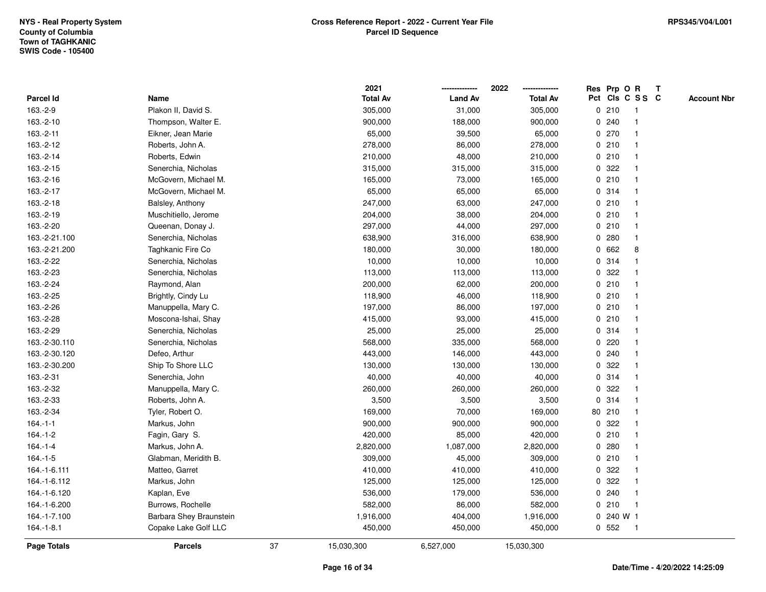|               |                         |    | 2021            |                | 2022            |             |           | Res Prp O R             | $\mathbf{T}$ |                    |
|---------------|-------------------------|----|-----------------|----------------|-----------------|-------------|-----------|-------------------------|--------------|--------------------|
| Parcel Id     | Name                    |    | <b>Total Av</b> | <b>Land Av</b> | <b>Total Av</b> |             |           | Pct Cls C S S C         |              | <b>Account Nbr</b> |
| 163.-2-9      | Plakon II, David S.     |    | 305,000         | 31,000         | 305,000         |             | 0210      | -1                      |              |                    |
| 163.-2-10     | Thompson, Walter E.     |    | 900,000         | 188,000        | 900,000         | 0           | 240       |                         |              |                    |
| 163.-2-11     | Eikner, Jean Marie      |    | 65,000          | 39,500         | 65,000          |             | 0270      | -1                      |              |                    |
| 163.-2-12     | Roberts, John A.        |    | 278,000         | 86,000         | 278,000         | 0           | 210       | $\mathbf{1}$            |              |                    |
| 163.-2-14     | Roberts, Edwin          |    | 210,000         | 48,000         | 210,000         |             | 0210      | $\mathbf{1}$            |              |                    |
| 163.-2-15     | Senerchia, Nicholas     |    | 315,000         | 315,000        | 315,000         |             | 0.322     | -1                      |              |                    |
| 163.-2-16     | McGovern, Michael M.    |    | 165,000         | 73,000         | 165,000         |             | 0210      |                         |              |                    |
| 163.-2-17     | McGovern, Michael M.    |    | 65,000          | 65,000         | 65,000          |             | 0.314     |                         |              |                    |
| 163.-2-18     | Balsley, Anthony        |    | 247,000         | 63,000         | 247,000         |             | 0210      | -1                      |              |                    |
| 163.-2-19     | Muschitiello, Jerome    |    | 204,000         | 38,000         | 204,000         |             | 0210      |                         |              |                    |
| 163.-2-20     | Queenan, Donay J.       |    | 297,000         | 44,000         | 297,000         |             | 0210      | $\mathbf{1}$            |              |                    |
| 163.-2-21.100 | Senerchia, Nicholas     |    | 638,900         | 316,000        | 638,900         | $\mathbf 0$ | 280       | $\mathbf{1}$            |              |                    |
| 163.-2-21.200 | Taghkanic Fire Co       |    | 180,000         | 30,000         | 180,000         |             | 0 662     | 8                       |              |                    |
| 163.-2-22     | Senerchia, Nicholas     |    | 10,000          | 10,000         | 10,000          |             | 0.314     |                         |              |                    |
| 163.-2-23     | Senerchia, Nicholas     |    | 113,000         | 113,000        | 113,000         | 0           | 322       |                         |              |                    |
| 163.-2-24     | Raymond, Alan           |    | 200,000         | 62,000         | 200,000         |             | 0210      | -1                      |              |                    |
| 163.-2-25     | Brightly, Cindy Lu      |    | 118,900         | 46,000         | 118,900         | $\mathbf 0$ | 210       | $\overline{\mathbf{1}}$ |              |                    |
| 163.-2-26     | Manuppella, Mary C.     |    | 197,000         | 86,000         | 197,000         |             | 0210      | $\mathbf 1$             |              |                    |
| 163.-2-28     | Moscona-Ishai, Shay     |    | 415,000         | 93,000         | 415,000         |             | 0210      | $\mathbf{1}$            |              |                    |
| 163.-2-29     | Senerchia, Nicholas     |    | 25,000          | 25,000         | 25,000          |             | 0.314     |                         |              |                    |
| 163.-2-30.110 | Senerchia, Nicholas     |    | 568,000         | 335,000        | 568,000         |             | $0$ 220   |                         |              |                    |
| 163.-2-30.120 | Defeo, Arthur           |    | 443,000         | 146,000        | 443,000         |             | 0.240     |                         |              |                    |
| 163.-2-30.200 | Ship To Shore LLC       |    | 130,000         | 130,000        | 130,000         | 0           | 322       |                         |              |                    |
| 163.-2-31     | Senerchia, John         |    | 40,000          | 40,000         | 40,000          |             | 0.314     | $\mathbf{1}$            |              |                    |
| 163.-2-32     | Manuppella, Mary C.     |    | 260,000         | 260,000        | 260,000         | 0           | 322       |                         |              |                    |
| 163.-2-33     | Roberts, John A.        |    | 3,500           | 3,500          | 3,500           |             | 0.314     | $\mathbf 1$             |              |                    |
| 163.-2-34     | Tyler, Robert O.        |    | 169,000         | 70,000         | 169,000         |             | 80 210    |                         |              |                    |
| $164 - 1 - 1$ | Markus, John            |    | 900,000         | 900,000        | 900,000         |             | 0 322     |                         |              |                    |
| $164.-1-2$    | Fagin, Gary S.          |    | 420,000         | 85,000         | 420,000         |             | 0210      |                         |              |                    |
| $164 - 1 - 4$ | Markus, John A.         |    | 2,820,000       | 1,087,000      | 2,820,000       | 0           | 280       |                         |              |                    |
| $164.-1-5$    | Glabman, Meridith B.    |    | 309,000         | 45,000         | 309,000         |             | 0210      | $\mathbf{1}$            |              |                    |
| 164.-1-6.111  | Matteo, Garret          |    | 410,000         | 410,000        | 410,000         | 0           | 322       | -1                      |              |                    |
| 164.-1-6.112  | Markus, John            |    | 125,000         | 125,000        | 125,000         |             | 0.322     |                         |              |                    |
| 164.-1-6.120  | Kaplan, Eve             |    | 536,000         | 179,000        | 536,000         |             | 0.240     |                         |              |                    |
| 164.-1-6.200  | Burrows, Rochelle       |    | 582,000         | 86,000         | 582,000         |             | 0210      |                         |              |                    |
| 164.-1-7.100  | Barbara Shey Braunstein |    | 1,916,000       | 404,000        | 1,916,000       |             | 0 240 W 1 |                         |              |                    |
| $164.-1-8.1$  | Copake Lake Golf LLC    |    | 450,000         | 450,000        | 450,000         |             | 0 552     | -1                      |              |                    |
| Page Totals   | <b>Parcels</b>          | 37 | 15,030,300      | 6,527,000      | 15,030,300      |             |           |                         |              |                    |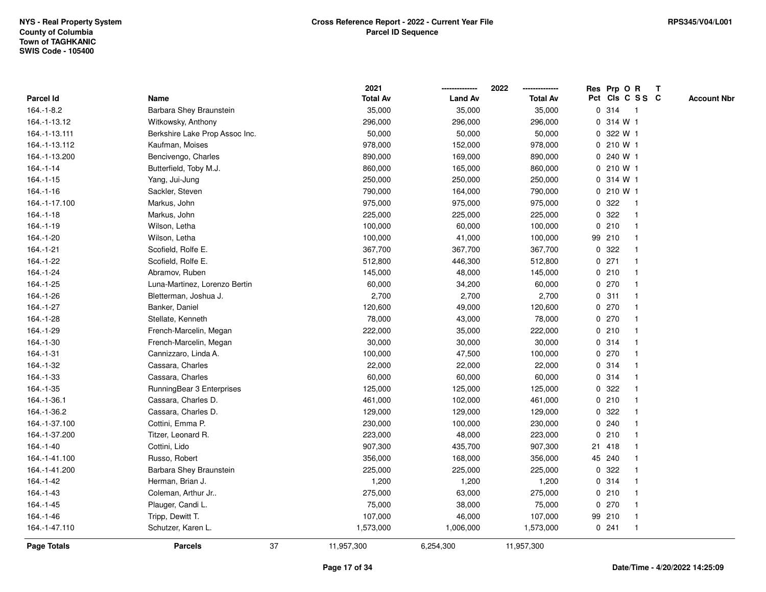|                  |                                |    | 2021            |                | 2022<br>-------------- |              | Res Prp O R     |                         | $\mathbf{T}$ |                    |
|------------------|--------------------------------|----|-----------------|----------------|------------------------|--------------|-----------------|-------------------------|--------------|--------------------|
| <b>Parcel Id</b> | Name                           |    | <b>Total Av</b> | <b>Land Av</b> | <b>Total Av</b>        |              | Pct Cls C S S C |                         |              | <b>Account Nbr</b> |
| $164.-1-8.2$     | Barbara Shey Braunstein        |    | 35,000          | 35,000         | 35,000                 |              | 0.314           | $\mathbf{1}$            |              |                    |
| 164.-1-13.12     | Witkowsky, Anthony             |    | 296,000         | 296,000        | 296,000                |              | 0 314 W 1       |                         |              |                    |
| 164.-1-13.111    | Berkshire Lake Prop Assoc Inc. |    | 50,000          | 50,000         | 50,000                 | 0            | 322 W 1         |                         |              |                    |
| 164.-1-13.112    | Kaufman, Moises                |    | 978,000         | 152,000        | 978,000                | $\mathbf{0}$ | 210 W 1         |                         |              |                    |
| 164.-1-13.200    | Bencivengo, Charles            |    | 890,000         | 169,000        | 890,000                | 0            | 240 W 1         |                         |              |                    |
| $164 - 1 - 14$   | Butterfield, Toby M.J.         |    | 860,000         | 165,000        | 860,000                |              | 0 210 W 1       |                         |              |                    |
| $164. - 1 - 15$  | Yang, Jui-Jung                 |    | 250,000         | 250,000        | 250,000                |              | 0 314 W 1       |                         |              |                    |
| $164.-1-16$      | Sackler, Steven                |    | 790,000         | 164,000        | 790,000                |              | 0 210 W 1       |                         |              |                    |
| 164.-1-17.100    | Markus, John                   |    | 975,000         | 975,000        | 975,000                |              | 0.322           |                         |              |                    |
| $164.-1-18$      | Markus, John                   |    | 225,000         | 225,000        | 225,000                | 0            | 322             | $\overline{\mathbf{1}}$ |              |                    |
| 164.-1-19        | Wilson, Letha                  |    | 100,000         | 60,000         | 100,000                |              | 0210            | -1                      |              |                    |
| 164.-1-20        | Wilson, Letha                  |    | 100,000         | 41,000         | 100,000                |              | 99 210          | $\mathbf{1}$            |              |                    |
| 164.-1-21        | Scofield, Rolfe E.             |    | 367,700         | 367,700        | 367,700                |              | 0.322           |                         |              |                    |
| 164.-1-22        | Scofield, Rolfe E.             |    | 512,800         | 446,300        | 512,800                |              | $0$ 271         |                         |              |                    |
| 164.-1-24        | Abramov, Ruben                 |    | 145,000         | 48,000         | 145,000                |              | 0210            |                         |              |                    |
| 164.-1-25        | Luna-Martinez, Lorenzo Bertin  |    | 60,000          | 34,200         | 60,000                 |              | 0270            |                         |              |                    |
| 164.-1-26        | Bletterman, Joshua J.          |    | 2,700           | 2,700          | 2,700                  | 0            | 311             |                         |              |                    |
| 164.-1-27        | Banker, Daniel                 |    | 120,600         | 49,000         | 120,600                | 0            | 270             |                         |              |                    |
| 164.-1-28        | Stellate, Kenneth              |    | 78,000          | 43,000         | 78,000                 |              | 0.270           |                         |              |                    |
| 164.-1-29        | French-Marcelin, Megan         |    | 222,000         | 35,000         | 222,000                |              | 0210            |                         |              |                    |
| 164.-1-30        | French-Marcelin, Megan         |    | 30,000          | 30,000         | 30,000                 |              | 0 314           |                         |              |                    |
| 164.-1-31        | Cannizzaro, Linda A.           |    | 100,000         | 47,500         | 100,000                |              | 0270            |                         |              |                    |
| 164.-1-32        | Cassara, Charles               |    | 22,000          | 22,000         | 22,000                 |              | 0.314           |                         |              |                    |
| 164.-1-33        | Cassara, Charles               |    | 60,000          | 60,000         | 60,000                 |              | 0 314           |                         |              |                    |
| 164.-1-35        | RunningBear 3 Enterprises      |    | 125,000         | 125,000        | 125,000                | 0            | 322             |                         |              |                    |
| 164.-1-36.1      | Cassara, Charles D.            |    | 461,000         | 102,000        | 461,000                |              | 0210            |                         |              |                    |
| 164.-1-36.2      | Cassara, Charles D.            |    | 129,000         | 129,000        | 129,000                |              | 0.322           |                         |              |                    |
| 164.-1-37.100    | Cottini, Emma P.               |    | 230,000         | 100,000        | 230,000                |              | 0.240           |                         |              |                    |
| 164.-1-37.200    | Titzer, Leonard R.             |    | 223,000         | 48,000         | 223,000                | 0            | 210             |                         |              |                    |
| 164.-1-40        | Cottini, Lido                  |    | 907,300         | 435,700        | 907,300                |              | 21 418          |                         |              |                    |
| 164.-1-41.100    | Russo, Robert                  |    | 356,000         | 168,000        | 356,000                |              | 45 240          |                         |              |                    |
| 164.-1-41.200    | Barbara Shey Braunstein        |    | 225,000         | 225,000        | 225,000                | $\mathbf 0$  | 322             |                         |              |                    |
| 164.-1-42        | Herman, Brian J.               |    | 1,200           | 1,200          | 1,200                  |              | 0 314           |                         |              |                    |
| 164.-1-43        | Coleman, Arthur Jr             |    | 275,000         | 63,000         | 275,000                |              | 0210            |                         |              |                    |
| 164.-1-45        | Plauger, Candi L.              |    | 75,000          | 38,000         | 75,000                 |              | 0 270           |                         |              |                    |
| 164.-1-46        | Tripp, Dewitt T.               |    | 107,000         | 46,000         | 107,000                |              | 99 210          | $\mathbf 1$             |              |                    |
| 164.-1-47.110    | Schutzer, Karen L.             |    | 1,573,000       | 1,006,000      | 1,573,000              |              | 0.241           |                         |              |                    |
| Page Totals      | <b>Parcels</b>                 | 37 | 11,957,300      | 6,254,300      | 11,957,300             |              |                 |                         |              |                    |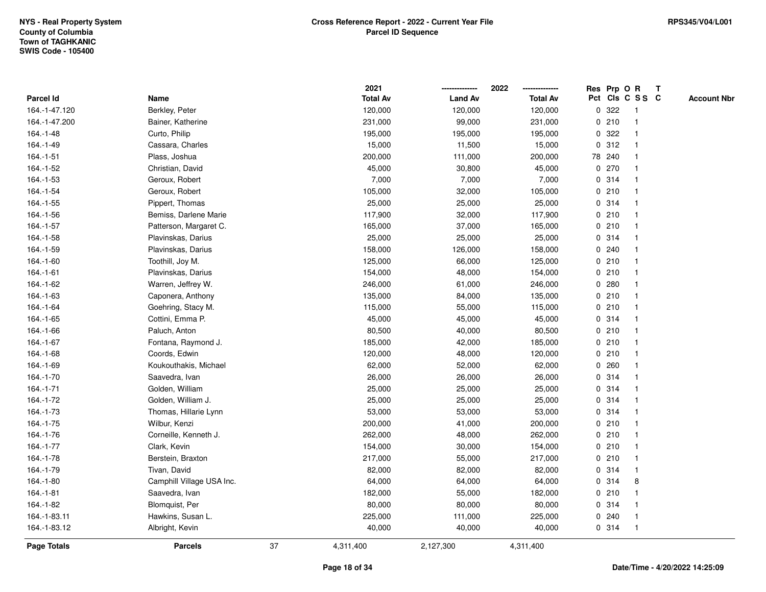|               |                           |    | 2021            |                | 2022            |             |        | Res Prp O R             | $\mathsf{T}$ |                    |
|---------------|---------------------------|----|-----------------|----------------|-----------------|-------------|--------|-------------------------|--------------|--------------------|
| Parcel Id     | Name                      |    | <b>Total Av</b> | <b>Land Av</b> | <b>Total Av</b> |             |        | Pct Cls C S S C         |              | <b>Account Nbr</b> |
| 164.-1-47.120 | Berkley, Peter            |    | 120,000         | 120,000        | 120,000         | 0           | 322    |                         |              |                    |
| 164.-1-47.200 | Bainer, Katherine         |    | 231,000         | 99,000         | 231,000         |             | 0210   |                         |              |                    |
| 164.-1-48     | Curto, Philip             |    | 195,000         | 195,000        | 195,000         | $\mathbf 0$ | 322    | -1                      |              |                    |
| 164.-1-49     | Cassara, Charles          |    | 15,000          | 11,500         | 15,000          | $\mathbf 0$ | 312    | $\mathbf{1}$            |              |                    |
| 164.-1-51     | Plass, Joshua             |    | 200,000         | 111,000        | 200,000         |             | 78 240 | $\mathbf 1$             |              |                    |
| 164.-1-52     | Christian, David          |    | 45,000          | 30,800         | 45,000          |             | 0270   | -1                      |              |                    |
| 164.-1-53     | Geroux, Robert            |    | 7,000           | 7,000          | 7,000           |             | 0.314  |                         |              |                    |
| 164.-1-54     | Geroux, Robert            |    | 105,000         | 32,000         | 105,000         |             | 0210   |                         |              |                    |
| 164.-1-55     | Pippert, Thomas           |    | 25,000          | 25,000         | 25,000          |             | 0.314  | -1                      |              |                    |
| 164.-1-56     | Bemiss, Darlene Marie     |    | 117,900         | 32,000         | 117,900         |             | 0210   |                         |              |                    |
| 164.-1-57     | Patterson, Margaret C.    |    | 165,000         | 37,000         | 165,000         |             | 0210   | $\mathbf{1}$            |              |                    |
| 164.-1-58     | Plavinskas, Darius        |    | 25,000          | 25,000         | 25,000          |             | 0.314  | $\mathbf{1}$            |              |                    |
| 164.-1-59     | Plavinskas, Darius        |    | 158,000         | 126,000        | 158,000         |             | 0.240  | -1                      |              |                    |
| 164.-1-60     | Toothill, Joy M.          |    | 125,000         | 66,000         | 125,000         |             | 0210   |                         |              |                    |
| 164.-1-61     | Plavinskas, Darius        |    | 154,000         | 48,000         | 154,000         |             | 0210   |                         |              |                    |
| 164.-1-62     | Warren, Jeffrey W.        |    | 246,000         | 61,000         | 246,000         |             | 0.280  | -1                      |              |                    |
| 164.-1-63     | Caponera, Anthony         |    | 135,000         | 84,000         | 135,000         | $\mathbf 0$ | 210    | $\overline{\mathbf{1}}$ |              |                    |
| 164.-1-64     | Goehring, Stacy M.        |    | 115,000         | 55,000         | 115,000         |             | 0210   | -1                      |              |                    |
| 164.-1-65     | Cottini, Emma P.          |    | 45,000          | 45,000         | 45,000          |             | 0.314  | $\mathbf{1}$            |              |                    |
| 164.-1-66     | Paluch, Anton             |    | 80,500          | 40,000         | 80,500          |             | 0210   |                         |              |                    |
| 164.-1-67     | Fontana, Raymond J.       |    | 185,000         | 42,000         | 185,000         |             | 0210   |                         |              |                    |
| 164.-1-68     | Coords, Edwin             |    | 120,000         | 48,000         | 120,000         |             | 0210   |                         |              |                    |
| 164.-1-69     | Koukouthakis, Michael     |    | 62,000          | 52,000         | 62,000          |             | 0.260  |                         |              |                    |
| 164.-1-70     | Saavedra, Ivan            |    | 26,000          | 26,000         | 26,000          | $\mathbf 0$ | 314    | $\mathbf{1}$            |              |                    |
| $164.-1-71$   | Golden, William           |    | 25,000          | 25,000         | 25,000          | 0           | 314    | -1                      |              |                    |
| 164.-1-72     | Golden, William J.        |    | 25,000          | 25,000         | 25,000          |             | 0.314  | -1                      |              |                    |
| 164.-1-73     | Thomas, Hillarie Lynn     |    | 53,000          | 53,000         | 53,000          |             | 0.314  |                         |              |                    |
| 164.-1-75     | Wilbur, Kenzi             |    | 200,000         | 41,000         | 200,000         |             | 0210   |                         |              |                    |
| 164.-1-76     | Corneille, Kenneth J.     |    | 262,000         | 48,000         | 262,000         |             | 0210   | -1                      |              |                    |
| 164.-1-77     | Clark, Kevin              |    | 154,000         | 30,000         | 154,000         |             | 0210   | -1                      |              |                    |
| 164.-1-78     | Berstein, Braxton         |    | 217,000         | 55,000         | 217,000         | 0           | 210    | -1                      |              |                    |
| 164.-1-79     | Tivan, David              |    | 82,000          | 82,000         | 82,000          |             | 0.314  | $\mathbf 1$             |              |                    |
| 164.-1-80     | Camphill Village USA Inc. |    | 64,000          | 64,000         | 64,000          |             | 0.314  | 8                       |              |                    |
| 164.-1-81     | Saavedra, Ivan            |    | 182,000         | 55,000         | 182,000         |             | 0210   |                         |              |                    |
| 164.-1-82     | Blomquist, Per            |    | 80,000          | 80,000         | 80,000          |             | 0.314  |                         |              |                    |
| 164.-1-83.11  | Hawkins, Susan L.         |    | 225,000         | 111,000        | 225,000         |             | 0.240  | -1                      |              |                    |
| 164.-1-83.12  | Albright, Kevin           |    | 40,000          | 40,000         | 40,000          |             | 0.314  | -1                      |              |                    |
| Page Totals   | <b>Parcels</b>            | 37 | 4,311,400       | 2,127,300      | 4,311,400       |             |        |                         |              |                    |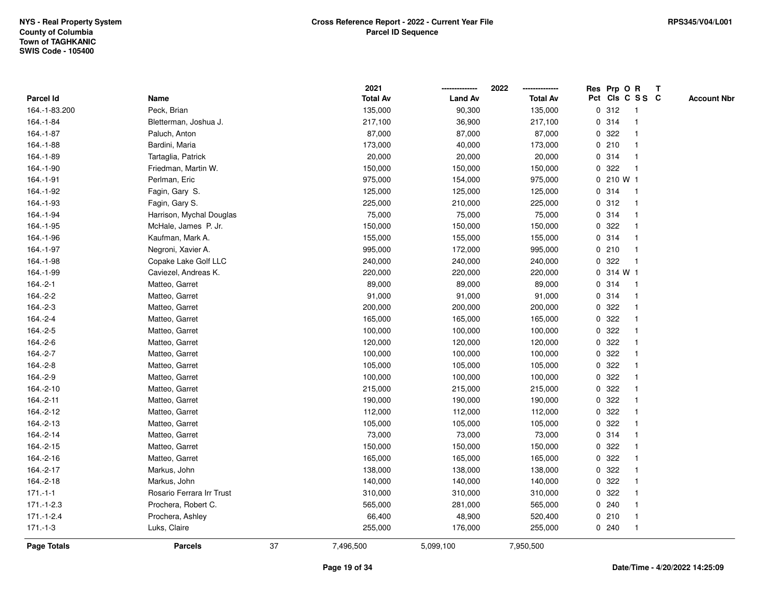|               |                           |    | 2021            |                | 2022            |   | Res Prp O R |                 | Т |                    |
|---------------|---------------------------|----|-----------------|----------------|-----------------|---|-------------|-----------------|---|--------------------|
| Parcel Id     | Name                      |    | <b>Total Av</b> | <b>Land Av</b> | <b>Total Av</b> |   |             | Pct Cls C S S C |   | <b>Account Nbr</b> |
| 164.-1-83.200 | Peck, Brian               |    | 135,000         | 90,300         | 135,000         |   | 0.312       | $\overline{1}$  |   |                    |
| 164.-1-84     | Bletterman, Joshua J.     |    | 217,100         | 36,900         | 217,100         |   | 0.314       | 1               |   |                    |
| 164.-1-87     | Paluch, Anton             |    | 87,000          | 87,000         | 87,000          |   | 0.322       | $\mathbf 1$     |   |                    |
| 164.-1-88     | Bardini, Maria            |    | 173,000         | 40,000         | 173,000         |   | 0210        | -1              |   |                    |
| 164.-1-89     | Tartaglia, Patrick        |    | 20,000          | 20,000         | 20,000          |   | 0.314       |                 |   |                    |
| 164.-1-90     | Friedman, Martin W.       |    | 150,000         | 150,000        | 150,000         |   | 0.322       |                 |   |                    |
| 164.-1-91     | Perlman, Eric             |    | 975,000         | 154,000        | 975,000         |   | 0 210 W 1   |                 |   |                    |
| 164.-1-92     | Fagin, Gary S.            |    | 125,000         | 125,000        | 125,000         | 0 | 314         | $\mathbf{1}$    |   |                    |
| 164.-1-93     | Fagin, Gary S.            |    | 225,000         | 210,000        | 225,000         |   | 0.312       | 1               |   |                    |
| 164.-1-94     | Harrison, Mychal Douglas  |    | 75,000          | 75,000         | 75,000          |   | 0.314       | $\mathbf{1}$    |   |                    |
| 164.-1-95     | McHale, James P. Jr.      |    | 150,000         | 150,000        | 150,000         |   | 0.322       | $\mathbf 1$     |   |                    |
| 164.-1-96     | Kaufman, Mark A.          |    | 155,000         | 155,000        | 155,000         |   | 0.314       |                 |   |                    |
| 164.-1-97     | Negroni, Xavier A.        |    | 995,000         | 172,000        | 995,000         |   | 0210        |                 |   |                    |
| 164.-1-98     | Copake Lake Golf LLC      |    | 240,000         | 240,000        | 240,000         |   | 0 322       | 1               |   |                    |
| 164.-1-99     | Caviezel, Andreas K.      |    | 220,000         | 220,000        | 220,000         | 0 | 314 W 1     |                 |   |                    |
| $164.-2-1$    | Matteo, Garret            |    | 89,000          | 89,000         | 89,000          | 0 | 314         | $\overline{1}$  |   |                    |
| 164.-2-2      | Matteo, Garret            |    | 91,000          | 91,000         | 91,000          |   | 0.314       | $\mathbf{1}$    |   |                    |
| 164.-2-3      | Matteo, Garret            |    | 200,000         | 200,000        | 200,000         |   | 0.322       | 1               |   |                    |
| 164.-2-4      | Matteo, Garret            |    | 165,000         | 165,000        | 165,000         |   | 0.322       |                 |   |                    |
| 164.-2-5      | Matteo, Garret            |    | 100,000         | 100,000        | 100,000         |   | 0.322       |                 |   |                    |
| 164.-2-6      | Matteo, Garret            |    | 120,000         | 120,000        | 120,000         |   | 0.322       | $\mathbf{1}$    |   |                    |
| 164.-2-7      | Matteo, Garret            |    | 100,000         | 100,000        | 100,000         |   | 0.322       |                 |   |                    |
| 164.-2-8      | Matteo, Garret            |    | 105,000         | 105,000        | 105,000         | 0 | 322         | $\mathbf{1}$    |   |                    |
| 164.-2-9      | Matteo, Garret            |    | 100,000         | 100,000        | 100,000         | 0 | 322         | $\mathbf 1$     |   |                    |
| 164.-2-10     | Matteo, Garret            |    | 215,000         | 215,000        | 215,000         |   | 0.322       | $\mathbf 1$     |   |                    |
| 164.-2-11     | Matteo, Garret            |    | 190,000         | 190,000        | 190,000         |   | 0.322       |                 |   |                    |
| 164.-2-12     | Matteo, Garret            |    | 112,000         | 112,000        | 112,000         | 0 | 322         |                 |   |                    |
| 164.-2-13     | Matteo, Garret            |    | 105,000         | 105,000        | 105,000         | 0 | 322         | $\mathbf 1$     |   |                    |
| 164.-2-14     | Matteo, Garret            |    | 73,000          | 73,000         | 73,000          |   | 0.314       | $\mathbf{1}$    |   |                    |
| 164.-2-15     | Matteo, Garret            |    | 150,000         | 150,000        | 150,000         | 0 | 322         | 1               |   |                    |
| 164.-2-16     | Matteo, Garret            |    | 165,000         | 165,000        | 165,000         | 0 | 322         | 1               |   |                    |
| 164.-2-17     | Markus, John              |    | 138,000         | 138,000        | 138,000         |   | 0.322       | 1               |   |                    |
| 164.-2-18     | Markus, John              |    | 140,000         | 140,000        | 140,000         |   | 0.322       |                 |   |                    |
| $171 - 1 - 1$ | Rosario Ferrara Irr Trust |    | 310,000         | 310,000        | 310,000         |   | 0.322       |                 |   |                    |
| $171.-1-2.3$  | Prochera, Robert C.       |    | 565,000         | 281,000        | 565,000         |   | 0.240       | $\mathbf 1$     |   |                    |
| $171.-1-2.4$  | Prochera, Ashley          |    | 66,400          | 48,900         | 520,400         |   | 0210        | 1               |   |                    |
| $171 - 1 - 3$ | Luks, Claire              |    | 255,000         | 176,000        | 255,000         |   | 0.240       | $\mathbf{1}$    |   |                    |
| Page Totals   | <b>Parcels</b>            | 37 | 7,496,500       | 5,099,100      | 7,950,500       |   |             |                 |   |                    |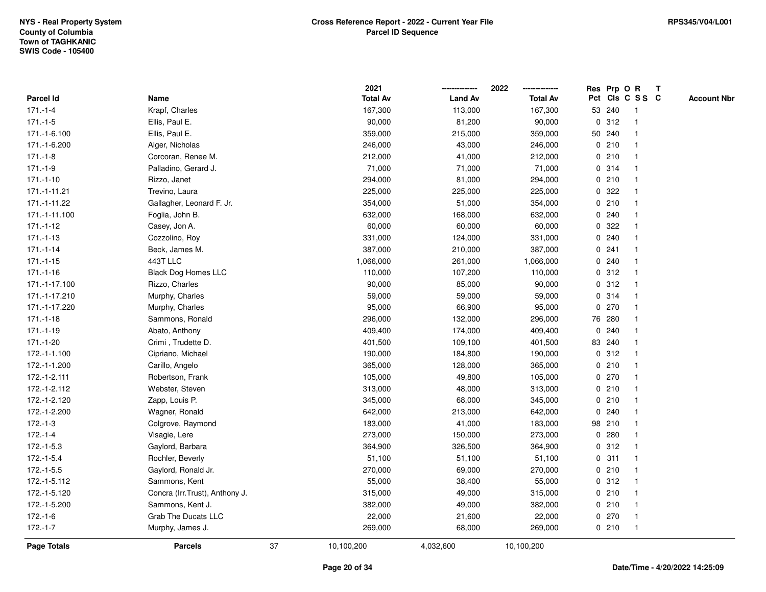|               |                                 |    | 2021            |                | 2022            |              |        | Res Prp O R     | Т |                    |
|---------------|---------------------------------|----|-----------------|----------------|-----------------|--------------|--------|-----------------|---|--------------------|
| Parcel Id     | Name                            |    | <b>Total Av</b> | <b>Land Av</b> | <b>Total Av</b> |              |        | Pct Cls C S S C |   | <b>Account Nbr</b> |
| $171.-1-4$    | Krapf, Charles                  |    | 167,300         | 113,000        | 167,300         |              | 53 240 | $\mathbf{1}$    |   |                    |
| $171.-1-5$    | Ellis, Paul E.                  |    | 90,000          | 81,200         | 90,000          | 0            | 312    | $\overline{1}$  |   |                    |
| 171.-1-6.100  | Ellis, Paul E.                  |    | 359,000         | 215,000        | 359,000         |              | 50 240 | $\mathbf 1$     |   |                    |
| 171.-1-6.200  | Alger, Nicholas                 |    | 246,000         | 43,000         | 246,000         |              | 0210   |                 |   |                    |
| $171 - 1 - 8$ | Corcoran, Renee M.              |    | 212,000         | 41,000         | 212,000         |              | 0210   |                 |   |                    |
| $171.-1-9$    | Palladino, Gerard J.            |    | 71,000          | 71,000         | 71,000          |              | 0.314  |                 |   |                    |
| $171.-1-10$   | Rizzo, Janet                    |    | 294,000         | 81,000         | 294,000         |              | 0210   |                 |   |                    |
| 171.-1-11.21  | Trevino, Laura                  |    | 225,000         | 225,000        | 225,000         | 0            | 322    |                 |   |                    |
| 171.-1-11.22  | Gallagher, Leonard F. Jr.       |    | 354,000         | 51,000         | 354,000         |              | 0210   |                 |   |                    |
| 171.-1-11.100 | Foglia, John B.                 |    | 632,000         | 168,000        | 632,000         |              | 0.240  | 1               |   |                    |
| $171.-1-12$   | Casey, Jon A.                   |    | 60,000          | 60,000         | 60,000          |              | 0.322  |                 |   |                    |
| $171.-1-13$   | Cozzolino, Roy                  |    | 331,000         | 124,000        | 331,000         |              | 0.240  |                 |   |                    |
| 171.-1-14     | Beck, James M.                  |    | 387,000         | 210,000        | 387,000         | 0            | 241    |                 |   |                    |
| $171.-1-15$   | 443T LLC                        |    | 1,066,000       | 261,000        | 1,066,000       |              | 0.240  |                 |   |                    |
| $171.-1-16$   | <b>Black Dog Homes LLC</b>      |    | 110,000         | 107,200        | 110,000         | 0            | 312    | $\mathbf{1}$    |   |                    |
| 171.-1-17.100 | Rizzo, Charles                  |    | 90,000          | 85,000         | 90,000          | 0            | 312    |                 |   |                    |
| 171.-1-17.210 | Murphy, Charles                 |    | 59,000          | 59,000         | 59,000          |              | 0.314  | $\mathbf 1$     |   |                    |
| 171.-1-17.220 | Murphy, Charles                 |    | 95,000          | 66,900         | 95,000          |              | 0270   |                 |   |                    |
| $171.-1-18$   | Sammons, Ronald                 |    | 296,000         | 132,000        | 296,000         |              | 76 280 |                 |   |                    |
| 171.-1-19     | Abato, Anthony                  |    | 409,400         | 174,000        | 409,400         | $\mathbf{0}$ | 240    |                 |   |                    |
| 171.-1-20     | Crimi, Trudette D.              |    | 401,500         | 109,100        | 401,500         |              | 83 240 |                 |   |                    |
| 172.-1-1.100  | Cipriano, Michael               |    | 190,000         | 184,800        | 190,000         |              | 0.312  |                 |   |                    |
| 172.-1-1.200  | Carillo, Angelo                 |    | 365,000         | 128,000        | 365,000         |              | 0210   | $\overline{1}$  |   |                    |
| 172.-1-2.111  | Robertson, Frank                |    | 105,000         | 49,800         | 105,000         |              | 0270   | $\mathbf 1$     |   |                    |
| 172.-1-2.112  | Webster, Steven                 |    | 313,000         | 48,000         | 313,000         |              | 0210   |                 |   |                    |
| 172.-1-2.120  | Zapp, Louis P.                  |    | 345,000         | 68,000         | 345,000         |              | 0210   |                 |   |                    |
| 172.-1-2.200  | Wagner, Ronald                  |    | 642,000         | 213,000        | 642,000         | 0            | 240    |                 |   |                    |
| 172.-1-3      | Colgrove, Raymond               |    | 183,000         | 41,000         | 183,000         |              | 98 210 |                 |   |                    |
| $172.-1-4$    | Visagie, Lere                   |    | 273,000         | 150,000        | 273,000         | $\mathbf 0$  | 280    |                 |   |                    |
| $172.-1-5.3$  | Gaylord, Barbara                |    | 364,900         | 326,500        | 364,900         | $\mathbf 0$  | 312    | $\overline{1}$  |   |                    |
| 172.-1-5.4    | Rochler, Beverly                |    | 51,100          | 51,100         | 51,100          | $\mathbf 0$  | 311    | $\mathbf{1}$    |   |                    |
| $172.-1-5.5$  | Gaylord, Ronald Jr.             |    | 270,000         | 69,000         | 270,000         |              | 0210   |                 |   |                    |
| 172.-1-5.112  | Sammons, Kent                   |    | 55,000          | 38,400         | 55,000          |              | 0.312  |                 |   |                    |
| 172.-1-5.120  | Concra (Irr. Trust), Anthony J. |    | 315,000         | 49,000         | 315,000         |              | 0210   |                 |   |                    |
| 172.-1-5.200  | Sammons, Kent J.                |    | 382,000         | 49,000         | 382,000         |              | 0210   | $\mathbf{1}$    |   |                    |
| 172.-1-6      | <b>Grab The Ducats LLC</b>      |    | 22,000          | 21,600         | 22,000          |              | 0270   | $\mathbf{1}$    |   |                    |
| $172.-1-7$    | Murphy, James J.                |    | 269,000         | 68,000         | 269,000         |              | 0210   | $\mathbf{1}$    |   |                    |
| Page Totals   | <b>Parcels</b>                  | 37 | 10,100,200      | 4,032,600      | 10,100,200      |              |        |                 |   |                    |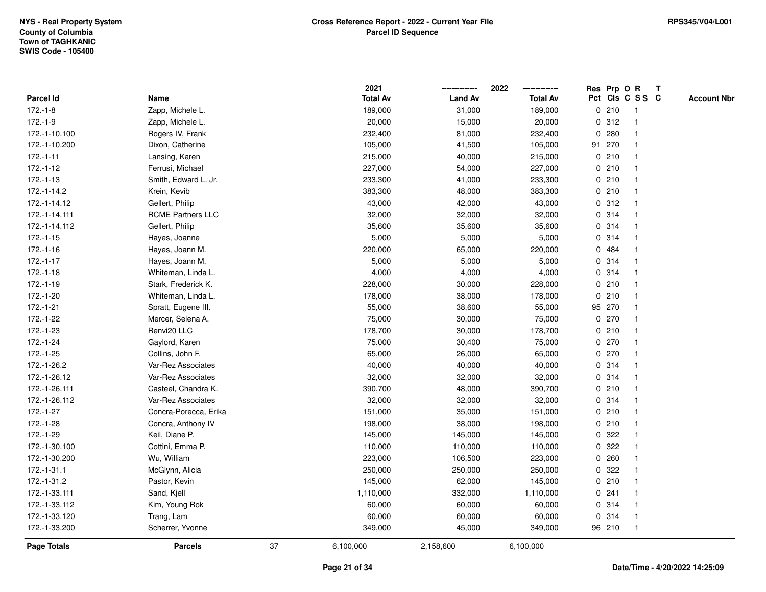|                    |                          |    | 2021            |                | 2022            |             |        | Res Prp O R     | $\mathbf{T}$ |                    |
|--------------------|--------------------------|----|-----------------|----------------|-----------------|-------------|--------|-----------------|--------------|--------------------|
| Parcel Id          | Name                     |    | <b>Total Av</b> | <b>Land Av</b> | <b>Total Av</b> |             |        | Pct Cls C S S C |              | <b>Account Nbr</b> |
| $172.-1-8$         | Zapp, Michele L.         |    | 189,000         | 31,000         | 189,000         |             | 0210   | 1               |              |                    |
| $172.-1-9$         | Zapp, Michele L.         |    | 20,000          | 15,000         | 20,000          | $\mathbf 0$ | 312    |                 |              |                    |
| 172.-1-10.100      | Rogers IV, Frank         |    | 232,400         | 81,000         | 232,400         | 0           | 280    |                 |              |                    |
| 172.-1-10.200      | Dixon, Catherine         |    | 105,000         | 41,500         | 105,000         | 91          | 270    | $\overline{1}$  |              |                    |
| $172.-1-11$        | Lansing, Karen           |    | 215,000         | 40,000         | 215,000         | 0           | 210    | $\mathbf{1}$    |              |                    |
| $172.-1-12$        | Ferrusi, Michael         |    | 227,000         | 54,000         | 227,000         |             | 0210   | $\mathbf 1$     |              |                    |
| $172.-1-13$        | Smith, Edward L. Jr.     |    | 233,300         | 41,000         | 233,300         |             | 0210   |                 |              |                    |
| 172.-1-14.2        | Krein, Kevib             |    | 383,300         | 48,000         | 383,300         |             | 0210   |                 |              |                    |
| 172.-1-14.12       | Gellert, Philip          |    | 43,000          | 42,000         | 43,000          |             | 0.312  |                 |              |                    |
| 172.-1-14.111      | <b>RCME Partners LLC</b> |    | 32,000          | 32,000         | 32,000          | 0           | 314    |                 |              |                    |
| 172.-1-14.112      | Gellert, Philip          |    | 35,600          | 35,600         | 35,600          |             | 0.314  | -1              |              |                    |
| $172.-1-15$        | Hayes, Joanne            |    | 5,000           | 5,000          | 5,000           |             | 0.314  | $\overline{1}$  |              |                    |
| $172.-1-16$        | Hayes, Joann M.          |    | 220,000         | 65,000         | 220,000         |             | 0 484  |                 |              |                    |
| $172.-1-17$        | Hayes, Joann M.          |    | 5,000           | 5,000          | 5,000           |             | 0.314  |                 |              |                    |
| $172.-1-18$        | Whiteman, Linda L.       |    | 4,000           | 4,000          | 4,000           |             | 0.314  |                 |              |                    |
| 172.-1-19          | Stark, Frederick K.      |    | 228,000         | 30,000         | 228,000         |             | 0210   |                 |              |                    |
| 172.-1-20          | Whiteman, Linda L.       |    | 178,000         | 38,000         | 178,000         | 0           | 210    | $\overline{1}$  |              |                    |
| 172.-1-21          | Spratt, Eugene III.      |    | 55,000          | 38,600         | 55,000          |             | 95 270 | -1              |              |                    |
| 172.-1-22          | Mercer, Selena A.        |    | 75,000          | 30,000         | 75,000          |             | 0270   | $\mathbf 1$     |              |                    |
| 172.-1-23          | Renvi20 LLC              |    | 178,700         | 30,000         | 178,700         |             | 0210   |                 |              |                    |
| 172.-1-24          | Gaylord, Karen           |    | 75,000          | 30,400         | 75,000          |             | 0270   |                 |              |                    |
| 172.-1-25          | Collins, John F.         |    | 65,000          | 26,000         | 65,000          |             | 0270   |                 |              |                    |
| 172.-1-26.2        | Var-Rez Associates       |    | 40,000          | 40,000         | 40,000          |             | 0.314  |                 |              |                    |
| 172.-1-26.12       | Var-Rez Associates       |    | 32,000          | 32,000         | 32,000          | 0           | 314    | $\mathbf{1}$    |              |                    |
| 172.-1-26.111      | Casteel, Chandra K.      |    | 390,700         | 48,000         | 390,700         | $\mathbf 0$ | 210    | -1              |              |                    |
| 172.-1-26.112      | Var-Rez Associates       |    | 32,000          | 32,000         | 32,000          |             | 0.314  |                 |              |                    |
| $172.-1-27$        | Concra-Porecca, Erika    |    | 151,000         | 35,000         | 151,000         |             | 0210   |                 |              |                    |
| 172.-1-28          | Concra, Anthony IV       |    | 198,000         | 38,000         | 198,000         |             | 0210   |                 |              |                    |
| 172.-1-29          | Keil, Diane P.           |    | 145,000         | 145,000        | 145,000         |             | 0 322  |                 |              |                    |
| 172.-1-30.100      | Cottini, Emma P.         |    | 110,000         | 110,000        | 110,000         | 0           | 322    |                 |              |                    |
| 172.-1-30.200      | Wu, William              |    | 223,000         | 106,500        | 223,000         | 0           | 260    | $\overline{1}$  |              |                    |
| 172.-1-31.1        | McGlynn, Alicia          |    | 250,000         | 250,000        | 250,000         | 0           | 322    |                 |              |                    |
| 172.-1-31.2        | Pastor, Kevin            |    | 145,000         | 62,000         | 145,000         |             | 0210   |                 |              |                    |
| 172.-1-33.111      | Sand, Kjell              |    | 1,110,000       | 332,000        | 1,110,000       |             | 0.241  |                 |              |                    |
| 172.-1-33.112      | Kim, Young Rok           |    | 60,000          | 60,000         | 60,000          |             | 0.314  |                 |              |                    |
| 172.-1-33.120      | Trang, Lam               |    | 60,000          | 60,000         | 60,000          |             | 0.314  | $\overline{1}$  |              |                    |
| 172.-1-33.200      | Scherrer, Yvonne         |    | 349,000         | 45,000         | 349,000         |             | 96 210 | $\overline{1}$  |              |                    |
| <b>Page Totals</b> | <b>Parcels</b>           | 37 | 6,100,000       | 2,158,600      | 6,100,000       |             |        |                 |              |                    |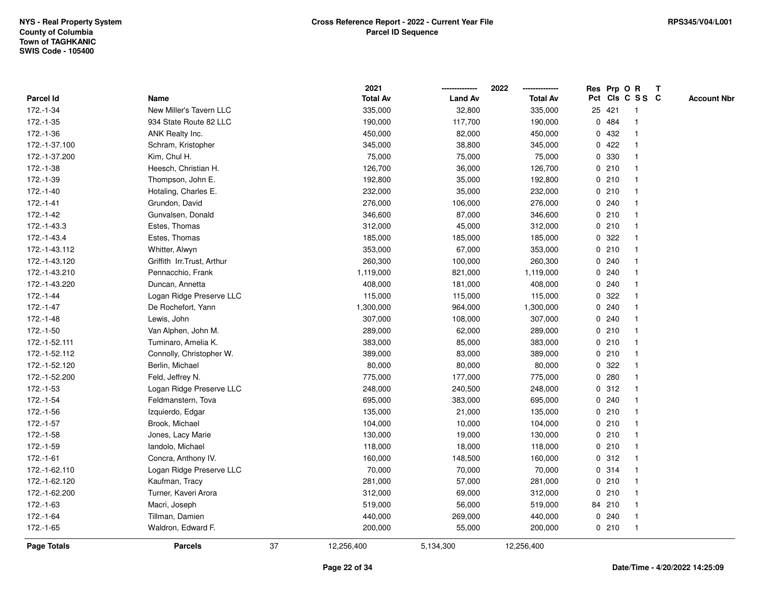|                    |                             |    | 2021            |                | 2022            |             |        | Res Prp O R             | $\mathbf{T}$ |                    |
|--------------------|-----------------------------|----|-----------------|----------------|-----------------|-------------|--------|-------------------------|--------------|--------------------|
| <b>Parcel Id</b>   | Name                        |    | <b>Total Av</b> | <b>Land Av</b> | <b>Total Av</b> |             |        | Pct Cls C S S C         |              | <b>Account Nbr</b> |
| 172.-1-34          | New Miller's Tavern LLC     |    | 335,000         | 32,800         | 335,000         |             | 25 421 |                         |              |                    |
| 172.-1-35          | 934 State Route 82 LLC      |    | 190,000         | 117,700        | 190,000         | 0           | 484    |                         |              |                    |
| 172.-1-36          | ANK Realty Inc.             |    | 450,000         | 82,000         | 450,000         | $\mathbf 0$ | 432    |                         |              |                    |
| 172.-1-37.100      | Schram, Kristopher          |    | 345,000         | 38,800         | 345,000         | 0           | 422    |                         |              |                    |
| 172.-1-37.200      | Kim, Chul H.                |    | 75,000          | 75,000         | 75,000          | 0           | 330    |                         |              |                    |
| 172.-1-38          | Heesch, Christian H.        |    | 126,700         | 36,000         | 126,700         |             | 0210   |                         |              |                    |
| 172.-1-39          | Thompson, John E.           |    | 192,800         | 35,000         | 192,800         |             | 0210   |                         |              |                    |
| 172.-1-40          | Hotaling, Charles E.        |    | 232,000         | 35,000         | 232,000         |             | 0210   |                         |              |                    |
| 172.-1-41          | Grundon, David              |    | 276,000         | 106,000        | 276,000         |             | 0.240  |                         |              |                    |
| 172.-1-42          | Gunvalsen, Donald           |    | 346,600         | 87,000         | 346,600         |             | 0210   |                         |              |                    |
| 172.-1-43.3        | Estes, Thomas               |    | 312,000         | 45,000         | 312,000         |             | 0210   | -1                      |              |                    |
| 172.-1-43.4        | Estes, Thomas               |    | 185,000         | 185,000        | 185,000         | $\mathbf 0$ | 322    |                         |              |                    |
| 172.-1-43.112      | Whitter, Alwyn              |    | 353,000         | 67,000         | 353,000         |             | 0210   |                         |              |                    |
| 172.-1-43.120      | Griffith Irr. Trust, Arthur |    | 260,300         | 100,000        | 260,300         |             | 0.240  |                         |              |                    |
| 172.-1-43.210      | Pennacchio, Frank           |    | 1,119,000       | 821,000        | 1,119,000       | 0           | 240    |                         |              |                    |
| 172.-1-43.220      | Duncan, Annetta             |    | 408,000         | 181,000        | 408,000         |             | 0.240  |                         |              |                    |
| 172.-1-44          | Logan Ridge Preserve LLC    |    | 115,000         | 115,000        | 115,000         | 0           | 322    |                         |              |                    |
| 172.-1-47          | De Rochefort, Yann          |    | 1,300,000       | 964,000        | 1,300,000       | 0           | 240    |                         |              |                    |
| 172.-1-48          | Lewis, John                 |    | 307,000         | 108,000        | 307,000         |             | 0.240  |                         |              |                    |
| $172.-1-50$        | Van Alphen, John M.         |    | 289,000         | 62,000         | 289,000         |             | 0210   |                         |              |                    |
| 172.-1-52.111      | Tuminaro, Amelia K.         |    | 383,000         | 85,000         | 383,000         |             | 0210   |                         |              |                    |
| 172.-1-52.112      | Connolly, Christopher W.    |    | 389,000         | 83,000         | 389,000         |             | 0210   |                         |              |                    |
| 172.-1-52.120      | Berlin, Michael             |    | 80,000          | 80,000         | 80,000          | 0           | 322    |                         |              |                    |
| 172.-1-52.200      | Feld, Jeffrey N.            |    | 775,000         | 177,000        | 775,000         | 0           | 280    | $\overline{\mathbf{1}}$ |              |                    |
| 172.-1-53          | Logan Ridge Preserve LLC    |    | 248,000         | 240,500        | 248,000         | 0           | 312    |                         |              |                    |
| 172.-1-54          | Feldmanstern, Tova          |    | 695,000         | 383,000        | 695,000         |             | 0.240  |                         |              |                    |
| 172.-1-56          | Izquierdo, Edgar            |    | 135,000         | 21,000         | 135,000         |             | 0210   |                         |              |                    |
| 172.-1-57          | Brook, Michael              |    | 104,000         | 10,000         | 104,000         |             | 0210   |                         |              |                    |
| 172.-1-58          | Jones, Lacy Marie           |    | 130,000         | 19,000         | 130,000         |             | 0210   |                         |              |                    |
| 172.-1-59          | landolo, Michael            |    | 118,000         | 18,000         | 118,000         |             | 0210   |                         |              |                    |
| 172.-1-61          | Concra, Anthony IV.         |    | 160,000         | 148,500        | 160,000         | $\mathbf 0$ | 312    |                         |              |                    |
| 172.-1-62.110      | Logan Ridge Preserve LLC    |    | 70,000          | 70,000         | 70,000          |             | 0 314  | -1                      |              |                    |
| 172.-1-62.120      | Kaufman, Tracy              |    | 281,000         | 57,000         | 281,000         |             | 0210   |                         |              |                    |
| 172.-1-62.200      | Turner, Kaveri Arora        |    | 312,000         | 69,000         | 312,000         |             | 0210   |                         |              |                    |
| 172.-1-63          | Macri, Joseph               |    | 519,000         | 56,000         | 519,000         |             | 84 210 |                         |              |                    |
| 172.-1-64          | Tillman, Damien             |    | 440,000         | 269,000        | 440,000         |             | 0.240  | -1                      |              |                    |
| $172.-1-65$        | Waldron, Edward F.          |    | 200,000         | 55,000         | 200,000         |             | 0210   | $\mathbf 1$             |              |                    |
| <b>Page Totals</b> | <b>Parcels</b>              | 37 | 12,256,400      | 5,134,300      | 12,256,400      |             |        |                         |              |                    |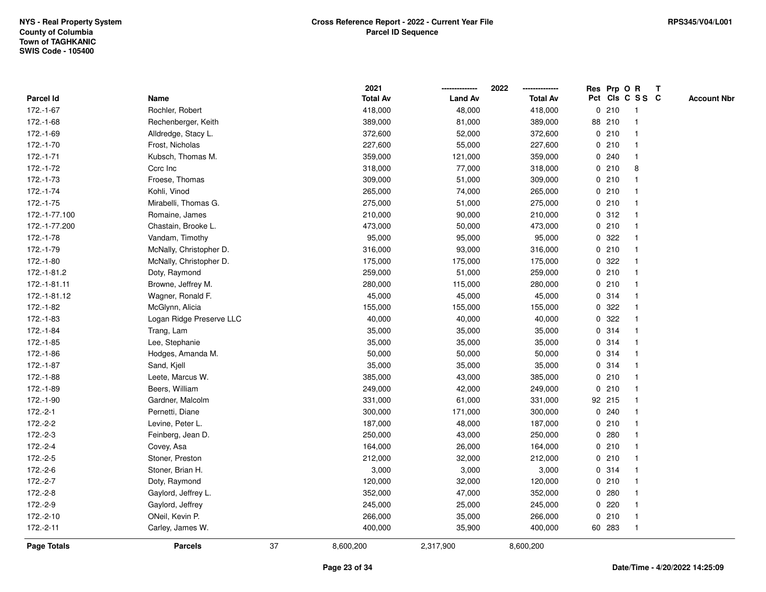|                    |                          |    | 2021            |                | 2022            |              |        | Res Prp O R     | $\mathbf{T}$       |  |
|--------------------|--------------------------|----|-----------------|----------------|-----------------|--------------|--------|-----------------|--------------------|--|
| <b>Parcel Id</b>   | Name                     |    | <b>Total Av</b> | <b>Land Av</b> | <b>Total Av</b> |              |        | Pct Cls C S S C | <b>Account Nbr</b> |  |
| 172.-1-67          | Rochler, Robert          |    | 418,000         | 48,000         | 418,000         |              | 0210   |                 |                    |  |
| 172.-1-68          | Rechenberger, Keith      |    | 389,000         | 81,000         | 389,000         |              | 88 210 |                 |                    |  |
| 172.-1-69          | Alldredge, Stacy L.      |    | 372,600         | 52,000         | 372,600         |              | 0210   |                 |                    |  |
| 172.-1-70          | Frost, Nicholas          |    | 227,600         | 55,000         | 227,600         | 0            | 210    |                 |                    |  |
| 172.-1-71          | Kubsch, Thomas M.        |    | 359,000         | 121,000        | 359,000         | 0            | 240    |                 |                    |  |
| 172.-1-72          | Ccrc Inc                 |    | 318,000         | 77,000         | 318,000         |              | 0210   | 8               |                    |  |
| 172.-1-73          | Froese, Thomas           |    | 309,000         | 51,000         | 309,000         |              | 0210   |                 |                    |  |
| 172.-1-74          | Kohli, Vinod             |    | 265,000         | 74,000         | 265,000         |              | 0210   |                 |                    |  |
| 172.-1-75          | Mirabelli, Thomas G.     |    | 275,000         | 51,000         | 275,000         |              | 0210   |                 |                    |  |
| 172.-1-77.100      | Romaine, James           |    | 210,000         | 90,000         | 210,000         | 0            | 312    |                 |                    |  |
| 172.-1-77.200      | Chastain, Brooke L.      |    | 473,000         | 50,000         | 473,000         |              | 0210   |                 |                    |  |
| 172.-1-78          | Vandam, Timothy          |    | 95,000          | 95,000         | 95,000          | $\mathbf{0}$ | 322    |                 |                    |  |
| 172.-1-79          | McNally, Christopher D.  |    | 316,000         | 93,000         | 316,000         |              | 0210   |                 |                    |  |
| 172.-1-80          | McNally, Christopher D.  |    | 175,000         | 175,000        | 175,000         |              | 0.322  |                 |                    |  |
| 172.-1-81.2        | Doty, Raymond            |    | 259,000         | 51,000         | 259,000         |              | 0210   |                 |                    |  |
| 172.-1-81.11       | Browne, Jeffrey M.       |    | 280,000         | 115,000        | 280,000         |              | 0210   |                 |                    |  |
| 172.-1-81.12       | Wagner, Ronald F.        |    | 45,000          | 45,000         | 45,000          | 0            | 314    |                 |                    |  |
| 172.-1-82          | McGlynn, Alicia          |    | 155,000         | 155,000        | 155,000         | 0            | 322    |                 |                    |  |
| 172.-1-83          | Logan Ridge Preserve LLC |    | 40,000          | 40,000         | 40,000          | 0            | 322    |                 |                    |  |
| 172.-1-84          | Trang, Lam               |    | 35,000          | 35,000         | 35,000          |              | 0.314  |                 |                    |  |
| 172.-1-85          | Lee, Stephanie           |    | 35,000          | 35,000         | 35,000          |              | 0 314  |                 |                    |  |
| 172.-1-86          | Hodges, Amanda M.        |    | 50,000          | 50,000         | 50,000          |              | 0.314  |                 |                    |  |
| 172.-1-87          | Sand, Kjell              |    | 35,000          | 35,000         | 35,000          |              | 0.314  |                 |                    |  |
| 172.-1-88          | Leete, Marcus W.         |    | 385,000         | 43,000         | 385,000         | $\mathbf{0}$ | 210    |                 |                    |  |
| 172.-1-89          | Beers, William           |    | 249,000         | 42,000         | 249,000         |              | 0210   |                 |                    |  |
| 172.-1-90          | Gardner, Malcolm         |    | 331,000         | 61,000         | 331,000         |              | 92 215 |                 |                    |  |
| $172.-2-1$         | Pernetti, Diane          |    | 300,000         | 171,000        | 300,000         |              | 0.240  |                 |                    |  |
| 172.-2-2           | Levine, Peter L.         |    | 187,000         | 48,000         | 187,000         |              | 0210   |                 |                    |  |
| 172.-2-3           | Feinberg, Jean D.        |    | 250,000         | 43,000         | 250,000         |              | 0.280  |                 |                    |  |
| 172.-2-4           | Covey, Asa               |    | 164,000         | 26,000         | 164,000         |              | 0210   |                 |                    |  |
| 172.-2-5           | Stoner, Preston          |    | 212,000         | 32,000         | 212,000         | 0            | 210    |                 |                    |  |
| 172.-2-6           | Stoner, Brian H.         |    | 3,000           | 3,000          | 3,000           |              | 0.314  |                 |                    |  |
| 172.-2-7           | Doty, Raymond            |    | 120,000         | 32,000         | 120,000         |              | 0210   |                 |                    |  |
| $172.-2-8$         | Gaylord, Jeffrey L.      |    | 352,000         | 47,000         | 352,000         |              | 0.280  |                 |                    |  |
| 172.-2-9           | Gaylord, Jeffrey         |    | 245,000         | 25,000         | 245,000         | 0            | 220    |                 |                    |  |
| 172.-2-10          | ONeil, Kevin P.          |    | 266,000         | 35,000         | 266,000         |              | 0210   |                 |                    |  |
| $172.-2-11$        | Carley, James W.         |    | 400,000         | 35,900         | 400,000         |              | 60 283 |                 |                    |  |
| <b>Page Totals</b> | <b>Parcels</b>           | 37 | 8,600,200       | 2,317,900      | 8,600,200       |              |        |                 |                    |  |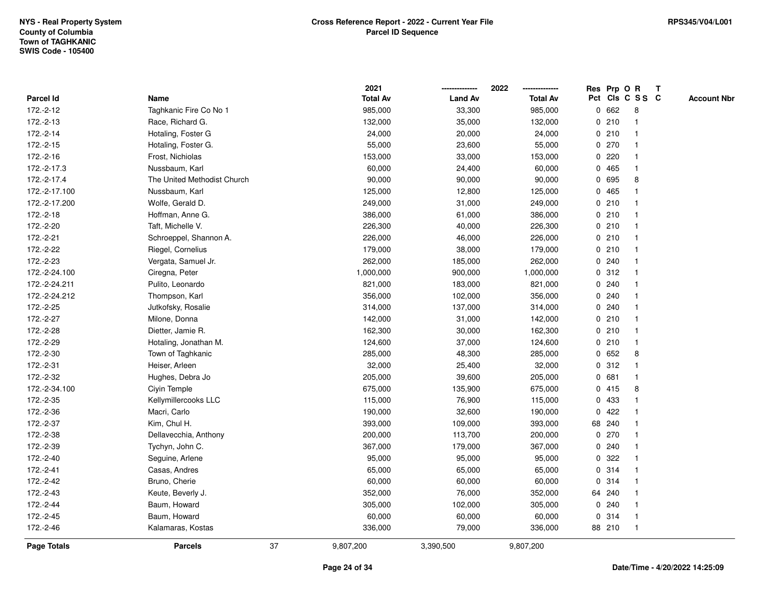|               |                             |    | 2021            |                | 2022            |             | Res Prp O R |                         | Т |                    |
|---------------|-----------------------------|----|-----------------|----------------|-----------------|-------------|-------------|-------------------------|---|--------------------|
| Parcel Id     | Name                        |    | <b>Total Av</b> | <b>Land Av</b> | <b>Total Av</b> |             |             | Pct Cls C S S C         |   | <b>Account Nbr</b> |
| 172.-2-12     | Taghkanic Fire Co No 1      |    | 985,000         | 33,300         | 985,000         | 0           | 662         | 8                       |   |                    |
| 172.-2-13     | Race, Richard G.            |    | 132,000         | 35,000         | 132,000         | 0           | 210         | -1                      |   |                    |
| 172.-2-14     | Hotaling, Foster G          |    | 24,000          | 20,000         | 24,000          |             | 0210        | $\mathbf 1$             |   |                    |
| 172.-2-15     | Hotaling, Foster G.         |    | 55,000          | 23,600         | 55,000          |             | 0270        |                         |   |                    |
| 172.-2-16     | Frost, Nichiolas            |    | 153,000         | 33,000         | 153,000         |             | 0220        |                         |   |                    |
| 172.-2-17.3   | Nussbaum, Karl              |    | 60,000          | 24,400         | 60,000          |             | 0 465       |                         |   |                    |
| 172.-2-17.4   | The United Methodist Church |    | 90,000          | 90,000         | 90,000          |             | 0 695       | 8                       |   |                    |
| 172.-2-17.100 | Nussbaum, Karl              |    | 125,000         | 12,800         | 125,000         | $\mathbf 0$ | 465         |                         |   |                    |
| 172.-2-17.200 | Wolfe, Gerald D.            |    | 249,000         | 31,000         | 249,000         |             | 0210        | -1                      |   |                    |
| 172.-2-18     | Hoffman, Anne G.            |    | 386,000         | 61,000         | 386,000         |             | 0210        | $\mathbf 1$             |   |                    |
| 172.-2-20     | Taft, Michelle V.           |    | 226,300         | 40,000         | 226,300         |             | 0210        |                         |   |                    |
| 172.-2-21     | Schroeppel, Shannon A.      |    | 226,000         | 46,000         | 226,000         |             | 0210        |                         |   |                    |
| 172.-2-22     | Riegel, Cornelius           |    | 179,000         | 38,000         | 179,000         |             | 0210        |                         |   |                    |
| 172.-2-23     | Vergata, Samuel Jr.         |    | 262,000         | 185,000        | 262,000         |             | 0.240       |                         |   |                    |
| 172.-2-24.100 | Ciregna, Peter              |    | 1,000,000       | 900,000        | 1,000,000       | $\mathbf 0$ | 312         |                         |   |                    |
| 172.-2-24.211 | Pulito, Leonardo            |    | 821,000         | 183,000        | 821,000         | 0           | 240         |                         |   |                    |
| 172.-2-24.212 | Thompson, Karl              |    | 356,000         | 102,000        | 356,000         |             | 0.240       |                         |   |                    |
| 172.-2-25     | Jutkofsky, Rosalie          |    | 314,000         | 137,000        | 314,000         |             | 0.240       |                         |   |                    |
| 172.-2-27     | Milone, Donna               |    | 142,000         | 31,000         | 142,000         |             | 0210        |                         |   |                    |
| 172.-2-28     | Dietter, Jamie R.           |    | 162,300         | 30,000         | 162,300         |             | 0210        |                         |   |                    |
| 172.-2-29     | Hotaling, Jonathan M.       |    | 124,600         | 37,000         | 124,600         |             | 0210        | $\overline{\mathbf{1}}$ |   |                    |
| 172.-2-30     | Town of Taghkanic           |    | 285,000         | 48,300         | 285,000         | 0           | 652         | 8                       |   |                    |
| 172.-2-31     | Heiser, Arleen              |    | 32,000          | 25,400         | 32,000          | 0           | 312         | -1                      |   |                    |
| 172.-2-32     | Hughes, Debra Jo            |    | 205,000         | 39,600         | 205,000         | 0           | 681         | $\mathbf 1$             |   |                    |
| 172.-2-34.100 | Ciyin Temple                |    | 675,000         | 135,900        | 675,000         |             | 0415        | 8                       |   |                    |
| 172.-2-35     | Kellymillercooks LLC        |    | 115,000         | 76,900         | 115,000         |             | 0 433       |                         |   |                    |
| 172.-2-36     | Macri, Carlo                |    | 190,000         | 32,600         | 190,000         |             | 0422        |                         |   |                    |
| 172.-2-37     | Kim, Chul H.                |    | 393,000         | 109,000        | 393,000         |             | 68 240      |                         |   |                    |
| 172.-2-38     | Dellavecchia, Anthony       |    | 200,000         | 113,700        | 200,000         |             | 0.270       |                         |   |                    |
| 172.-2-39     | Tychyn, John C.             |    | 367,000         | 179,000        | 367,000         | $\mathbf 0$ | 240         | -1                      |   |                    |
| 172.-2-40     | Seguine, Arlene             |    | 95,000          | 95,000         | 95,000          | 0           | 322         |                         |   |                    |
| 172.-2-41     | Casas, Andres               |    | 65,000          | 65,000         | 65,000          |             | 0.314       | -1                      |   |                    |
| 172.-2-42     | Bruno, Cherie               |    | 60,000          | 60,000         | 60,000          |             | 0.314       |                         |   |                    |
| 172.-2-43     | Keute, Beverly J.           |    | 352,000         | 76,000         | 352,000         |             | 64 240      |                         |   |                    |
| 172.-2-44     | Baum, Howard                |    | 305,000         | 102,000        | 305,000         |             | 0.240       |                         |   |                    |
| 172.-2-45     | Baum, Howard                |    | 60,000          | 60,000         | 60,000          | 0           | 314         | -1                      |   |                    |
| 172.-2-46     | Kalamaras, Kostas           |    | 336,000         | 79,000         | 336,000         |             | 88 210      | $\mathbf{1}$            |   |                    |
| Page Totals   | <b>Parcels</b>              | 37 | 9,807,200       | 3,390,500      | 9,807,200       |             |             |                         |   |                    |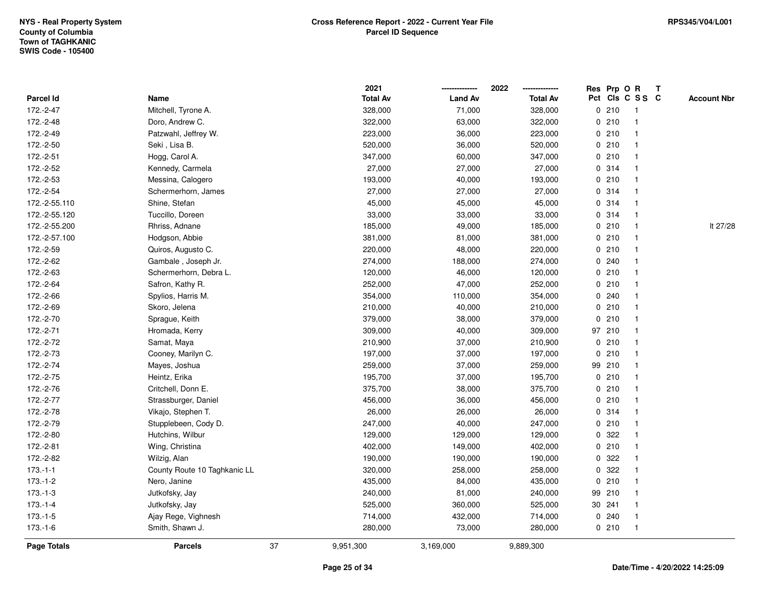|                    |                              |    | 2021            |                | 2022            |              |        | Res Prp O R     | $\mathbf{T}$ |                    |
|--------------------|------------------------------|----|-----------------|----------------|-----------------|--------------|--------|-----------------|--------------|--------------------|
| Parcel Id          | Name                         |    | <b>Total Av</b> | <b>Land Av</b> | <b>Total Av</b> |              |        | Pct Cls C S S C |              | <b>Account Nbr</b> |
| 172.-2-47          | Mitchell, Tyrone A.          |    | 328,000         | 71,000         | 328,000         |              | 0210   | 1               |              |                    |
| 172.-2-48          | Doro, Andrew C.              |    | 322,000         | 63,000         | 322,000         | 0            | 210    |                 |              |                    |
| 172.-2-49          | Patzwahl, Jeffrey W.         |    | 223,000         | 36,000         | 223,000         |              | 0210   |                 |              |                    |
| 172.-2-50          | Seki, Lisa B.                |    | 520,000         | 36,000         | 520,000         | $\mathbf 0$  | 210    | $\overline{1}$  |              |                    |
| 172.-2-51          | Hogg, Carol A.               |    | 347,000         | 60,000         | 347,000         | 0            | 210    | $\mathbf{1}$    |              |                    |
| 172.-2-52          | Kennedy, Carmela             |    | 27,000          | 27,000         | 27,000          |              | 0.314  | $\mathbf{1}$    |              |                    |
| 172.-2-53          | Messina, Calogero            |    | 193,000         | 40,000         | 193,000         |              | 0210   |                 |              |                    |
| 172.-2-54          | Schermerhorn, James          |    | 27,000          | 27,000         | 27,000          |              | 0 314  |                 |              |                    |
| 172.-2-55.110      | Shine, Stefan                |    | 45,000          | 45,000         | 45,000          |              | 0.314  |                 |              |                    |
| 172.-2-55.120      | Tuccillo, Doreen             |    | 33,000          | 33,000         | 33,000          |              | 0.314  |                 |              |                    |
| 172.-2-55.200      | Rhriss, Adnane               |    | 185,000         | 49,000         | 185,000         | $\mathbf 0$  | 210    | $\mathbf{1}$    |              | It 27/28           |
| 172.-2-57.100      | Hodgson, Abbie               |    | 381,000         | 81,000         | 381,000         |              | 0210   | $\overline{1}$  |              |                    |
| 172.-2-59          | Quiros, Augusto C.           |    | 220,000         | 48,000         | 220,000         |              | 0210   | -1              |              |                    |
| 172.-2-62          | Gambale, Joseph Jr.          |    | 274,000         | 188,000        | 274,000         |              | 0.240  |                 |              |                    |
| 172.-2-63          | Schermerhorn, Debra L.       |    | 120,000         | 46,000         | 120,000         |              | 0210   |                 |              |                    |
| 172.-2-64          | Safron, Kathy R.             |    | 252,000         | 47,000         | 252,000         |              | 0210   |                 |              |                    |
| 172.-2-66          | Spylios, Harris M.           |    | 354,000         | 110,000        | 354,000         | $\mathbf 0$  | 240    |                 |              |                    |
| 172.-2-69          | Skoro, Jelena                |    | 210,000         | 40,000         | 210,000         | 0            | 210    | -1              |              |                    |
| 172.-2-70          | Sprague, Keith               |    | 379,000         | 38,000         | 379,000         | $\mathbf{0}$ | 210    | $\overline{1}$  |              |                    |
| 172.-2-71          | Hromada, Kerry               |    | 309,000         | 40,000         | 309,000         |              | 97 210 |                 |              |                    |
| 172.-2-72          | Samat, Maya                  |    | 210,900         | 37,000         | 210,900         |              | 0210   |                 |              |                    |
| 172.-2-73          | Cooney, Marilyn C.           |    | 197,000         | 37,000         | 197,000         |              | 0210   |                 |              |                    |
| 172.-2-74          | Mayes, Joshua                |    | 259,000         | 37,000         | 259,000         |              | 99 210 | $\mathbf 1$     |              |                    |
| 172.-2-75          | Heintz, Erika                |    | 195,700         | 37,000         | 195,700         | $\mathbf 0$  | 210    |                 |              |                    |
| 172.-2-76          | Critchell, Donn E.           |    | 375,700         | 38,000         | 375,700         | $\mathbf 0$  | 210    | -1              |              |                    |
| 172.-2-77          | Strassburger, Daniel         |    | 456,000         | 36,000         | 456,000         |              | 0210   | $\mathbf 1$     |              |                    |
| 172.-2-78          | Vikajo, Stephen T.           |    | 26,000          | 26,000         | 26,000          |              | 0.314  |                 |              |                    |
| 172.-2-79          | Stupplebeen, Cody D.         |    | 247,000         | 40,000         | 247,000         |              | 0210   |                 |              |                    |
| 172.-2-80          | Hutchins, Wilbur             |    | 129,000         | 129,000        | 129,000         | 0            | 322    |                 |              |                    |
| 172.-2-81          | Wing, Christina              |    | 402,000         | 149,000        | 402,000         |              | 0210   |                 |              |                    |
| 172.-2-82          | Wilzig, Alan                 |    | 190,000         | 190,000        | 190,000         | 0            | 322    |                 |              |                    |
| $173.-1-1$         | County Route 10 Taghkanic LL |    | 320,000         | 258,000        | 258,000         | $\mathbf 0$  | 322    | $\overline{1}$  |              |                    |
| $173.-1-2$         | Nero, Janine                 |    | 435,000         | 84,000         | 435,000         |              | 0210   | $\mathbf{1}$    |              |                    |
| $173.-1-3$         | Jutkofsky, Jay               |    | 240,000         | 81,000         | 240,000         |              | 99 210 |                 |              |                    |
| $173.-1-4$         | Jutkofsky, Jay               |    | 525,000         | 360,000        | 525,000         |              | 30 241 |                 |              |                    |
| $173.-1-5$         | Ajay Rege, Vighnesh          |    | 714,000         | 432,000        | 714,000         | 0            | 240    | $\mathbf 1$     |              |                    |
| $173.-1-6$         | Smith, Shawn J.              |    | 280,000         | 73,000         | 280,000         |              | 0210   | $\overline{1}$  |              |                    |
| <b>Page Totals</b> | <b>Parcels</b>               | 37 | 9,951,300       | 3,169,000      | 9,889,300       |              |        |                 |              |                    |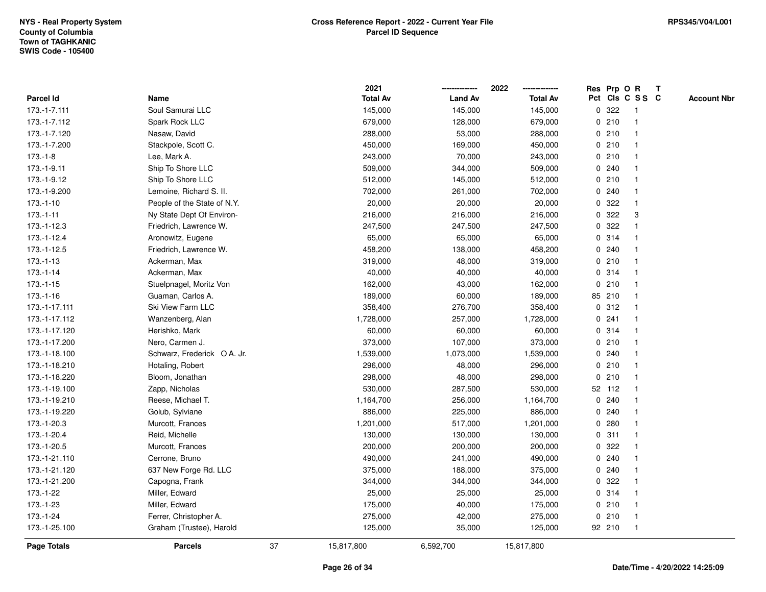|                    |                             |    | 2021            |                | 2022            |              |        | Res Prp O R     | $\mathbf{T}$ |                    |
|--------------------|-----------------------------|----|-----------------|----------------|-----------------|--------------|--------|-----------------|--------------|--------------------|
| Parcel Id          | Name                        |    | <b>Total Av</b> | <b>Land Av</b> | <b>Total Av</b> |              |        | Pct Cls C S S C |              | <b>Account Nbr</b> |
| 173.-1-7.111       | Soul Samurai LLC            |    | 145,000         | 145,000        | 145,000         | 0            | 322    |                 |              |                    |
| 173.-1-7.112       | Spark Rock LLC              |    | 679,000         | 128,000        | 679,000         | 0            | 210    |                 |              |                    |
| 173.-1-7.120       | Nasaw, David                |    | 288,000         | 53,000         | 288,000         |              | 0210   | -1              |              |                    |
| 173.-1-7.200       | Stackpole, Scott C.         |    | 450,000         | 169,000        | 450,000         | $\mathbf 0$  | 210    | $\mathbf{1}$    |              |                    |
| $173.-1-8$         | Lee, Mark A.                |    | 243,000         | 70,000         | 243,000         |              | 0210   | $\mathbf{1}$    |              |                    |
| 173.-1-9.11        | Ship To Shore LLC           |    | 509,000         | 344,000        | 509,000         |              | 0.240  | $\mathbf 1$     |              |                    |
| 173.-1-9.12        | Ship To Shore LLC           |    | 512,000         | 145,000        | 512,000         |              | 0210   |                 |              |                    |
| 173.-1-9.200       | Lemoine, Richard S. II.     |    | 702,000         | 261,000        | 702,000         |              | 0.240  |                 |              |                    |
| $173.-1-10$        | People of the State of N.Y. |    | 20,000          | 20,000         | 20,000          | 0            | 322    |                 |              |                    |
| $173.-1-11$        | Ny State Dept Of Environ-   |    | 216,000         | 216,000        | 216,000         | $\mathbf 0$  | 322    | 3               |              |                    |
| 173.-1-12.3        | Friedrich, Lawrence W.      |    | 247,500         | 247,500        | 247,500         | 0            | 322    |                 |              |                    |
| 173.-1-12.4        | Aronowitz, Eugene           |    | 65,000          | 65,000         | 65,000          |              | 0.314  | $\mathbf{1}$    |              |                    |
| 173.-1-12.5        | Friedrich, Lawrence W.      |    | 458,200         | 138,000        | 458,200         |              | 0.240  |                 |              |                    |
| $173.-1-13$        | Ackerman, Max               |    | 319,000         | 48,000         | 319,000         |              | 0210   |                 |              |                    |
| $173.-1-14$        | Ackerman, Max               |    | 40,000          | 40,000         | 40,000          |              | 0.314  |                 |              |                    |
| $173.-1-15$        | Stuelpnagel, Moritz Von     |    | 162,000         | 43,000         | 162,000         |              | 0210   | -1              |              |                    |
| $173.-1-16$        | Guaman, Carlos A.           |    | 189,000         | 60,000         | 189,000         |              | 85 210 | $\overline{1}$  |              |                    |
| 173.-1-17.111      | Ski View Farm LLC           |    | 358,400         | 276,700        | 358,400         |              | 0.312  | -1              |              |                    |
| 173.-1-17.112      | Wanzenberg, Alan            |    | 1,728,000       | 257,000        | 1,728,000       |              | 0.241  | $\mathbf 1$     |              |                    |
| 173.-1-17.120      | Herishko, Mark              |    | 60,000          | 60,000         | 60,000          |              | 0.314  |                 |              |                    |
| 173.-1-17.200      | Nero, Carmen J.             |    | 373,000         | 107,000        | 373,000         |              | 0210   |                 |              |                    |
| 173.-1-18.100      | Schwarz, Frederick OA. Jr.  |    | 1,539,000       | 1,073,000      | 1,539,000       |              | 0.240  |                 |              |                    |
| 173.-1-18.210      | Hotaling, Robert            |    | 296,000         | 48,000         | 296,000         |              | 0210   |                 |              |                    |
| 173.-1-18.220      | Bloom, Jonathan             |    | 298,000         | 48,000         | 298,000         | $\mathbf{0}$ | 210    | $\overline{1}$  |              |                    |
| 173.-1-19.100      | Zapp, Nicholas              |    | 530,000         | 287,500        | 530,000         |              | 52 112 | $\overline{1}$  |              |                    |
| 173.-1-19.210      | Reese, Michael T.           |    | 1,164,700       | 256,000        | 1,164,700       |              | 0.240  |                 |              |                    |
| 173.-1-19.220      | Golub, Sylviane             |    | 886,000         | 225,000        | 886,000         |              | 0.240  |                 |              |                    |
| 173.-1-20.3        | Murcott, Frances            |    | 1,201,000       | 517,000        | 1,201,000       |              | 0.280  |                 |              |                    |
| 173.-1-20.4        | Reid, Michelle              |    | 130,000         | 130,000        | 130,000         |              | 0.311  |                 |              |                    |
| 173.-1-20.5        | Murcott, Frances            |    | 200,000         | 200,000        | 200,000         | 0            | 322    |                 |              |                    |
| 173.-1-21.110      | Cerrone, Bruno              |    | 490,000         | 241,000        | 490,000         | 0            | 240    | $\mathbf{1}$    |              |                    |
| 173.-1-21.120      | 637 New Forge Rd. LLC       |    | 375,000         | 188,000        | 375,000         |              | 0.240  | $\mathbf 1$     |              |                    |
| 173.-1-21.200      | Capogna, Frank              |    | 344,000         | 344,000        | 344,000         |              | 0.322  |                 |              |                    |
| 173.-1-22          | Miller, Edward              |    | 25,000          | 25,000         | 25,000          |              | 0.314  |                 |              |                    |
| 173.-1-23          | Miller, Edward              |    | 175,000         | 40,000         | 175,000         |              | 0210   | 1               |              |                    |
| 173.-1-24          | Ferrer, Christopher A.      |    | 275,000         | 42,000         | 275,000         |              | 0210   | $\overline{1}$  |              |                    |
| 173.-1-25.100      | Graham (Trustee), Harold    |    | 125,000         | 35,000         | 125,000         |              | 92 210 | $\overline{1}$  |              |                    |
| <b>Page Totals</b> | <b>Parcels</b>              | 37 | 15,817,800      | 6,592,700      | 15,817,800      |              |        |                 |              |                    |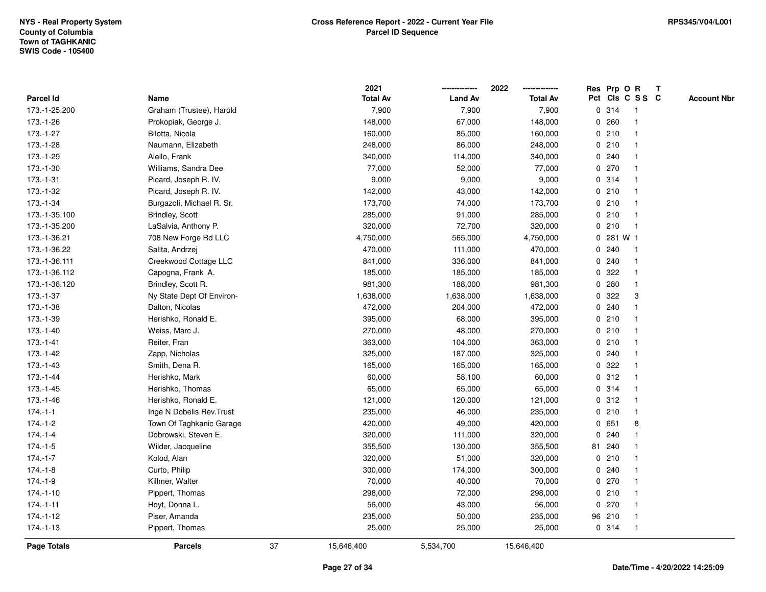|                    |                           |    | 2021            |                | 2022            |             | Res Prp O R     |                | $\mathbf{T}$ |                    |
|--------------------|---------------------------|----|-----------------|----------------|-----------------|-------------|-----------------|----------------|--------------|--------------------|
| Parcel Id          | Name                      |    | <b>Total Av</b> | <b>Land Av</b> | <b>Total Av</b> |             | Pct Cls C S S C |                |              | <b>Account Nbr</b> |
| 173.-1-25.200      | Graham (Trustee), Harold  |    | 7,900           | 7,900          | 7,900           |             | 0 314           | -1             |              |                    |
| 173.-1-26          | Prokopiak, George J.      |    | 148,000         | 67,000         | 148,000         | 0           | 260             |                |              |                    |
| 173.-1-27          | Bilotta, Nicola           |    | 160,000         | 85,000         | 160,000         |             | 0210            |                |              |                    |
| 173.-1-28          | Naumann, Elizabeth        |    | 248,000         | 86,000         | 248,000         | 0           | 210             |                |              |                    |
| 173.-1-29          | Aiello, Frank             |    | 340,000         | 114,000        | 340,000         |             | 0.240           |                |              |                    |
| 173.-1-30          | Williams, Sandra Dee      |    | 77,000          | 52,000         | 77,000          |             | 0 270           |                |              |                    |
| 173.-1-31          | Picard, Joseph R. IV.     |    | 9,000           | 9,000          | 9,000           |             | 0 314           |                |              |                    |
| 173.-1-32          | Picard, Joseph R. IV.     |    | 142,000         | 43,000         | 142,000         |             | 0210            |                |              |                    |
| 173.-1-34          | Burgazoli, Michael R. Sr. |    | 173,700         | 74,000         | 173,700         |             | 0210            |                |              |                    |
| 173.-1-35.100      | Brindley, Scott           |    | 285,000         | 91,000         | 285,000         |             | 0210            |                |              |                    |
| 173.-1-35.200      | LaSalvia, Anthony P.      |    | 320,000         | 72,700         | 320,000         | 0           | 210             | $\overline{1}$ |              |                    |
| 173.-1-36.21       | 708 New Forge Rd LLC      |    | 4,750,000       | 565,000        | 4,750,000       | $\mathbf 0$ | 281 W 1         |                |              |                    |
| 173.-1-36.22       | Salita, Andrzej           |    | 470,000         | 111,000        | 470,000         |             | 0.240           |                |              |                    |
| 173.-1-36.111      | Creekwood Cottage LLC     |    | 841,000         | 336,000        | 841,000         |             | 0.240           |                |              |                    |
| 173.-1-36.112      | Capogna, Frank A.         |    | 185,000         | 185,000        | 185,000         |             | 0 322           |                |              |                    |
| 173.-1-36.120      | Brindley, Scott R.        |    | 981,300         | 188,000        | 981,300         |             | 0.280           |                |              |                    |
| 173.-1-37          | Ny State Dept Of Environ- |    | 1,638,000       | 1,638,000      | 1,638,000       | 0           | 322             | 3              |              |                    |
| 173.-1-38          | Dalton, Nicolas           |    | 472,000         | 204,000        | 472,000         | 0           | 240             |                |              |                    |
| 173.-1-39          | Herishko, Ronald E.       |    | 395,000         | 68,000         | 395,000         |             | 0210            |                |              |                    |
| $173.-1-40$        | Weiss, Marc J.            |    | 270,000         | 48,000         | 270,000         |             | 0210            |                |              |                    |
| 173.-1-41          | Reiter, Fran              |    | 363,000         | 104,000        | 363,000         |             | 0210            |                |              |                    |
| 173.-1-42          | Zapp, Nicholas            |    | 325,000         | 187,000        | 325,000         | 0           | 240             |                |              |                    |
| 173.-1-43          | Smith, Dena R.            |    | 165,000         | 165,000        | 165,000         | 0           | 322             |                |              |                    |
| $173.-1-44$        | Herishko, Mark            |    | 60,000          | 58,100         | 60,000          | 0           | 312             | -1             |              |                    |
| $173.-1-45$        | Herishko, Thomas          |    | 65,000          | 65,000         | 65,000          | 0           | 314             | -1             |              |                    |
| 173.-1-46          | Herishko, Ronald E.       |    | 121,000         | 120,000        | 121,000         |             | 0.312           | -1             |              |                    |
| $174 - 1 - 1$      | Inge N Dobelis Rev. Trust |    | 235,000         | 46,000         | 235,000         |             | 0210            |                |              |                    |
| $174.-1-2$         | Town Of Taghkanic Garage  |    | 420,000         | 49,000         | 420,000         |             | 0 651           | 8              |              |                    |
| $174 - 1 - 4$      | Dobrowski, Steven E.      |    | 320,000         | 111,000        | 320,000         | 0           | 240             |                |              |                    |
| $174.-1-5$         | Wilder, Jacqueline        |    | 355,500         | 130,000        | 355,500         |             | 81 240          |                |              |                    |
| $174.-1-7$         | Kolod, Alan               |    | 320,000         | 51,000         | 320,000         | 0           | 210             |                |              |                    |
| 174.-1-8           | Curto, Philip             |    | 300,000         | 174,000        | 300,000         | 0           | 240             |                |              |                    |
| $174 - 1 - 9$      | Killmer, Walter           |    | 70,000          | 40,000         | 70,000          |             | 0270            |                |              |                    |
| $174.-1-10$        | Pippert, Thomas           |    | 298,000         | 72,000         | 298,000         |             | 0210            |                |              |                    |
| $174 - 1 - 11$     | Hoyt, Donna L.            |    | 56,000          | 43,000         | 56,000          |             | 0 270           |                |              |                    |
| 174.-1-12          | Piser, Amanda             |    | 235,000         | 50,000         | 235,000         |             | 96 210          | $\overline{1}$ |              |                    |
| 174.-1-13          | Pippert, Thomas           |    | 25,000          | 25,000         | 25,000          |             | 0 314           | $\mathbf{1}$   |              |                    |
| <b>Page Totals</b> | <b>Parcels</b>            | 37 | 15,646,400      | 5,534,700      | 15,646,400      |             |                 |                |              |                    |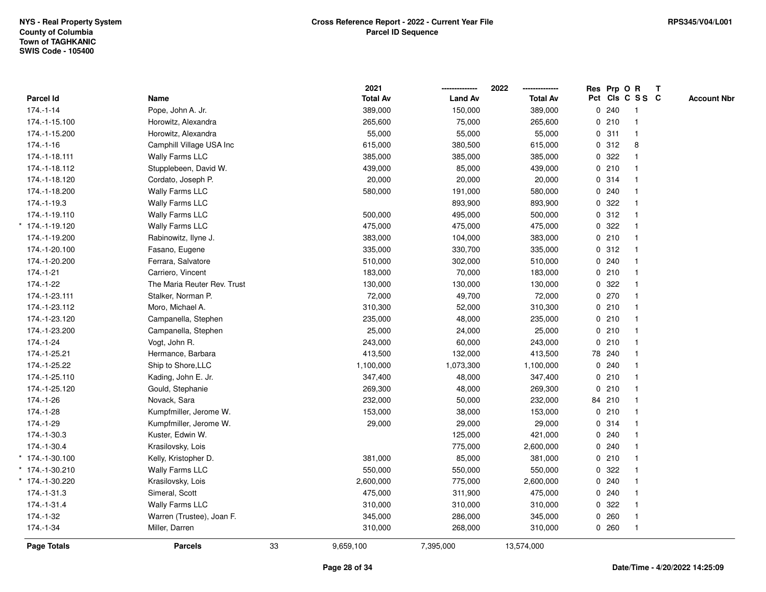|                    |                             |    | 2021            |                | 2022<br>-------------- |   | Res Prp O R |                 | $\mathbf{T}$ |                    |
|--------------------|-----------------------------|----|-----------------|----------------|------------------------|---|-------------|-----------------|--------------|--------------------|
| <b>Parcel Id</b>   | Name                        |    | <b>Total Av</b> | <b>Land Av</b> | <b>Total Av</b>        |   |             | Pct Cls C S S C |              | <b>Account Nbr</b> |
| $174 - 1 - 14$     | Pope, John A. Jr.           |    | 389,000         | 150,000        | 389,000                |   | 0.240       | -1              |              |                    |
| 174.-1-15.100      | Horowitz, Alexandra         |    | 265,600         | 75,000         | 265,600                |   | 0210        |                 |              |                    |
| 174.-1-15.200      | Horowitz, Alexandra         |    | 55,000          | 55,000         | 55,000                 |   | 0.311       | $\overline{1}$  |              |                    |
| $174.-1-16$        | Camphill Village USA Inc    |    | 615,000         | 380,500        | 615,000                |   | 0.312       | 8               |              |                    |
| 174.-1-18.111      | Wally Farms LLC             |    | 385,000         | 385,000        | 385,000                |   | 0.322       |                 |              |                    |
| 174.-1-18.112      | Stupplebeen, David W.       |    | 439,000         | 85,000         | 439,000                |   | 0210        |                 |              |                    |
| 174.-1-18.120      | Cordato, Joseph P.          |    | 20,000          | 20,000         | 20,000                 |   | 0.314       |                 |              |                    |
| 174.-1-18.200      | Wally Farms LLC             |    | 580,000         | 191,000        | 580,000                |   | 0.240       |                 |              |                    |
| 174.-1-19.3        | Wally Farms LLC             |    |                 | 893,900        | 893,900                |   | 0.322       |                 |              |                    |
| 174.-1-19.110      | Wally Farms LLC             |    | 500,000         | 495,000        | 500,000                | 0 | 312         | $\overline{1}$  |              |                    |
| 174.-1-19.120      | Wally Farms LLC             |    | 475,000         | 475,000        | 475,000                |   | 0.322       | $\overline{1}$  |              |                    |
| 174.-1-19.200      | Rabinowitz, Ilyne J.        |    | 383,000         | 104,000        | 383,000                |   | 0210        | $\mathbf{1}$    |              |                    |
| 174.-1-20.100      | Fasano, Eugene              |    | 335,000         | 330,700        | 335,000                |   | 0.312       |                 |              |                    |
| 174.-1-20.200      | Ferrara, Salvatore          |    | 510,000         | 302,000        | 510,000                |   | 0.240       |                 |              |                    |
| 174.-1-21          | Carriero, Vincent           |    | 183,000         | 70,000         | 183,000                |   | 0210        | 1               |              |                    |
| 174.-1-22          | The Maria Reuter Rev. Trust |    | 130,000         | 130,000        | 130,000                |   | 0 322       |                 |              |                    |
| 174.-1-23.111      | Stalker, Norman P.          |    | 72,000          | 49,700         | 72,000                 |   | 0270        | $\overline{1}$  |              |                    |
| 174.-1-23.112      | Moro, Michael A.            |    | 310,300         | 52,000         | 310,300                |   | 0210        | $\mathbf{1}$    |              |                    |
| 174.-1-23.120      | Campanella, Stephen         |    | 235,000         | 48,000         | 235,000                |   | 0210        |                 |              |                    |
| 174.-1-23.200      | Campanella, Stephen         |    | 25,000          | 24,000         | 25,000                 |   | 0210        |                 |              |                    |
| 174.-1-24          | Vogt, John R.               |    | 243,000         | 60,000         | 243,000                |   | 0210        |                 |              |                    |
| 174.-1-25.21       | Hermance, Barbara           |    | 413,500         | 132,000        | 413,500                |   | 78 240      | 1               |              |                    |
| 174.-1-25.22       | Ship to Shore, LLC          |    | 1,100,000       | 1,073,300      | 1,100,000              |   | 0.240       | $\overline{1}$  |              |                    |
| 174.-1-25.110      | Kading, John E. Jr.         |    | 347,400         | 48,000         | 347,400                |   | 0210        | -1              |              |                    |
| 174.-1-25.120      | Gould, Stephanie            |    | 269,300         | 48,000         | 269,300                |   | 0210        |                 |              |                    |
| 174.-1-26          | Novack, Sara                |    | 232,000         | 50,000         | 232,000                |   | 84 210      |                 |              |                    |
| 174.-1-28          | Kumpfmiller, Jerome W.      |    | 153,000         | 38,000         | 153,000                |   | 0210        |                 |              |                    |
| 174.-1-29          | Kumpfmiller, Jerome W.      |    | 29,000          | 29,000         | 29,000                 |   | 0.314       | 1               |              |                    |
| 174.-1-30.3        | Kuster, Edwin W.            |    |                 | 125,000        | 421,000                | 0 | 240         |                 |              |                    |
| 174.-1-30.4        | Krasilovsky, Lois           |    |                 | 775,000        | 2,600,000              |   | 0.240       | -1              |              |                    |
| 174.-1-30.100      | Kelly, Kristopher D.        |    | 381,000         | 85,000         | 381,000                |   | 0210        | $\mathbf{1}$    |              |                    |
| 174.-1-30.210      | Wally Farms LLC             |    | 550,000         | 550,000        | 550,000                |   | 0.322       |                 |              |                    |
| 174.-1-30.220      | Krasilovsky, Lois           |    | 2,600,000       | 775,000        | 2,600,000              |   | 0.240       |                 |              |                    |
| 174.-1-31.3        | Simeral, Scott              |    | 475,000         | 311,900        | 475,000                |   | 0.240       |                 |              |                    |
| 174.-1-31.4        | <b>Wally Farms LLC</b>      |    | 310,000         | 310,000        | 310,000                |   | 0.322       | $\mathbf{1}$    |              |                    |
| 174.-1-32          | Warren (Trustee), Joan F.   |    | 345,000         | 286,000        | 345,000                | 0 | 260         | $\mathbf{1}$    |              |                    |
| 174.-1-34          | Miller, Darren              |    | 310,000         | 268,000        | 310,000                |   | 0.260       | $\mathbf{1}$    |              |                    |
| <b>Page Totals</b> | <b>Parcels</b>              | 33 | 9,659,100       | 7,395,000      | 13,574,000             |   |             |                 |              |                    |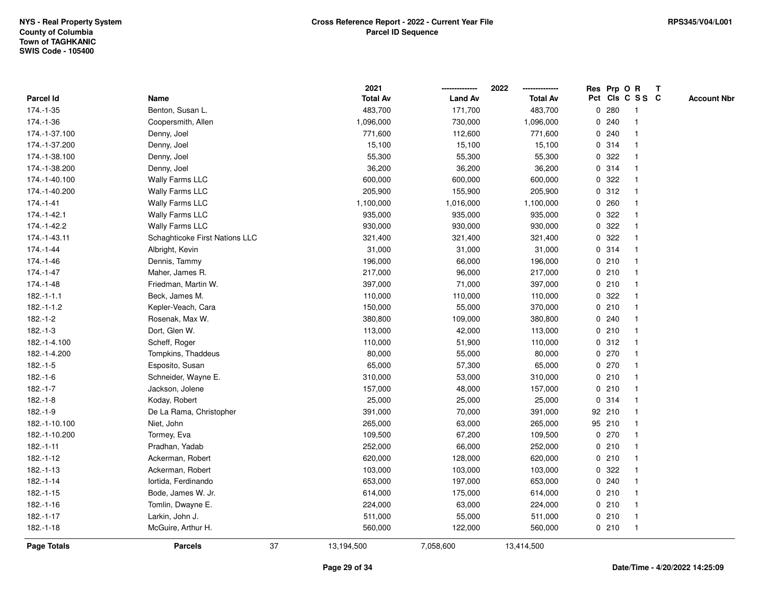|                    |                                |    | 2021            |                | 2022            |             |         | Res Prp O R     | T |                    |
|--------------------|--------------------------------|----|-----------------|----------------|-----------------|-------------|---------|-----------------|---|--------------------|
| Parcel Id          | Name                           |    | <b>Total Av</b> | <b>Land Av</b> | <b>Total Av</b> |             |         | Pct Cls C S S C |   | <b>Account Nbr</b> |
| 174.-1-35          | Benton, Susan L.               |    | 483,700         | 171,700        | 483,700         | $\mathbf 0$ | 280     | -1              |   |                    |
| 174.-1-36          | Coopersmith, Allen             |    | 1,096,000       | 730,000        | 1,096,000       | 0           | 240     | $\mathbf 1$     |   |                    |
| 174.-1-37.100      | Denny, Joel                    |    | 771,600         | 112,600        | 771,600         |             | 0.240   | 1               |   |                    |
| 174.-1-37.200      | Denny, Joel                    |    | 15,100          | 15,100         | 15,100          |             | 0.314   |                 |   |                    |
| 174.-1-38.100      | Denny, Joel                    |    | 55,300          | 55,300         | 55,300          |             | 0.322   |                 |   |                    |
| 174.-1-38.200      | Denny, Joel                    |    | 36,200          | 36,200         | 36,200          |             | 0.314   |                 |   |                    |
| 174.-1-40.100      | Wally Farms LLC                |    | 600,000         | 600,000        | 600,000         |             | 0.322   |                 |   |                    |
| 174.-1-40.200      | <b>Wally Farms LLC</b>         |    | 205,900         | 155,900        | 205,900         | 0           | 312     | -1              |   |                    |
| $174 - 1 - 41$     | <b>Wally Farms LLC</b>         |    | 1,100,000       | 1,016,000      | 1,100,000       | 0           | 260     |                 |   |                    |
| 174.-1-42.1        | <b>Wally Farms LLC</b>         |    | 935,000         | 935,000        | 935,000         |             | 0.322   | 1               |   |                    |
| 174.-1-42.2        | Wally Farms LLC                |    | 930,000         | 930,000        | 930,000         |             | 0.322   |                 |   |                    |
| 174.-1-43.11       | Schaghticoke First Nations LLC |    | 321,400         | 321,400        | 321,400         |             | 0.322   |                 |   |                    |
| 174.-1-44          | Albright, Kevin                |    | 31,000          | 31,000         | 31,000          |             | 0.314   |                 |   |                    |
| 174.-1-46          | Dennis, Tammy                  |    | 196,000         | 66,000         | 196,000         |             | 0210    |                 |   |                    |
| 174.-1-47          | Maher, James R.                |    | 217,000         | 96,000         | 217,000         | 0           | 210     | $\mathbf{1}$    |   |                    |
| 174.-1-48          | Friedman, Martin W.            |    | 397,000         | 71,000         | 397,000         |             | 0210    | $\mathbf 1$     |   |                    |
| $182.-1-1.1$       | Beck, James M.                 |    | 110,000         | 110,000        | 110,000         |             | 0.322   |                 |   |                    |
| $182.-1-1.2$       | Kepler-Veach, Cara             |    | 150,000         | 55,000         | 370,000         |             | 0210    |                 |   |                    |
| $182.-1-2$         | Rosenak, Max W.                |    | 380,800         | 109,000        | 380,800         |             | 0.240   |                 |   |                    |
| $182.-1-3$         | Dort, Glen W.                  |    | 113,000         | 42,000         | 113,000         |             | 0210    |                 |   |                    |
| 182.-1-4.100       | Scheff, Roger                  |    | 110,000         | 51,900         | 110,000         |             | 0.312   | -1              |   |                    |
| 182.-1-4.200       | Tompkins, Thaddeus             |    | 80,000          | 55,000         | 80,000          | $\mathbf 0$ | 270     |                 |   |                    |
| $182.-1-5$         | Esposito, Susan                |    | 65,000          | 57,300         | 65,000          |             | $0$ 270 | $\overline{1}$  |   |                    |
| $182.-1-6$         | Schneider, Wayne E.            |    | 310,000         | 53,000         | 310,000         |             | 0210    | $\mathbf 1$     |   |                    |
| $182.-1-7$         | Jackson, Jolene                |    | 157,000         | 48,000         | 157,000         |             | 0210    |                 |   |                    |
| $182.-1-8$         | Koday, Robert                  |    | 25,000          | 25,000         | 25,000          |             | 0.314   |                 |   |                    |
| $182.-1-9$         | De La Rama, Christopher        |    | 391,000         | 70,000         | 391,000         |             | 92 210  |                 |   |                    |
| 182.-1-10.100      | Niet, John                     |    | 265,000         | 63,000         | 265,000         |             | 95 210  |                 |   |                    |
| 182.-1-10.200      | Tormey, Eva                    |    | 109,500         | 67,200         | 109,500         |             | 0270    | $\overline{1}$  |   |                    |
| $182.-1-11$        | Pradhan, Yadab                 |    | 252,000         | 66,000         | 252,000         | $\mathbf 0$ | 210     | $\overline{1}$  |   |                    |
| $182.-1-12$        | Ackerman, Robert               |    | 620,000         | 128,000        | 620,000         |             | 0210    | $\mathbf{1}$    |   |                    |
| 182.-1-13          | Ackerman, Robert               |    | 103,000         | 103,000        | 103,000         |             | 0.322   |                 |   |                    |
| $182.-1-14$        | lortida, Ferdinando            |    | 653,000         | 197,000        | 653,000         |             | 0.240   |                 |   |                    |
| $182.-1-15$        | Bode, James W. Jr.             |    | 614,000         | 175,000        | 614,000         |             | 0210    |                 |   |                    |
| $182.-1-16$        | Tomlin, Dwayne E.              |    | 224,000         | 63,000         | 224,000         |             | 0210    | $\mathbf{1}$    |   |                    |
| $182.-1-17$        | Larkin, John J.                |    | 511,000         | 55,000         | 511,000         |             | 0210    | $\mathbf{1}$    |   |                    |
| $182.-1-18$        | McGuire, Arthur H.             |    | 560,000         | 122,000        | 560,000         |             | 0210    | $\overline{1}$  |   |                    |
| <b>Page Totals</b> | <b>Parcels</b>                 | 37 | 13,194,500      | 7,058,600      | 13,414,500      |             |         |                 |   |                    |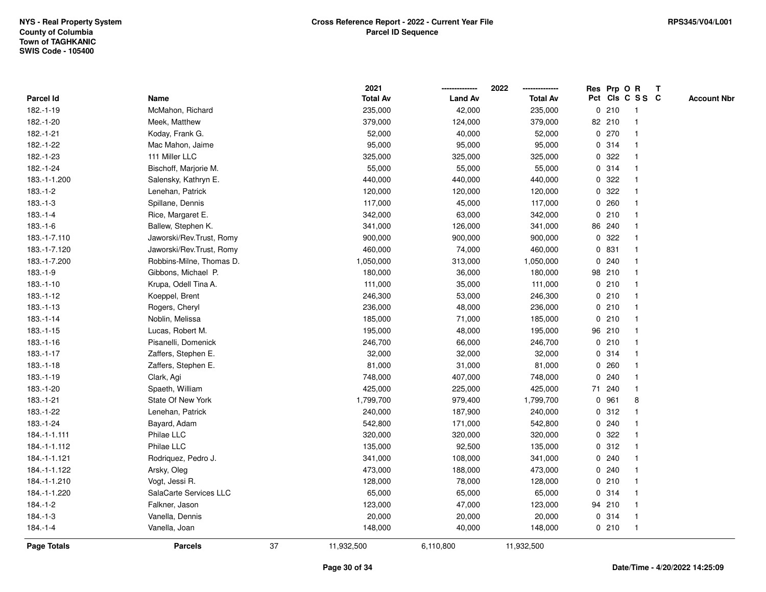|               |                          |    | 2021            |                | 2022            |              |        | Res Prp O R     | $\mathbf{T}$ |                    |
|---------------|--------------------------|----|-----------------|----------------|-----------------|--------------|--------|-----------------|--------------|--------------------|
| Parcel Id     | Name                     |    | <b>Total Av</b> | <b>Land Av</b> | <b>Total Av</b> |              |        | Pct Cls C S S C |              | <b>Account Nbr</b> |
| 182.-1-19     | McMahon, Richard         |    | 235,000         | 42,000         | 235,000         |              | 0210   | 1               |              |                    |
| 182.-1-20     | Meek, Matthew            |    | 379,000         | 124,000        | 379,000         |              | 82 210 |                 |              |                    |
| 182.-1-21     | Koday, Frank G.          |    | 52,000          | 40,000         | 52,000          |              | 0270   |                 |              |                    |
| 182.-1-22     | Mac Mahon, Jaime         |    | 95,000          | 95,000         | 95,000          | $\mathbf 0$  | 314    | $\mathbf{1}$    |              |                    |
| 182.-1-23     | 111 Miller LLC           |    | 325,000         | 325,000        | 325,000         | 0            | 322    | $\mathbf 1$     |              |                    |
| 182.-1-24     | Bischoff, Marjorie M.    |    | 55,000          | 55,000         | 55,000          |              | 0.314  | -1              |              |                    |
| 183.-1-1.200  | Salensky, Kathryn E.     |    | 440,000         | 440,000        | 440,000         |              | 0.322  |                 |              |                    |
| $183.-1-2$    | Lenehan, Patrick         |    | 120,000         | 120,000        | 120,000         |              | 0.322  |                 |              |                    |
| $183.-1-3$    | Spillane, Dennis         |    | 117,000         | 45,000         | 117,000         | 0            | 260    |                 |              |                    |
| $183.-1-4$    | Rice, Margaret E.        |    | 342,000         | 63,000         | 342,000         | 0            | 210    | $\overline{1}$  |              |                    |
| $183.-1-6$    | Ballew, Stephen K.       |    | 341,000         | 126,000        | 341,000         |              | 86 240 | $\overline{1}$  |              |                    |
| 183.-1-7.110  | Jaworski/Rev.Trust, Romy |    | 900,000         | 900,000        | 900,000         | $\mathbf 0$  | 322    | $\mathbf 1$     |              |                    |
| 183.-1-7.120  | Jaworski/Rev.Trust, Romy |    | 460,000         | 74,000         | 460,000         |              | 0 831  |                 |              |                    |
| 183.-1-7.200  | Robbins-Milne, Thomas D. |    | 1,050,000       | 313,000        | 1,050,000       |              | 0.240  |                 |              |                    |
| $183.-1-9$    | Gibbons, Michael P.      |    | 180,000         | 36,000         | 180,000         |              | 98 210 |                 |              |                    |
| $183.-1-10$   | Krupa, Odell Tina A.     |    | 111,000         | 35,000         | 111,000         |              | 0210   |                 |              |                    |
| 183.-1-12     | Koeppel, Brent           |    | 246,300         | 53,000         | 246,300         | $\mathbf 0$  | 210    | -1              |              |                    |
| 183.-1-13     | Rogers, Cheryl           |    | 236,000         | 48,000         | 236,000         | $\mathbf{0}$ | 210    | $\overline{1}$  |              |                    |
| $183.-1-14$   | Noblin, Melissa          |    | 185,000         | 71,000         | 185,000         |              | 0210   | $\mathbf 1$     |              |                    |
| $183.-1-15$   | Lucas, Robert M.         |    | 195,000         | 48,000         | 195,000         |              | 96 210 |                 |              |                    |
| $183.-1-16$   | Pisanelli, Domenick      |    | 246,700         | 66,000         | 246,700         |              | 0210   |                 |              |                    |
| $183.-1-17$   | Zaffers, Stephen E.      |    | 32,000          | 32,000         | 32,000          |              | 0.314  |                 |              |                    |
| $183.-1-18$   | Zaffers, Stephen E.      |    | 81,000          | 31,000         | 81,000          | $\mathbf 0$  | 260    |                 |              |                    |
| 183.-1-19     | Clark, Agi               |    | 748,000         | 407,000        | 748,000         | $\mathbf{0}$ | 240    |                 |              |                    |
| 183.-1-20     | Spaeth, William          |    | 425,000         | 225,000        | 425,000         |              | 71 240 | $\mathbf{1}$    |              |                    |
| 183.-1-21     | State Of New York        |    | 1,799,700       | 979,400        | 1,799,700       | 0            | 961    | 8               |              |                    |
| 183.-1-22     | Lenehan, Patrick         |    | 240,000         | 187,900        | 240,000         |              | 0.312  |                 |              |                    |
| 183.-1-24     | Bayard, Adam             |    | 542,800         | 171,000        | 542,800         | 0            | 240    |                 |              |                    |
| 184.-1-1.111  | Philae LLC               |    | 320,000         | 320,000        | 320,000         |              | 0.322  |                 |              |                    |
| 184.-1-1.112  | Philae LLC               |    | 135,000         | 92,500         | 135,000         | 0            | 312    | $\mathbf{1}$    |              |                    |
| 184.-1-1.121  | Rodriguez, Pedro J.      |    | 341,000         | 108,000        | 341,000         | 0            | 240    |                 |              |                    |
| 184.-1-1.122  | Arsky, Oleg              |    | 473,000         | 188,000        | 473,000         |              | 0.240  | $\mathbf{1}$    |              |                    |
| 184.-1-1.210  | Vogt, Jessi R.           |    | 128,000         | 78,000         | 128,000         |              | 0210   |                 |              |                    |
| 184.-1-1.220  | SalaCarte Services LLC   |    | 65,000          | 65,000         | 65,000          |              | 0.314  |                 |              |                    |
| $184 - 1 - 2$ | Falkner, Jason           |    | 123,000         | 47,000         | 123,000         |              | 94 210 |                 |              |                    |
| $184 - 1 - 3$ | Vanella, Dennis          |    | 20,000          | 20,000         | 20,000          |              | 0.314  | $\overline{1}$  |              |                    |
| $184.-1-4$    | Vanella, Joan            |    | 148,000         | 40,000         | 148,000         |              | 0210   | $\overline{1}$  |              |                    |
| Page Totals   | <b>Parcels</b>           | 37 | 11,932,500      | 6,110,800      | 11,932,500      |              |        |                 |              |                    |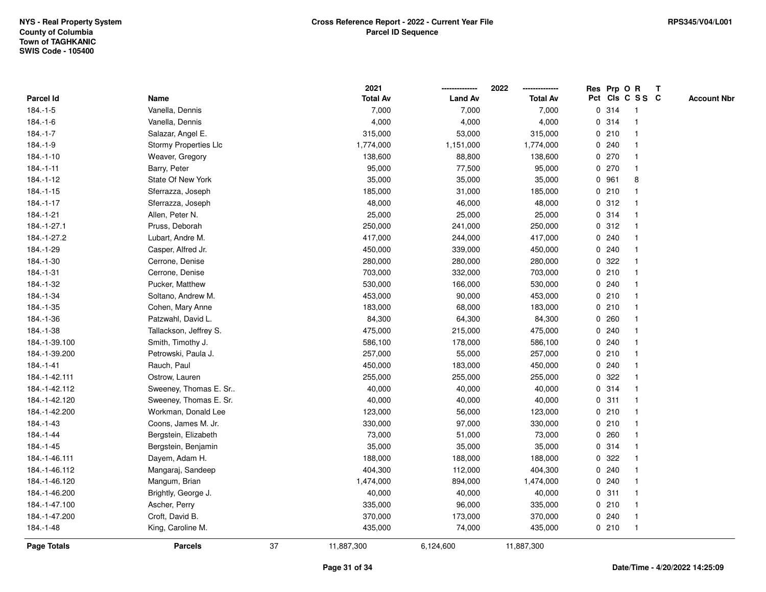|                    |                        |    | 2021            |                | 2022            |   |       | Res Prp O R             | $\mathbf{T}$ |                    |
|--------------------|------------------------|----|-----------------|----------------|-----------------|---|-------|-------------------------|--------------|--------------------|
| Parcel Id          | Name                   |    | <b>Total Av</b> | <b>Land Av</b> | <b>Total Av</b> |   |       | Pct Cls C S S C         |              | <b>Account Nbr</b> |
| $184 - 1 - 5$      | Vanella, Dennis        |    | 7,000           | 7,000          | 7,000           |   | 0 314 | -1                      |              |                    |
| $184.-1-6$         | Vanella, Dennis        |    | 4,000           | 4,000          | 4,000           |   | 0 314 |                         |              |                    |
| $184.-1-7$         | Salazar, Angel E.      |    | 315,000         | 53,000         | 315,000         |   | 0210  |                         |              |                    |
| 184.-1-9           | Stormy Properties Llc  |    | 1,774,000       | 1,151,000      | 1,774,000       | 0 | 240   | -1                      |              |                    |
| $184.-1-10$        | Weaver, Gregory        |    | 138,600         | 88,800         | 138,600         |   | 0 270 | $\mathbf{1}$            |              |                    |
| $184 - 1 - 11$     | Barry, Peter           |    | 95,000          | 77,500         | 95,000          |   | 0 270 | $\mathbf{1}$            |              |                    |
| 184.-1-12          | State Of New York      |    | 35,000          | 35,000         | 35,000          |   | 0 961 | 8                       |              |                    |
| $184.-1-15$        | Sferrazza, Joseph      |    | 185,000         | 31,000         | 185,000         |   | 0210  |                         |              |                    |
| 184.-1-17          | Sferrazza, Joseph      |    | 48,000          | 46,000         | 48,000          |   | 0.312 | $\mathbf{1}$            |              |                    |
| 184.-1-21          | Allen, Peter N.        |    | 25,000          | 25,000         | 25,000          |   | 0 314 |                         |              |                    |
| 184.-1-27.1        | Pruss, Deborah         |    | 250,000         | 241,000        | 250,000         |   | 0.312 | $\mathbf{1}$            |              |                    |
| 184.-1-27.2        | Lubart, Andre M.       |    | 417,000         | 244,000        | 417,000         | 0 | 240   | $\overline{\mathbf{1}}$ |              |                    |
| 184.-1-29          | Casper, Alfred Jr.     |    | 450,000         | 339,000        | 450,000         |   | 0.240 |                         |              |                    |
| 184.-1-30          | Cerrone, Denise        |    | 280,000         | 280,000        | 280,000         |   | 0 322 |                         |              |                    |
| 184.-1-31          | Cerrone, Denise        |    | 703,000         | 332,000        | 703,000         |   | 0210  |                         |              |                    |
| 184.-1-32          | Pucker, Matthew        |    | 530,000         | 166,000        | 530,000         |   | 0.240 |                         |              |                    |
| 184.-1-34          | Soltano, Andrew M.     |    | 453,000         | 90,000         | 453,000         | 0 | 210   | $\overline{\mathbf{1}}$ |              |                    |
| 184.-1-35          | Cohen, Mary Anne       |    | 183,000         | 68,000         | 183,000         | 0 | 210   | $\mathbf{1}$            |              |                    |
| 184.-1-36          | Patzwahl, David L.     |    | 84,300          | 64,300         | 84,300          |   | 0.260 | -1                      |              |                    |
| 184.-1-38          | Tallackson, Jeffrey S. |    | 475,000         | 215,000        | 475,000         |   | 0.240 |                         |              |                    |
| 184.-1-39.100      | Smith, Timothy J.      |    | 586,100         | 178,000        | 586,100         |   | 0.240 |                         |              |                    |
| 184.-1-39.200      | Petrowski, Paula J.    |    | 257,000         | 55,000         | 257,000         |   | 0210  |                         |              |                    |
| 184.-1-41          | Rauch, Paul            |    | 450,000         | 183,000        | 450,000         |   | 0.240 |                         |              |                    |
| 184.-1-42.111      | Ostrow, Lauren         |    | 255,000         | 255,000        | 255,000         | 0 | 322   |                         |              |                    |
| 184.-1-42.112      | Sweeney, Thomas E. Sr  |    | 40,000          | 40,000         | 40,000          |   | 0.314 | $\mathbf{1}$            |              |                    |
| 184.-1-42.120      | Sweeney, Thomas E. Sr. |    | 40,000          | 40,000         | 40,000          |   | 0.311 | $\mathbf 1$             |              |                    |
| 184.-1-42.200      | Workman, Donald Lee    |    | 123,000         | 56,000         | 123,000         |   | 0210  |                         |              |                    |
| 184.-1-43          | Coons, James M. Jr.    |    | 330,000         | 97,000         | 330,000         |   | 0210  |                         |              |                    |
| 184.-1-44          | Bergstein, Elizabeth   |    | 73,000          | 51,000         | 73,000          |   | 0.260 |                         |              |                    |
| 184.-1-45          | Bergstein, Benjamin    |    | 35,000          | 35,000         | 35,000          | 0 | 314   |                         |              |                    |
| 184.-1-46.111      | Dayem, Adam H.         |    | 188,000         | 188,000        | 188,000         | 0 | 322   | -1                      |              |                    |
| 184.-1-46.112      | Mangaraj, Sandeep      |    | 404,300         | 112,000        | 404,300         | 0 | 240   | $\mathbf{1}$            |              |                    |
| 184.-1-46.120      | Mangum, Brian          |    | 1,474,000       | 894,000        | 1,474,000       |   | 0.240 |                         |              |                    |
| 184.-1-46.200      | Brightly, George J.    |    | 40,000          | 40,000         | 40,000          |   | 0.311 |                         |              |                    |
| 184.-1-47.100      | Ascher, Perry          |    | 335,000         | 96,000         | 335,000         |   | 0210  |                         |              |                    |
| 184.-1-47.200      | Croft, David B.        |    | 370,000         | 173,000        | 370,000         |   | 0.240 | $\mathbf{1}$            |              |                    |
| 184.-1-48          | King, Caroline M.      |    | 435,000         | 74,000         | 435,000         |   | 0210  | $\mathbf{1}$            |              |                    |
| <b>Page Totals</b> | <b>Parcels</b>         | 37 | 11,887,300      | 6,124,600      | 11,887,300      |   |       |                         |              |                    |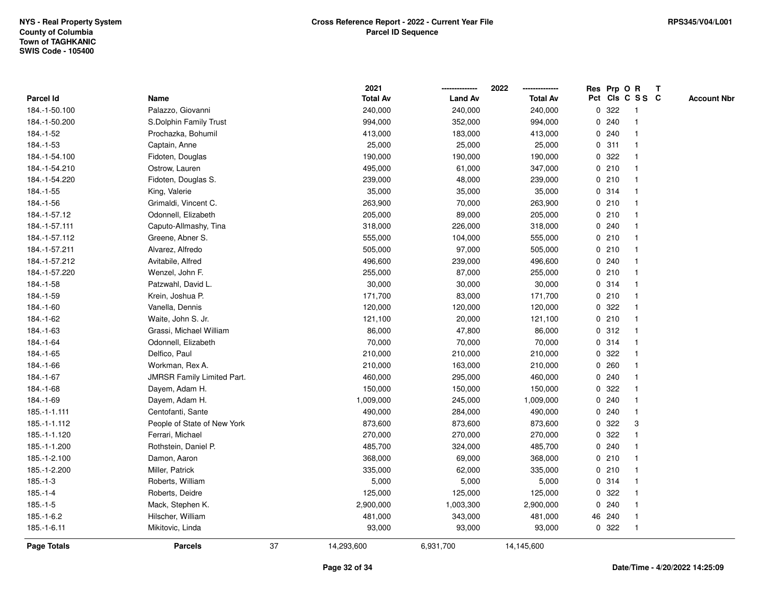|               |                             |    | 2021            |                | 2022            |             |        | Res Prp O R             | $\mathbf{T}$ |                    |
|---------------|-----------------------------|----|-----------------|----------------|-----------------|-------------|--------|-------------------------|--------------|--------------------|
| Parcel Id     | Name                        |    | <b>Total Av</b> | <b>Land Av</b> | <b>Total Av</b> |             |        | Pct Cls C S S C         |              | <b>Account Nbr</b> |
| 184.-1-50.100 | Palazzo, Giovanni           |    | 240,000         | 240,000        | 240,000         | 0           | 322    |                         |              |                    |
| 184.-1-50.200 | S.Dolphin Family Trust      |    | 994,000         | 352,000        | 994,000         | 0           | 240    |                         |              |                    |
| 184.-1-52     | Prochazka, Bohumil          |    | 413,000         | 183,000        | 413,000         |             | 0.240  |                         |              |                    |
| 184.-1-53     | Captain, Anne               |    | 25,000          | 25,000         | 25,000          | 0           | 311    |                         |              |                    |
| 184.-1-54.100 | Fidoten, Douglas            |    | 190,000         | 190,000        | 190,000         | 0           | 322    |                         |              |                    |
| 184.-1-54.210 | Ostrow, Lauren              |    | 495,000         | 61,000         | 347,000         |             | 0210   |                         |              |                    |
| 184.-1-54.220 | Fidoten, Douglas S.         |    | 239,000         | 48,000         | 239,000         |             | 0210   |                         |              |                    |
| 184.-1-55     | King, Valerie               |    | 35,000          | 35,000         | 35,000          |             | 0 314  |                         |              |                    |
| 184.-1-56     | Grimaldi, Vincent C.        |    | 263,900         | 70,000         | 263,900         |             | 0210   |                         |              |                    |
| 184.-1-57.12  | Odonnell, Elizabeth         |    | 205,000         | 89,000         | 205,000         |             | 0210   |                         |              |                    |
| 184.-1-57.111 | Caputo-Allmashy, Tina       |    | 318,000         | 226,000        | 318,000         |             | 0.240  | -1                      |              |                    |
| 184.-1-57.112 | Greene, Abner S.            |    | 555,000         | 104,000        | 555,000         |             | 0210   |                         |              |                    |
| 184.-1-57.211 | Alvarez, Alfredo            |    | 505,000         | 97,000         | 505,000         |             | 0210   |                         |              |                    |
| 184.-1-57.212 | Avitabile, Alfred           |    | 496,600         | 239,000        | 496,600         |             | 0.240  |                         |              |                    |
| 184.-1-57.220 | Wenzel, John F.             |    | 255,000         | 87,000         | 255,000         |             | 0210   |                         |              |                    |
| 184.-1-58     | Patzwahl, David L.          |    | 30,000          | 30,000         | 30,000          |             | 0.314  |                         |              |                    |
| 184.-1-59     | Krein, Joshua P.            |    | 171,700         | 83,000         | 171,700         |             | 0210   |                         |              |                    |
| 184.-1-60     | Vanella, Dennis             |    | 120,000         | 120,000        | 120,000         | 0           | 322    |                         |              |                    |
| 184.-1-62     | Waite, John S. Jr.          |    | 121,100         | 20,000         | 121,100         |             | 0210   | -1                      |              |                    |
| 184.-1-63     | Grassi, Michael William     |    | 86,000          | 47,800         | 86,000          |             | 0.312  |                         |              |                    |
| 184.-1-64     | Odonnell, Elizabeth         |    | 70,000          | 70,000         | 70,000          |             | 0 314  |                         |              |                    |
| 184.-1-65     | Delfico, Paul               |    | 210,000         | 210,000        | 210,000         |             | 0 322  |                         |              |                    |
| 184.-1-66     | Workman, Rex A.             |    | 210,000         | 163,000        | 210,000         |             | 0.260  |                         |              |                    |
| 184.-1-67     | JMRSR Family Limited Part.  |    | 460,000         | 295,000        | 460,000         | $\mathbf 0$ | 240    | $\overline{\mathbf{1}}$ |              |                    |
| 184.-1-68     | Dayem, Adam H.              |    | 150,000         | 150,000        | 150,000         | 0           | 322    |                         |              |                    |
| 184.-1-69     | Dayem, Adam H.              |    | 1,009,000       | 245,000        | 1,009,000       |             | 0.240  | $\mathbf 1$             |              |                    |
| 185.-1-1.111  | Centofanti, Sante           |    | 490,000         | 284,000        | 490,000         |             | 0.240  |                         |              |                    |
| 185.-1-1.112  | People of State of New York |    | 873,600         | 873,600        | 873,600         | 0           | 322    | 3                       |              |                    |
| 185.-1-1.120  | Ferrari, Michael            |    | 270,000         | 270,000        | 270,000         | $\mathbf 0$ | 322    |                         |              |                    |
| 185.-1-1.200  | Rothstein, Daniel P.        |    | 485,700         | 324,000        | 485,700         | 0           | 240    |                         |              |                    |
| 185.-1-2.100  | Damon, Aaron                |    | 368,000         | 69,000         | 368,000         | $\mathbf 0$ | 210    |                         |              |                    |
| 185.-1-2.200  | Miller, Patrick             |    | 335,000         | 62,000         | 335,000         |             | 0210   |                         |              |                    |
| $185.-1-3$    | Roberts, William            |    | 5,000           | 5,000          | 5,000           |             | 0.314  |                         |              |                    |
| $185.-1-4$    | Roberts, Deidre             |    | 125,000         | 125,000        | 125,000         |             | 0 322  |                         |              |                    |
| $185.-1-5$    | Mack, Stephen K.            |    | 2,900,000       | 1,003,300      | 2,900,000       |             | 0.240  |                         |              |                    |
| 185.-1-6.2    | Hilscher, William           |    | 481,000         | 343,000        | 481,000         |             | 46 240 | -1                      |              |                    |
| 185.-1-6.11   | Mikitovic, Linda            |    | 93,000          | 93,000         | 93,000          |             | 0 322  |                         |              |                    |
| Page Totals   | <b>Parcels</b>              | 37 | 14,293,600      | 6,931,700      | 14,145,600      |             |        |                         |              |                    |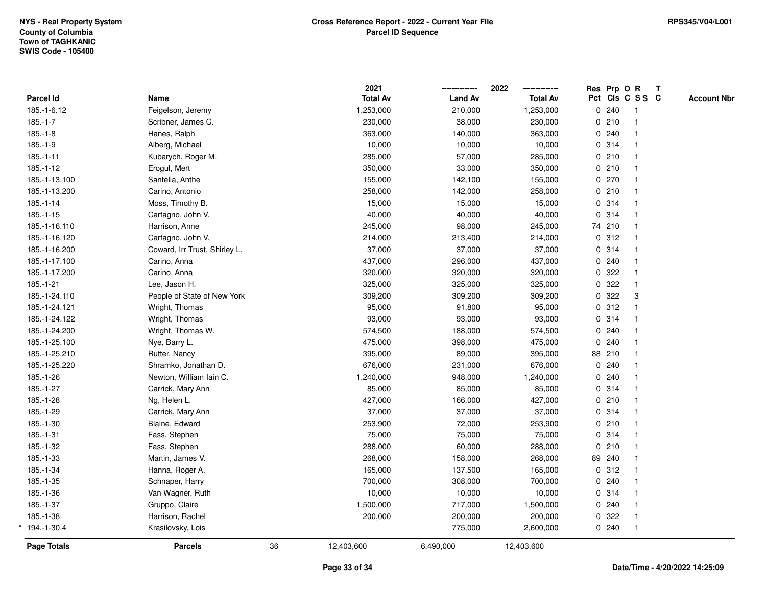|                  |                               |    | 2021            |                | 2022<br>-------------- | Res Prp O R |                         | $\mathbf{T}$ |                    |
|------------------|-------------------------------|----|-----------------|----------------|------------------------|-------------|-------------------------|--------------|--------------------|
| <b>Parcel Id</b> | Name                          |    | <b>Total Av</b> | <b>Land Av</b> | <b>Total Av</b>        |             | Pct Cls C S S C         |              | <b>Account Nbr</b> |
| 185.-1-6.12      | Feigelson, Jeremy             |    | 1,253,000       | 210,000        | 1,253,000              | 0.240       |                         |              |                    |
| $185.-1-7$       | Scribner, James C.            |    | 230,000         | 38,000         | 230,000                | 0210        |                         |              |                    |
| $185.-1-8$       | Hanes, Ralph                  |    | 363,000         | 140,000        | 363,000                | 0.240       | 1                       |              |                    |
| $185.-1-9$       | Alberg, Michael               |    | 10,000          | 10,000         | 10,000                 | 0.314       | $\mathbf{1}$            |              |                    |
| $185.-1-11$      | Kubarych, Roger M.            |    | 285,000         | 57,000         | 285,000                | 0210        | $\mathbf{1}$            |              |                    |
| $185.-1-12$      | Erogul, Mert                  |    | 350,000         | 33,000         | 350,000                | 0210        |                         |              |                    |
| 185.-1-13.100    | Santelia, Anthe               |    | 155,000         | 142,100        | 155,000                | 0270        |                         |              |                    |
| 185.-1-13.200    | Carino, Antonio               |    | 258,000         | 142,000        | 258,000                | 0210        |                         |              |                    |
| 185.-1-14        | Moss, Timothy B.              |    | 15,000          | 15,000         | 15,000                 | 0.314       |                         |              |                    |
| $185.-1-15$      | Carfagno, John V.             |    | 40,000          | 40,000         | 40,000                 | 0 314       | $\overline{\mathbf{1}}$ |              |                    |
| 185.-1-16.110    | Harrison, Anne                |    | 245,000         | 98,000         | 245,000                | 74 210      | $\overline{1}$          |              |                    |
| 185.-1-16.120    | Carfagno, John V.             |    | 214,000         | 213,400        | 214,000                | 0.312       | $\mathbf{1}$            |              |                    |
| 185.-1-16.200    | Coward, Irr Trust, Shirley L. |    | 37,000          | 37,000         | 37,000                 | 0.314       |                         |              |                    |
| 185.-1-17.100    | Carino, Anna                  |    | 437,000         | 296,000        | 437,000                | 0.240       |                         |              |                    |
| 185.-1-17.200    | Carino, Anna                  |    | 320,000         | 320,000        | 320,000                | 0.322       |                         |              |                    |
| 185.-1-21        | Lee, Jason H.                 |    | 325,000         | 325,000        | 325,000                | 0 322       |                         |              |                    |
| 185.-1-24.110    | People of State of New York   |    | 309,200         | 309,200        | 309,200                | 0 322       | 3                       |              |                    |
| 185.-1-24.121    | Wright, Thomas                |    | 95,000          | 91,800         | 95,000                 | 0.312       | $\mathbf{1}$            |              |                    |
| 185.-1-24.122    | Wright, Thomas                |    | 93,000          | 93,000         | 93,000                 | 0.314       |                         |              |                    |
| 185.-1-24.200    | Wright, Thomas W.             |    | 574,500         | 188,000        | 574,500                | 0.240       |                         |              |                    |
| 185.-1-25.100    | Nye, Barry L.                 |    | 475,000         | 398,000        | 475,000                | 0.240       |                         |              |                    |
| 185.-1-25.210    | Rutter, Nancy                 |    | 395,000         | 89,000         | 395,000                | 88 210      |                         |              |                    |
| 185.-1-25.220    | Shramko, Jonathan D.          |    | 676,000         | 231,000        | 676,000                | 0.240       |                         |              |                    |
| 185.-1-26        | Newton, William Iain C.       |    | 1,240,000       | 948,000        | 1,240,000              | 0.240       | $\mathbf{1}$            |              |                    |
| 185.-1-27        | Carrick, Mary Ann             |    | 85,000          | 85,000         | 85,000                 | 0.314       | $\mathbf{1}$            |              |                    |
| 185.-1-28        | Ng, Helen L.                  |    | 427,000         | 166,000        | 427,000                | 0210        |                         |              |                    |
| 185.-1-29        | Carrick, Mary Ann             |    | 37,000          | 37,000         | 37,000                 | 0.314       |                         |              |                    |
| 185.-1-30        | Blaine, Edward                |    | 253,900         | 72,000         | 253,900                | 0210        |                         |              |                    |
| 185.-1-31        | Fass, Stephen                 |    | 75,000          | 75,000         | 75,000                 | 0.314       |                         |              |                    |
| 185.-1-32        | Fass, Stephen                 |    | 288,000         | 60,000         | 288,000                | 0210        | $\mathbf{1}$            |              |                    |
| 185.-1-33        | Martin, James V.              |    | 268,000         | 158,000        | 268,000                | 89 240      | $\mathbf{1}$            |              |                    |
| 185.-1-34        | Hanna, Roger A.               |    | 165,000         | 137,500        | 165,000                | 0.312       | $\mathbf{1}$            |              |                    |
| 185.-1-35        | Schnaper, Harry               |    | 700,000         | 308,000        | 700,000                | 0.240       |                         |              |                    |
| 185.-1-36        | Van Wagner, Ruth              |    | 10,000          | 10,000         | 10,000                 | 0.314       |                         |              |                    |
| 185.-1-37        | Gruppo, Claire                |    | 1,500,000       | 717,000        | 1,500,000              | 0.240       |                         |              |                    |
| 185.-1-38        | Harrison, Rachel              |    | 200,000         | 200,000        | 200,000                | 0 322       | $\mathbf{1}$            |              |                    |
| 194.-1-30.4      | Krasilovsky, Lois             |    |                 | 775,000        | 2,600,000              | 0.240       | $\mathbf{1}$            |              |                    |
| Page Totals      | <b>Parcels</b>                | 36 | 12,403,600      | 6,490,000      | 12,403,600             |             |                         |              |                    |